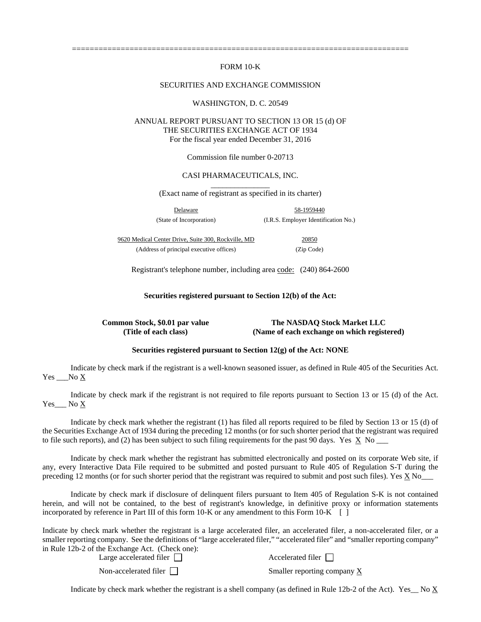# FORM 10-K

============================================================================

#### SECURITIES AND EXCHANGE COMMISSION

#### WASHINGTON, D. C. 20549

# ANNUAL REPORT PURSUANT TO SECTION 13 OR 15 (d) OF THE SECURITIES EXCHANGE ACT OF 1934 For the fiscal year ended December 31, 2016

Commission file number 0-20713

# CASI PHARMACEUTICALS, INC.

\_\_\_\_\_\_\_\_\_\_\_\_\_\_\_ (Exact name of registrant as specified in its charter)

Delaware 58-1959440 (State of Incorporation) (I.R.S. Employer Identification No.)

9620 Medical Center Drive, Suite 300, Rockville, MD 20850 (Address of principal executive offices) (Zip Code)

Registrant's telephone number, including area code: (240) 864-2600

**Securities registered pursuant to Section 12(b) of the Act:** 

**Common Stock, \$0.01 par value The NASDAQ Stock Market LLC (Title of each class) (Name of each exchange on which registered)**

# **Securities registered pursuant to Section 12(g) of the Act: NONE**

Indicate by check mark if the registrant is a well-known seasoned issuer, as defined in Rule 405 of the Securities Act. Yes No X

Indicate by check mark if the registrant is not required to file reports pursuant to Section 13 or 15 (d) of the Act. Yes No X

Indicate by check mark whether the registrant (1) has filed all reports required to be filed by Section 13 or 15 (d) of the Securities Exchange Act of 1934 during the preceding 12 months (or for such shorter period that the registrant was required to file such reports), and (2) has been subject to such filing requirements for the past 90 days. Yes  $\overline{X}$  No  $\overline{X}$ 

Indicate by check mark whether the registrant has submitted electronically and posted on its corporate Web site, if any, every Interactive Data File required to be submitted and posted pursuant to Rule 405 of Regulation S-T during the preceding 12 months (or for such shorter period that the registrant was required to submit and post such files). Yes X No\_\_\_

Indicate by check mark if disclosure of delinquent filers pursuant to Item 405 of Regulation S-K is not contained herein, and will not be contained, to the best of registrant's knowledge, in definitive proxy or information statements incorporated by reference in Part III of this form  $10-K$  or any amendment to this Form  $10-K$  [ ]

Indicate by check mark whether the registrant is a large accelerated filer, an accelerated filer, a non-accelerated filer, or a smaller reporting company. See the definitions of "large accelerated filer," "accelerated filer" and "smaller reporting company" in Rule 12b-2 of the Exchange Act. (Check one):

| Large accelerated filer $\Box$ | Accelerated filer           |
|--------------------------------|-----------------------------|
| Non-accelerated filer          | Smaller reporting company X |

Indicate by check mark whether the registrant is a shell company (as defined in Rule 12b-2 of the Act). Yes No X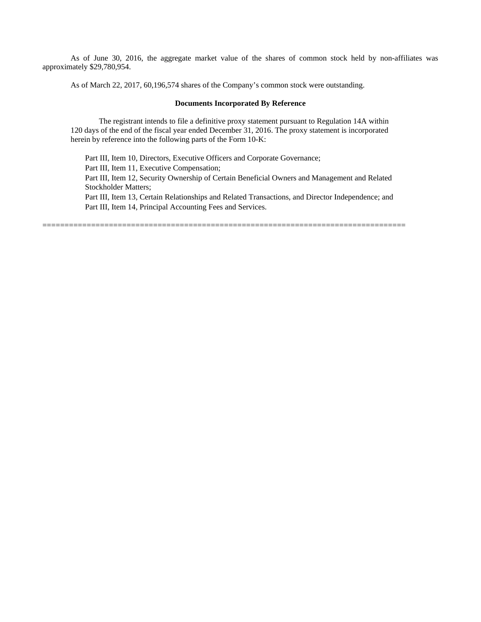As of June 30, 2016, the aggregate market value of the shares of common stock held by non-affiliates was approximately \$29,780,954.

As of March 22, 2017, 60,196,574 shares of the Company's common stock were outstanding.

### **Documents Incorporated By Reference**

The registrant intends to file a definitive proxy statement pursuant to Regulation 14A within 120 days of the end of the fiscal year ended December 31, 2016. The proxy statement is incorporated herein by reference into the following parts of the Form 10-K:

Part III, Item 10, Directors, Executive Officers and Corporate Governance;

Part III, Item 11, Executive Compensation;

Part III, Item 12, Security Ownership of Certain Beneficial Owners and Management and Related Stockholder Matters;

Part III, Item 13, Certain Relationships and Related Transactions, and Director Independence; and Part III, Item 14, Principal Accounting Fees and Services.

==================================================================================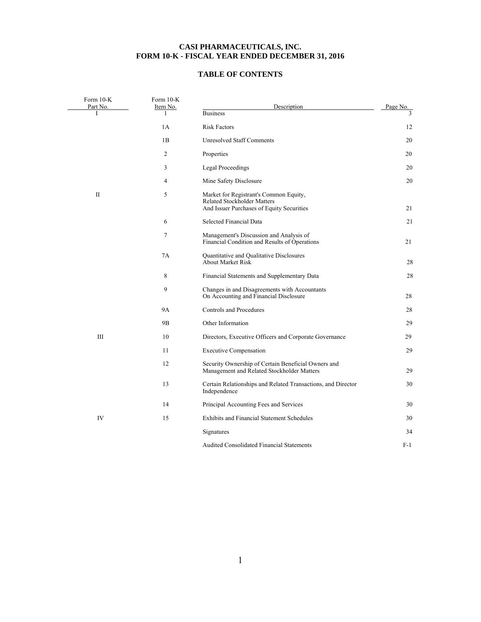# **CASI PHARMACEUTICALS, INC. FORM 10-K - FISCAL YEAR ENDED DECEMBER 31, 2016**

# **TABLE OF CONTENTS**

| Form 10-K<br>Part No. | Form 10-K<br>Item No. | Description                                                                                                               | Page No.      |
|-----------------------|-----------------------|---------------------------------------------------------------------------------------------------------------------------|---------------|
| I                     | 1                     | <b>Business</b>                                                                                                           | $\mathcal{F}$ |
|                       | 1A                    | <b>Risk Factors</b>                                                                                                       | 12            |
|                       | 1B                    | <b>Unresolved Staff Comments</b>                                                                                          | 20            |
|                       | 2                     | Properties                                                                                                                | 20            |
|                       | 3                     | <b>Legal Proceedings</b>                                                                                                  | 20            |
|                       | 4                     | Mine Safety Disclosure                                                                                                    | 20            |
| $\mathbf{I}$          | 5                     | Market for Registrant's Common Equity,<br><b>Related Stockholder Matters</b><br>And Issuer Purchases of Equity Securities | 21            |
|                       | 6                     | Selected Financial Data                                                                                                   | 21            |
|                       | 7                     | Management's Discussion and Analysis of<br>Financial Condition and Results of Operations                                  | 21            |
|                       | 7A                    | Quantitative and Qualitative Disclosures<br><b>About Market Risk</b>                                                      | 28            |
|                       | 8                     | Financial Statements and Supplementary Data                                                                               | 28            |
|                       | 9                     | Changes in and Disagreements with Accountants<br>On Accounting and Financial Disclosure                                   | 28            |
|                       | <b>9A</b>             | Controls and Procedures                                                                                                   | 28            |
|                       | 9B                    | Other Information                                                                                                         | 29            |
| Ш                     | 10                    | Directors, Executive Officers and Corporate Governance                                                                    | 29            |
|                       | 11                    | <b>Executive Compensation</b>                                                                                             | 29            |
|                       | 12                    | Security Ownership of Certain Beneficial Owners and<br>Management and Related Stockholder Matters                         | 29            |
|                       | 13                    | Certain Relationships and Related Transactions, and Director<br>Independence                                              | 30            |
|                       | 14                    | Principal Accounting Fees and Services                                                                                    | 30            |
| IV                    | 15                    | Exhibits and Financial Statement Schedules                                                                                | 30            |
|                       |                       | Signatures                                                                                                                | 34            |
|                       |                       | Audited Consolidated Financial Statements                                                                                 | F-1           |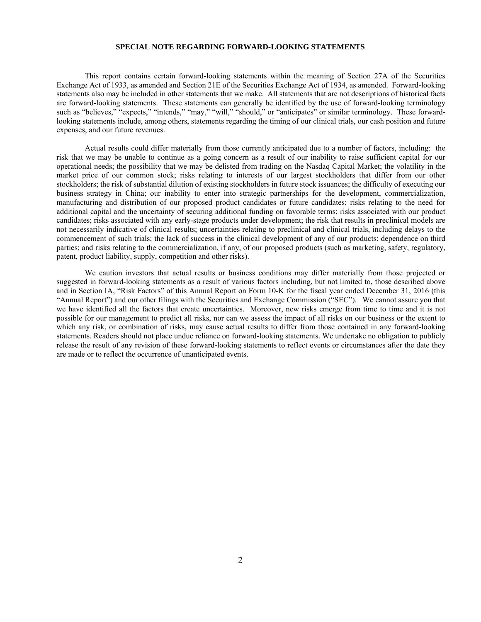### **SPECIAL NOTE REGARDING FORWARD-LOOKING STATEMENTS**

 This report contains certain forward-looking statements within the meaning of Section 27A of the Securities Exchange Act of 1933, as amended and Section 21E of the Securities Exchange Act of 1934, as amended. Forward-looking statements also may be included in other statements that we make. All statements that are not descriptions of historical facts are forward-looking statements. These statements can generally be identified by the use of forward-looking terminology such as "believes," "expects," "intends," "may," "will," "should," or "anticipates" or similar terminology. These forwardlooking statements include, among others, statements regarding the timing of our clinical trials, our cash position and future expenses, and our future revenues.

Actual results could differ materially from those currently anticipated due to a number of factors, including: the risk that we may be unable to continue as a going concern as a result of our inability to raise sufficient capital for our operational needs; the possibility that we may be delisted from trading on the Nasdaq Capital Market; the volatility in the market price of our common stock; risks relating to interests of our largest stockholders that differ from our other stockholders; the risk of substantial dilution of existing stockholders in future stock issuances; the difficulty of executing our business strategy in China; our inability to enter into strategic partnerships for the development, commercialization, manufacturing and distribution of our proposed product candidates or future candidates; risks relating to the need for additional capital and the uncertainty of securing additional funding on favorable terms; risks associated with our product candidates; risks associated with any early-stage products under development; the risk that results in preclinical models are not necessarily indicative of clinical results; uncertainties relating to preclinical and clinical trials, including delays to the commencement of such trials; the lack of success in the clinical development of any of our products; dependence on third parties; and risks relating to the commercialization, if any, of our proposed products (such as marketing, safety, regulatory, patent, product liability, supply, competition and other risks).

We caution investors that actual results or business conditions may differ materially from those projected or suggested in forward-looking statements as a result of various factors including, but not limited to, those described above and in Section IA, "Risk Factors" of this Annual Report on Form 10-K for the fiscal year ended December 31, 2016 (this "Annual Report") and our other filings with the Securities and Exchange Commission ("SEC"). We cannot assure you that we have identified all the factors that create uncertainties. Moreover, new risks emerge from time to time and it is not possible for our management to predict all risks, nor can we assess the impact of all risks on our business or the extent to which any risk, or combination of risks, may cause actual results to differ from those contained in any forward-looking statements. Readers should not place undue reliance on forward-looking statements. We undertake no obligation to publicly release the result of any revision of these forward-looking statements to reflect events or circumstances after the date they are made or to reflect the occurrence of unanticipated events.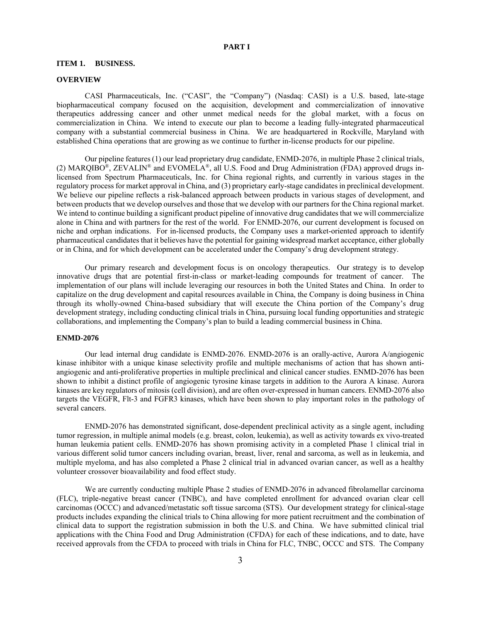# **PART I**

#### **ITEM 1. BUSINESS.**

#### **OVERVIEW**

CASI Pharmaceuticals, Inc. ("CASI", the "Company") (Nasdaq: CASI) is a U.S. based, late-stage biopharmaceutical company focused on the acquisition, development and commercialization of innovative therapeutics addressing cancer and other unmet medical needs for the global market, with a focus on commercialization in China. We intend to execute our plan to become a leading fully-integrated pharmaceutical company with a substantial commercial business in China. We are headquartered in Rockville, Maryland with established China operations that are growing as we continue to further in-license products for our pipeline.

Our pipeline features (1) our lead proprietary drug candidate, ENMD-2076, in multiple Phase 2 clinical trials, (2) MARQIBO®, ZEVALIN® and EVOMELA®, all U.S. Food and Drug Administration (FDA) approved drugs inlicensed from Spectrum Pharmaceuticals, Inc. for China regional rights, and currently in various stages in the regulatory process for market approval in China, and (3) proprietary early-stage candidates in preclinical development. We believe our pipeline reflects a risk-balanced approach between products in various stages of development, and between products that we develop ourselves and those that we develop with our partners for the China regional market. We intend to continue building a significant product pipeline of innovative drug candidates that we will commercialize alone in China and with partners for the rest of the world. For ENMD-2076, our current development is focused on niche and orphan indications. For in-licensed products, the Company uses a market-oriented approach to identify pharmaceutical candidates that it believes have the potential for gaining widespread market acceptance, either globally or in China, and for which development can be accelerated under the Company's drug development strategy.

Our primary research and development focus is on oncology therapeutics. Our strategy is to develop innovative drugs that are potential first-in-class or market-leading compounds for treatment of cancer. The implementation of our plans will include leveraging our resources in both the United States and China. In order to capitalize on the drug development and capital resources available in China, the Company is doing business in China through its wholly-owned China-based subsidiary that will execute the China portion of the Company's drug development strategy, including conducting clinical trials in China, pursuing local funding opportunities and strategic collaborations, and implementing the Company's plan to build a leading commercial business in China.

# **ENMD-2076**

Our lead internal drug candidate is ENMD-2076. ENMD-2076 is an orally-active, Aurora A/angiogenic kinase inhibitor with a unique kinase selectivity profile and multiple mechanisms of action that has shown antiangiogenic and anti-proliferative properties in multiple preclinical and clinical cancer studies. ENMD-2076 has been shown to inhibit a distinct profile of angiogenic tyrosine kinase targets in addition to the Aurora A kinase. Aurora kinases are key regulators of mitosis (cell division), and are often over-expressed in human cancers. ENMD-2076 also targets the VEGFR, Flt-3 and FGFR3 kinases, which have been shown to play important roles in the pathology of several cancers.

ENMD-2076 has demonstrated significant, dose-dependent preclinical activity as a single agent, including tumor regression, in multiple animal models (e.g. breast, colon, leukemia), as well as activity towards ex vivo-treated human leukemia patient cells. ENMD-2076 has shown promising activity in a completed Phase 1 clinical trial in various different solid tumor cancers including ovarian, breast, liver, renal and sarcoma, as well as in leukemia, and multiple myeloma, and has also completed a Phase 2 clinical trial in advanced ovarian cancer, as well as a healthy volunteer crossover bioavailability and food effect study.

We are currently conducting multiple Phase 2 studies of ENMD-2076 in advanced fibrolamellar carcinoma (FLC), triple-negative breast cancer (TNBC), and have completed enrollment for advanced ovarian clear cell carcinomas (OCCC) and advanced/metastatic soft tissue sarcoma (STS). Our development strategy for clinical-stage products includes expanding the clinical trials to China allowing for more patient recruitment and the combination of clinical data to support the registration submission in both the U.S. and China. We have submitted clinical trial applications with the China Food and Drug Administration (CFDA) for each of these indications, and to date, have received approvals from the CFDA to proceed with trials in China for FLC, TNBC, OCCC and STS. The Company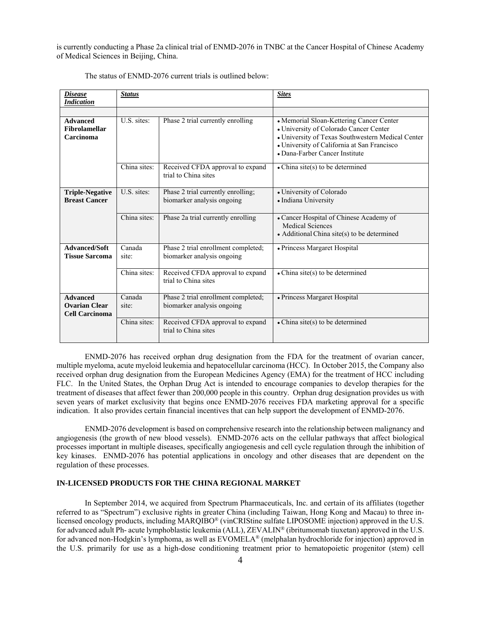is currently conducting a Phase 2a clinical trial of ENMD-2076 in TNBC at the Cancer Hospital of Chinese Academy of Medical Sciences in Beijing, China.

| <i><b>Disease</b></i><br><b>Indication</b>                       | <b>Status</b>   |                                                                   | <b>Sites</b>                                                                                                                                                                                                             |
|------------------------------------------------------------------|-----------------|-------------------------------------------------------------------|--------------------------------------------------------------------------------------------------------------------------------------------------------------------------------------------------------------------------|
|                                                                  |                 |                                                                   |                                                                                                                                                                                                                          |
| <b>Advanced</b><br>Fibrolamellar<br>Carcinoma                    | U.S. sites:     | Phase 2 trial currently enrolling                                 | • Memorial Sloan-Kettering Cancer Center<br>• University of Colorado Cancer Center<br>• University of Texas Southwestern Medical Center<br>• University of California at San Francisco<br>• Dana-Farber Cancer Institute |
|                                                                  | China sites:    | Received CFDA approval to expand<br>trial to China sites          | $\bullet$ China site(s) to be determined                                                                                                                                                                                 |
| <b>Triple-Negative</b><br><b>Breast Cancer</b>                   | U.S. sites:     | Phase 2 trial currently enrolling;<br>biomarker analysis ongoing  | • University of Colorado<br>• Indiana University                                                                                                                                                                         |
|                                                                  | China sites:    | Phase 2a trial currently enrolling                                | • Cancer Hospital of Chinese Academy of<br><b>Medical Sciences</b><br>$\bullet$ Additional China site(s) to be determined                                                                                                |
| <b>Advanced/Soft</b><br><b>Tissue Sarcoma</b>                    | Canada<br>site: | Phase 2 trial enrollment completed;<br>biomarker analysis ongoing | · Princess Margaret Hospital                                                                                                                                                                                             |
|                                                                  | China sites:    | Received CFDA approval to expand<br>trial to China sites          | $\bullet$ China site(s) to be determined                                                                                                                                                                                 |
| <b>Advanced</b><br><b>Ovarian Clear</b><br><b>Cell Carcinoma</b> | Canada<br>site: | Phase 2 trial enrollment completed;<br>biomarker analysis ongoing | • Princess Margaret Hospital                                                                                                                                                                                             |
|                                                                  | China sites:    | Received CFDA approval to expand<br>trial to China sites          | • China site(s) to be determined                                                                                                                                                                                         |

The status of ENMD-2076 current trials is outlined below:

ENMD-2076 has received orphan drug designation from the FDA for the treatment of ovarian cancer, multiple myeloma, acute myeloid leukemia and hepatocellular carcinoma (HCC). In October 2015, the Company also received orphan drug designation from the European Medicines Agency (EMA) for the treatment of HCC including FLC. In the United States, the Orphan Drug Act is intended to encourage companies to develop therapies for the treatment of diseases that affect fewer than 200,000 people in this country. Orphan drug designation provides us with seven years of market exclusivity that begins once ENMD-2076 receives FDA marketing approval for a specific indication. It also provides certain financial incentives that can help support the development of ENMD-2076.

ENMD-2076 development is based on comprehensive research into the relationship between malignancy and angiogenesis (the growth of new blood vessels). ENMD-2076 acts on the cellular pathways that affect biological processes important in multiple diseases, specifically angiogenesis and cell cycle regulation through the inhibition of key kinases. ENMD-2076 has potential applications in oncology and other diseases that are dependent on the regulation of these processes.

## **IN-LICENSED PRODUCTS FOR THE CHINA REGIONAL MARKET**

In September 2014, we acquired from Spectrum Pharmaceuticals, Inc. and certain of its affiliates (together referred to as "Spectrum") exclusive rights in greater China (including Taiwan, Hong Kong and Macau) to three inlicensed oncology products, including MARQIBO® (vinCRIStine sulfate LIPOSOME injection) approved in the U.S. for advanced adult Ph- acute lymphoblastic leukemia (ALL), ZEVALIN® (ibritumomab tiuxetan) approved in the U.S. for advanced non-Hodgkin's lymphoma, as well as EVOMELA® (melphalan hydrochloride for injection) approved in the U.S. primarily for use as a high-dose conditioning treatment prior to hematopoietic progenitor (stem) cell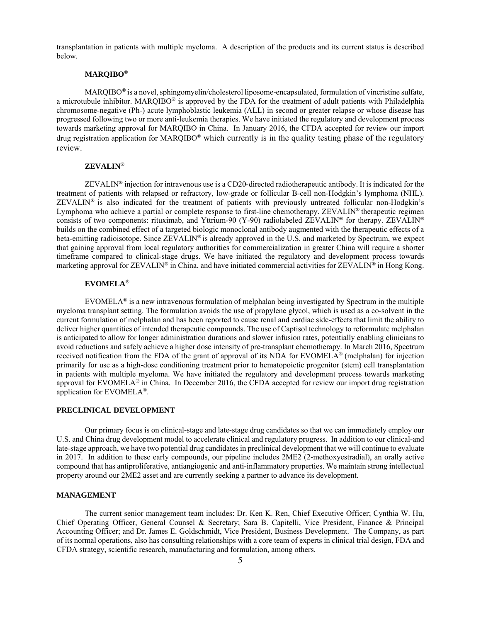transplantation in patients with multiple myeloma. A description of the products and its current status is described below.

# **MARQIBO®**

MARQIBO**®** is a novel, sphingomyelin/cholesterol liposome-encapsulated, formulation of vincristine sulfate, a microtubule inhibitor. MARQIBO**®** is approved by the FDA for the treatment of adult patients with Philadelphia chromosome-negative (Ph-) acute lymphoblastic leukemia (ALL) in second or greater relapse or whose disease has progressed following two or more anti-leukemia therapies. We have initiated the regulatory and development process towards marketing approval for MARQIBO in China. In January 2016, the CFDA accepted for review our import drug registration application for MARQIBO® which currently is in the quality testing phase of the regulatory review.

### **ZEVALIN®**

ZEVALIN**®** injection for intravenous use is a CD20-directed radiotherapeutic antibody. It is indicated for the treatment of patients with relapsed or refractory, low-grade or follicular B-cell non-Hodgkin's lymphoma (NHL). ZEVALIN**®** is also indicated for the treatment of patients with previously untreated follicular non-Hodgkin's Lymphoma who achieve a partial or complete response to first-line chemotherapy. ZEVALIN**®** therapeutic regimen consists of two components: rituximab, and Yttrium-90 (Y-90) radiolabeled ZEVALIN**®** for therapy. ZEVALIN**®**  builds on the combined effect of a targeted biologic monoclonal antibody augmented with the therapeutic effects of a beta-emitting radioisotope. Since ZEVALIN**®** is already approved in the U.S. and marketed by Spectrum, we expect that gaining approval from local regulatory authorities for commercialization in greater China will require a shorter timeframe compared to clinical-stage drugs. We have initiated the regulatory and development process towards marketing approval for ZEVALIN**®** in China, and have initiated commercial activities for ZEVALIN**®** in Hong Kong.

# **EVOMELA**®

EVOMELA<sup>®</sup> is a new intravenous formulation of melphalan being investigated by Spectrum in the multiple myeloma transplant setting. The formulation avoids the use of propylene glycol, which is used as a co-solvent in the current formulation of melphalan and has been reported to cause renal and cardiac side-effects that limit the ability to deliver higher quantities of intended therapeutic compounds. The use of Captisol technology to reformulate melphalan is anticipated to allow for longer administration durations and slower infusion rates, potentially enabling clinicians to avoid reductions and safely achieve a higher dose intensity of pre-transplant chemotherapy. In March 2016, Spectrum received notification from the FDA of the grant of approval of its NDA for EVOMELA® (melphalan) for injection primarily for use as a high-dose conditioning treatment prior to hematopoietic progenitor (stem) cell transplantation in patients with multiple myeloma. We have initiated the regulatory and development process towards marketing approval for EVOMELA<sup>®</sup> in China. In December 2016, the CFDA accepted for review our import drug registration application for EVOMELA®.

### **PRECLINICAL DEVELOPMENT**

Our primary focus is on clinical-stage and late-stage drug candidates so that we can immediately employ our U.S. and China drug development model to accelerate clinical and regulatory progress. In addition to our clinical-and late-stage approach, we have two potential drug candidates in preclinical development that we will continue to evaluate in 2017. In addition to these early compounds, our pipeline includes 2ME2 (2-methoxyestradial), an orally active compound that has antiproliferative, antiangiogenic and anti-inflammatory properties. We maintain strong intellectual property around our 2ME2 asset and are currently seeking a partner to advance its development.

#### **MANAGEMENT**

The current senior management team includes: Dr. Ken K. Ren, Chief Executive Officer; Cynthia W. Hu, Chief Operating Officer, General Counsel & Secretary; Sara B. Capitelli, Vice President, Finance & Principal Accounting Officer; and Dr. James E. Goldschmidt, Vice President, Business Development. The Company, as part of its normal operations, also has consulting relationships with a core team of experts in clinical trial design, FDA and CFDA strategy, scientific research, manufacturing and formulation, among others.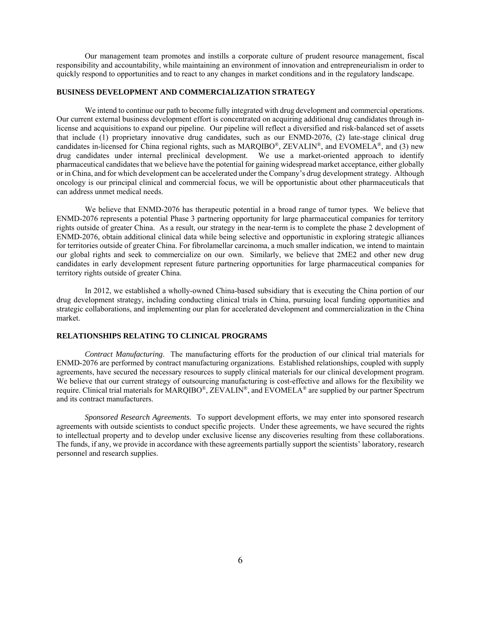Our management team promotes and instills a corporate culture of prudent resource management, fiscal responsibility and accountability, while maintaining an environment of innovation and entrepreneurialism in order to quickly respond to opportunities and to react to any changes in market conditions and in the regulatory landscape.

### **BUSINESS DEVELOPMENT AND COMMERCIALIZATION STRATEGY**

We intend to continue our path to become fully integrated with drug development and commercial operations. Our current external business development effort is concentrated on acquiring additional drug candidates through inlicense and acquisitions to expand our pipeline. Our pipeline will reflect a diversified and risk-balanced set of assets that include (1) proprietary innovative drug candidates, such as our ENMD-2076, (2) late-stage clinical drug candidates in-licensed for China regional rights, such as MARQIBO®, ZEVALIN®, and EVOMELA®, and (3) new drug candidates under internal preclinical development. We use a market-oriented approach to identify pharmaceutical candidates that we believe have the potential for gaining widespread market acceptance, either globally or in China, and for which development can be accelerated under the Company's drug development strategy. Although oncology is our principal clinical and commercial focus, we will be opportunistic about other pharmaceuticals that can address unmet medical needs.

We believe that ENMD-2076 has therapeutic potential in a broad range of tumor types. We believe that ENMD-2076 represents a potential Phase 3 partnering opportunity for large pharmaceutical companies for territory rights outside of greater China. As a result, our strategy in the near-term is to complete the phase 2 development of ENMD-2076, obtain additional clinical data while being selective and opportunistic in exploring strategic alliances for territories outside of greater China. For fibrolamellar carcinoma, a much smaller indication, we intend to maintain our global rights and seek to commercialize on our own. Similarly, we believe that 2ME2 and other new drug candidates in early development represent future partnering opportunities for large pharmaceutical companies for territory rights outside of greater China.

In 2012, we established a wholly-owned China-based subsidiary that is executing the China portion of our drug development strategy, including conducting clinical trials in China, pursuing local funding opportunities and strategic collaborations, and implementing our plan for accelerated development and commercialization in the China market.

# **RELATIONSHIPS RELATING TO CLINICAL PROGRAMS**

*Contract Manufacturing*. The manufacturing efforts for the production of our clinical trial materials for ENMD-2076 are performed by contract manufacturing organizations. Established relationships, coupled with supply agreements, have secured the necessary resources to supply clinical materials for our clinical development program. We believe that our current strategy of outsourcing manufacturing is cost-effective and allows for the flexibility we require. Clinical trial materials for MARQIBO®, ZEVALIN®, and EVOMELA® are supplied by our partner Spectrum and its contract manufacturers.

*Sponsored Research Agreements.* To support development efforts, we may enter into sponsored research agreements with outside scientists to conduct specific projects. Under these agreements, we have secured the rights to intellectual property and to develop under exclusive license any discoveries resulting from these collaborations. The funds, if any, we provide in accordance with these agreements partially support the scientists' laboratory, research personnel and research supplies.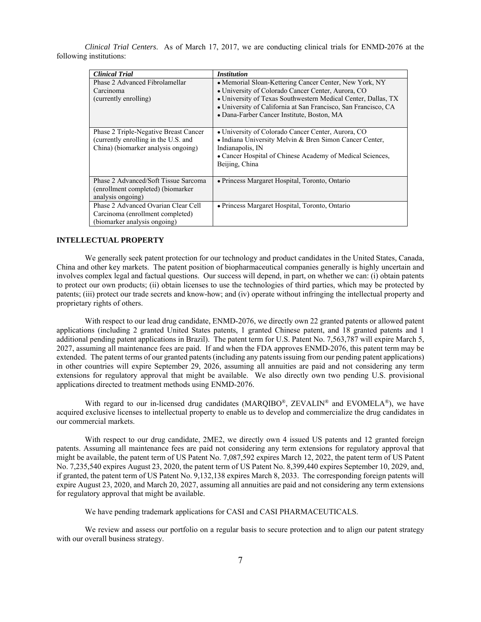*Clinical Trial Centers*. As of March 17, 2017, we are conducting clinical trials for ENMD-2076 at the following institutions:

| <b>Clinical Trial</b>                                                                                                | <b>Institution</b>                                                                                                                                                                                                                                                                            |
|----------------------------------------------------------------------------------------------------------------------|-----------------------------------------------------------------------------------------------------------------------------------------------------------------------------------------------------------------------------------------------------------------------------------------------|
| Phase 2 Advanced Fibrolamellar<br>Carcinoma<br>(currently enrolling)                                                 | • Memorial Sloan-Kettering Cancer Center, New York, NY<br>• University of Colorado Cancer Center, Aurora, CO<br>• University of Texas Southwestern Medical Center, Dallas, TX<br>• University of California at San Francisco, San Francisco, CA<br>• Dana-Farber Cancer Institute, Boston, MA |
| Phase 2 Triple-Negative Breast Cancer<br>(currently enrolling in the U.S. and<br>China) (biomarker analysis ongoing) | • University of Colorado Cancer Center, Aurora, CO<br>• Indiana University Melvin & Bren Simon Cancer Center,<br>Indianapolis, IN<br>• Cancer Hospital of Chinese Academy of Medical Sciences,<br>Beijing, China                                                                              |
| Phase 2 Advanced/Soft Tissue Sarcoma<br>(enrollment completed) (biomarker<br>analysis ongoing)                       | • Princess Margaret Hospital, Toronto, Ontario                                                                                                                                                                                                                                                |
| Phase 2 Advanced Ovarian Clear Cell<br>Carcinoma (enrollment completed)<br>(biomarker analysis ongoing)              | • Princess Margaret Hospital, Toronto, Ontario                                                                                                                                                                                                                                                |

#### **INTELLECTUAL PROPERTY**

We generally seek patent protection for our technology and product candidates in the United States, Canada, China and other key markets. The patent position of biopharmaceutical companies generally is highly uncertain and involves complex legal and factual questions. Our success will depend, in part, on whether we can: (i) obtain patents to protect our own products; (ii) obtain licenses to use the technologies of third parties, which may be protected by patents; (iii) protect our trade secrets and know-how; and (iv) operate without infringing the intellectual property and proprietary rights of others.

With respect to our lead drug candidate, ENMD-2076, we directly own 22 granted patents or allowed patent applications (including 2 granted United States patents, 1 granted Chinese patent, and 18 granted patents and 1 additional pending patent applications in Brazil). The patent term for U.S. Patent No. 7,563,787 will expire March 5, 2027, assuming all maintenance fees are paid. If and when the FDA approves ENMD-2076, this patent term may be extended. The patent terms of our granted patents (including any patents issuing from our pending patent applications) in other countries will expire September 29, 2026, assuming all annuities are paid and not considering any term extensions for regulatory approval that might be available. We also directly own two pending U.S. provisional applications directed to treatment methods using ENMD-2076.

With regard to our in-licensed drug candidates (MAROIBO<sup>®</sup>, ZEVALIN<sup>®</sup> and EVOMELA<sup>®</sup>), we have acquired exclusive licenses to intellectual property to enable us to develop and commercialize the drug candidates in our commercial markets.

With respect to our drug candidate, 2ME2, we directly own 4 issued US patents and 12 granted foreign patents. Assuming all maintenance fees are paid not considering any term extensions for regulatory approval that might be available, the patent term of US Patent No. 7,087,592 expires March 12, 2022, the patent term of US Patent No. 7,235,540 expires August 23, 2020, the patent term of US Patent No. 8,399,440 expires September 10, 2029, and, if granted, the patent term of US Patent No. 9,132,138 expires March 8, 2033. The corresponding foreign patents will expire August 23, 2020, and March 20, 2027, assuming all annuities are paid and not considering any term extensions for regulatory approval that might be available.

We have pending trademark applications for CASI and CASI PHARMACEUTICALS.

We review and assess our portfolio on a regular basis to secure protection and to align our patent strategy with our overall business strategy.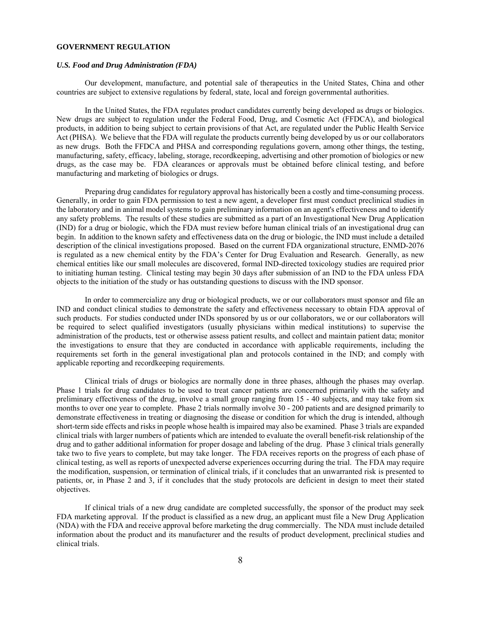### **GOVERNMENT REGULATION**

#### *U.S. Food and Drug Administration (FDA)*

Our development, manufacture, and potential sale of therapeutics in the United States, China and other countries are subject to extensive regulations by federal, state, local and foreign governmental authorities.

In the United States, the FDA regulates product candidates currently being developed as drugs or biologics. New drugs are subject to regulation under the Federal Food, Drug, and Cosmetic Act (FFDCA), and biological products, in addition to being subject to certain provisions of that Act, are regulated under the Public Health Service Act (PHSA). We believe that the FDA will regulate the products currently being developed by us or our collaborators as new drugs. Both the FFDCA and PHSA and corresponding regulations govern, among other things, the testing, manufacturing, safety, efficacy, labeling, storage, recordkeeping, advertising and other promotion of biologics or new drugs, as the case may be. FDA clearances or approvals must be obtained before clinical testing, and before manufacturing and marketing of biologics or drugs.

Preparing drug candidates for regulatory approval has historically been a costly and time-consuming process. Generally, in order to gain FDA permission to test a new agent, a developer first must conduct preclinical studies in the laboratory and in animal model systems to gain preliminary information on an agent's effectiveness and to identify any safety problems. The results of these studies are submitted as a part of an Investigational New Drug Application (IND) for a drug or biologic, which the FDA must review before human clinical trials of an investigational drug can begin. In addition to the known safety and effectiveness data on the drug or biologic, the IND must include a detailed description of the clinical investigations proposed. Based on the current FDA organizational structure, ENMD-2076 is regulated as a new chemical entity by the FDA's Center for Drug Evaluation and Research. Generally, as new chemical entities like our small molecules are discovered, formal IND-directed toxicology studies are required prior to initiating human testing. Clinical testing may begin 30 days after submission of an IND to the FDA unless FDA objects to the initiation of the study or has outstanding questions to discuss with the IND sponsor.

In order to commercialize any drug or biological products, we or our collaborators must sponsor and file an IND and conduct clinical studies to demonstrate the safety and effectiveness necessary to obtain FDA approval of such products. For studies conducted under INDs sponsored by us or our collaborators, we or our collaborators will be required to select qualified investigators (usually physicians within medical institutions) to supervise the administration of the products, test or otherwise assess patient results, and collect and maintain patient data; monitor the investigations to ensure that they are conducted in accordance with applicable requirements, including the requirements set forth in the general investigational plan and protocols contained in the IND; and comply with applicable reporting and recordkeeping requirements.

Clinical trials of drugs or biologics are normally done in three phases, although the phases may overlap. Phase 1 trials for drug candidates to be used to treat cancer patients are concerned primarily with the safety and preliminary effectiveness of the drug, involve a small group ranging from 15 - 40 subjects, and may take from six months to over one year to complete. Phase 2 trials normally involve 30 - 200 patients and are designed primarily to demonstrate effectiveness in treating or diagnosing the disease or condition for which the drug is intended, although short-term side effects and risks in people whose health is impaired may also be examined. Phase 3 trials are expanded clinical trials with larger numbers of patients which are intended to evaluate the overall benefit-risk relationship of the drug and to gather additional information for proper dosage and labeling of the drug. Phase 3 clinical trials generally take two to five years to complete, but may take longer. The FDA receives reports on the progress of each phase of clinical testing, as well as reports of unexpected adverse experiences occurring during the trial. The FDA may require the modification, suspension, or termination of clinical trials, if it concludes that an unwarranted risk is presented to patients, or, in Phase 2 and 3, if it concludes that the study protocols are deficient in design to meet their stated objectives.

If clinical trials of a new drug candidate are completed successfully, the sponsor of the product may seek FDA marketing approval. If the product is classified as a new drug, an applicant must file a New Drug Application (NDA) with the FDA and receive approval before marketing the drug commercially. The NDA must include detailed information about the product and its manufacturer and the results of product development, preclinical studies and clinical trials.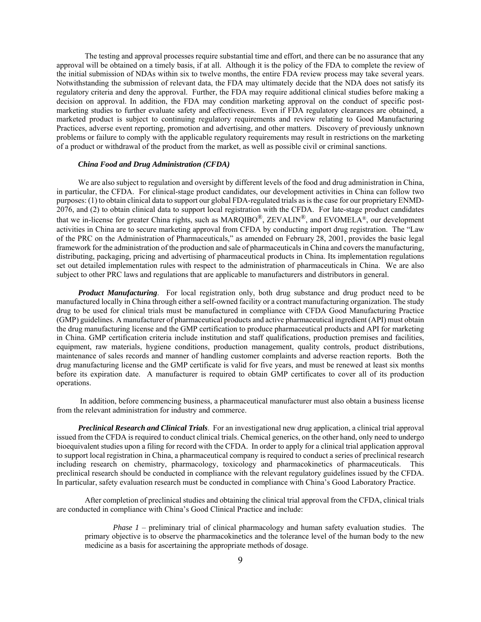The testing and approval processes require substantial time and effort, and there can be no assurance that any approval will be obtained on a timely basis, if at all. Although it is the policy of the FDA to complete the review of the initial submission of NDAs within six to twelve months, the entire FDA review process may take several years. Notwithstanding the submission of relevant data, the FDA may ultimately decide that the NDA does not satisfy its regulatory criteria and deny the approval. Further, the FDA may require additional clinical studies before making a decision on approval. In addition, the FDA may condition marketing approval on the conduct of specific postmarketing studies to further evaluate safety and effectiveness. Even if FDA regulatory clearances are obtained, a marketed product is subject to continuing regulatory requirements and review relating to Good Manufacturing Practices, adverse event reporting, promotion and advertising, and other matters. Discovery of previously unknown problems or failure to comply with the applicable regulatory requirements may result in restrictions on the marketing of a product or withdrawal of the product from the market, as well as possible civil or criminal sanctions.

### *China Food and Drug Administration (CFDA)*

We are also subject to regulation and oversight by different levels of the food and drug administration in China, in particular, the CFDA. For clinical-stage product candidates, our development activities in China can follow two purposes: (1) to obtain clinical data to support our global FDA-regulated trials as is the case for our proprietary ENMD-2076, and (2) to obtain clinical data to support local registration with the CFDA. For late-stage product candidates that we in-license for greater China rights, such as MARQIBO®, ZEVALIN®, and EVOMELA®, our development activities in China are to secure marketing approval from CFDA by conducting import drug registration. The "Law of the PRC on the Administration of Pharmaceuticals," as amended on February 28, 2001, provides the basic legal framework for the administration of the production and sale of pharmaceuticals in China and covers the manufacturing, distributing, packaging, pricing and advertising of pharmaceutical products in China. Its implementation regulations set out detailed implementation rules with respect to the administration of pharmaceuticals in China. We are also subject to other PRC laws and regulations that are applicable to manufacturers and distributors in general.

*Product Manufacturing*. For local registration only, both drug substance and drug product need to be manufactured locally in China through either a self-owned facility or a contract manufacturing organization. The study drug to be used for clinical trials must be manufactured in compliance with CFDA Good Manufacturing Practice (GMP) guidelines. A manufacturer of pharmaceutical products and active pharmaceutical ingredient (API) must obtain the drug manufacturing license and the GMP certification to produce pharmaceutical products and API for marketing in China. GMP certification criteria include institution and staff qualifications, production premises and facilities, equipment, raw materials, hygiene conditions, production management, quality controls, product distributions, maintenance of sales records and manner of handling customer complaints and adverse reaction reports. Both the drug manufacturing license and the GMP certificate is valid for five years, and must be renewed at least six months before its expiration date. A manufacturer is required to obtain GMP certificates to cover all of its production operations.

 In addition, before commencing business, a pharmaceutical manufacturer must also obtain a business license from the relevant administration for industry and commerce.

*Preclinical Research and Clinical Trials*. For an investigational new drug application, a clinical trial approval issued from the CFDA is required to conduct clinical trials. Chemical generics, on the other hand, only need to undergo bioequivalent studies upon a filing for record with the CFDA. In order to apply for a clinical trial application approval to support local registration in China, a pharmaceutical company is required to conduct a series of preclinical research including research on chemistry, pharmacology, toxicology and pharmacokinetics of pharmaceuticals. This preclinical research should be conducted in compliance with the relevant regulatory guidelines issued by the CFDA. In particular, safety evaluation research must be conducted in compliance with China's Good Laboratory Practice.

After completion of preclinical studies and obtaining the clinical trial approval from the CFDA, clinical trials are conducted in compliance with China's Good Clinical Practice and include:

*Phase 1* – preliminary trial of clinical pharmacology and human safety evaluation studies. The primary objective is to observe the pharmacokinetics and the tolerance level of the human body to the new medicine as a basis for ascertaining the appropriate methods of dosage.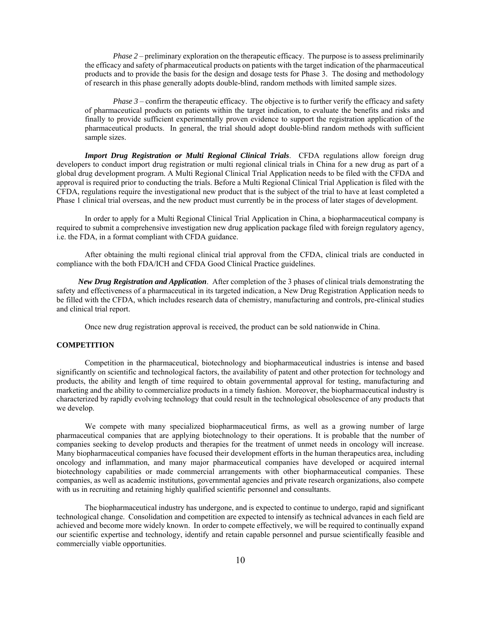*Phase 2 – preliminary exploration on the therapeutic efficacy. The purpose is to assess preliminarily* the efficacy and safety of pharmaceutical products on patients with the target indication of the pharmaceutical products and to provide the basis for the design and dosage tests for Phase 3. The dosing and methodology of research in this phase generally adopts double-blind, random methods with limited sample sizes.

*Phase 3* – confirm the therapeutic efficacy. The objective is to further verify the efficacy and safety of pharmaceutical products on patients within the target indication, to evaluate the benefits and risks and finally to provide sufficient experimentally proven evidence to support the registration application of the pharmaceutical products. In general, the trial should adopt double-blind random methods with sufficient sample sizes.

*Import Drug Registration or Multi Regional Clinical Trials*. CFDA regulations allow foreign drug developers to conduct import drug registration or multi regional clinical trials in China for a new drug as part of a global drug development program. A Multi Regional Clinical Trial Application needs to be filed with the CFDA and approval is required prior to conducting the trials. Before a Multi Regional Clinical Trial Application is filed with the CFDA, regulations require the investigational new product that is the subject of the trial to have at least completed a Phase 1 clinical trial overseas, and the new product must currently be in the process of later stages of development.

In order to apply for a Multi Regional Clinical Trial Application in China, a biopharmaceutical company is required to submit a comprehensive investigation new drug application package filed with foreign regulatory agency, i.e. the FDA, in a format compliant with CFDA guidance.

After obtaining the multi regional clinical trial approval from the CFDA, clinical trials are conducted in compliance with the both FDA/ICH and CFDA Good Clinical Practice guidelines.

*New Drug Registration and Application*. After completion of the 3 phases of clinical trials demonstrating the safety and effectiveness of a pharmaceutical in its targeted indication, a New Drug Registration Application needs to be filled with the CFDA, which includes research data of chemistry, manufacturing and controls, pre-clinical studies and clinical trial report.

Once new drug registration approval is received, the product can be sold nationwide in China.

### **COMPETITION**

Competition in the pharmaceutical, biotechnology and biopharmaceutical industries is intense and based significantly on scientific and technological factors, the availability of patent and other protection for technology and products, the ability and length of time required to obtain governmental approval for testing, manufacturing and marketing and the ability to commercialize products in a timely fashion. Moreover, the biopharmaceutical industry is characterized by rapidly evolving technology that could result in the technological obsolescence of any products that we develop.

We compete with many specialized biopharmaceutical firms, as well as a growing number of large pharmaceutical companies that are applying biotechnology to their operations. It is probable that the number of companies seeking to develop products and therapies for the treatment of unmet needs in oncology will increase. Many biopharmaceutical companies have focused their development efforts in the human therapeutics area, including oncology and inflammation, and many major pharmaceutical companies have developed or acquired internal biotechnology capabilities or made commercial arrangements with other biopharmaceutical companies. These companies, as well as academic institutions, governmental agencies and private research organizations, also compete with us in recruiting and retaining highly qualified scientific personnel and consultants.

The biopharmaceutical industry has undergone, and is expected to continue to undergo, rapid and significant technological change. Consolidation and competition are expected to intensify as technical advances in each field are achieved and become more widely known. In order to compete effectively, we will be required to continually expand our scientific expertise and technology, identify and retain capable personnel and pursue scientifically feasible and commercially viable opportunities.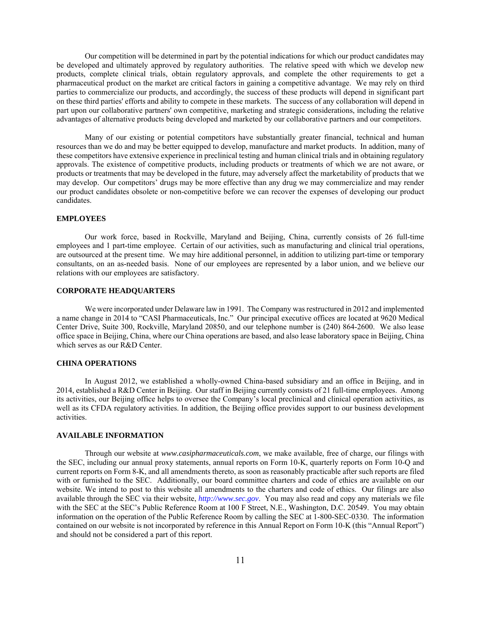Our competition will be determined in part by the potential indications for which our product candidates may be developed and ultimately approved by regulatory authorities. The relative speed with which we develop new products, complete clinical trials, obtain regulatory approvals, and complete the other requirements to get a pharmaceutical product on the market are critical factors in gaining a competitive advantage. We may rely on third parties to commercialize our products, and accordingly, the success of these products will depend in significant part on these third parties' efforts and ability to compete in these markets. The success of any collaboration will depend in part upon our collaborative partners' own competitive, marketing and strategic considerations, including the relative advantages of alternative products being developed and marketed by our collaborative partners and our competitors.

Many of our existing or potential competitors have substantially greater financial, technical and human resources than we do and may be better equipped to develop, manufacture and market products. In addition, many of these competitors have extensive experience in preclinical testing and human clinical trials and in obtaining regulatory approvals. The existence of competitive products, including products or treatments of which we are not aware, or products or treatments that may be developed in the future, may adversely affect the marketability of products that we may develop. Our competitors' drugs may be more effective than any drug we may commercialize and may render our product candidates obsolete or non-competitive before we can recover the expenses of developing our product candidates.

# **EMPLOYEES**

Our work force, based in Rockville, Maryland and Beijing, China, currently consists of 26 full-time employees and 1 part-time employee. Certain of our activities, such as manufacturing and clinical trial operations, are outsourced at the present time. We may hire additional personnel, in addition to utilizing part-time or temporary consultants, on an as-needed basis. None of our employees are represented by a labor union, and we believe our relations with our employees are satisfactory.

### **CORPORATE HEADQUARTERS**

We were incorporated under Delaware law in 1991. The Company was restructured in 2012 and implemented a name change in 2014 to "CASI Pharmaceuticals, Inc." Our principal executive offices are located at 9620 Medical Center Drive, Suite 300, Rockville, Maryland 20850, and our telephone number is (240) 864-2600. We also lease office space in Beijing, China, where our China operations are based, and also lease laboratory space in Beijing, China which serves as our R&D Center.

# **CHINA OPERATIONS**

In August 2012, we established a wholly-owned China-based subsidiary and an office in Beijing, and in 2014, established a R&D Center in Beijing. Our staff in Beijing currently consists of 21 full-time employees. Among its activities, our Beijing office helps to oversee the Company's local preclinical and clinical operation activities, as well as its CFDA regulatory activities. In addition, the Beijing office provides support to our business development activities.

### **AVAILABLE INFORMATION**

 Through our website at *www.casipharmaceuticals.com*, we make available, free of charge, our filings with the SEC, including our annual proxy statements, annual reports on Form 10-K, quarterly reports on Form 10-Q and current reports on Form 8-K, and all amendments thereto, as soon as reasonably practicable after such reports are filed with or furnished to the SEC. Additionally, our board committee charters and code of ethics are available on our website. We intend to post to this website all amendments to the charters and code of ethics. Our filings are also available through the SEC via their website, *http://www.sec.gov*. You may also read and copy any materials we file with the SEC at the SEC's Public Reference Room at 100 F Street, N.E., Washington, D.C. 20549. You may obtain information on the operation of the Public Reference Room by calling the SEC at 1-800-SEC-0330. The information contained on our website is not incorporated by reference in this Annual Report on Form 10-K (this "Annual Report") and should not be considered a part of this report.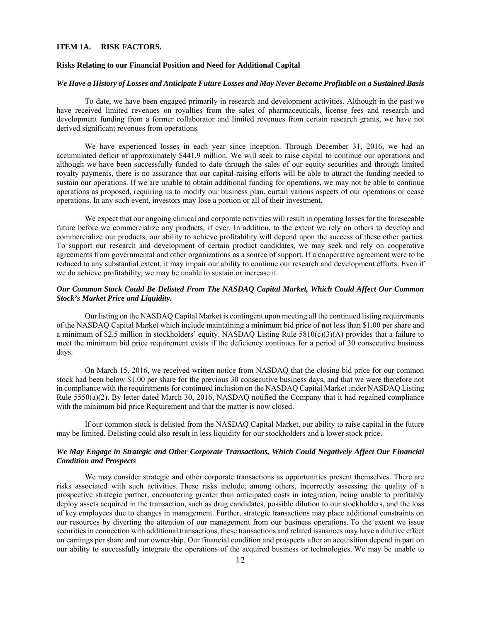### **ITEM 1A. RISK FACTORS.**

### **Risks Relating to our Financial Position and Need for Additional Capital**

### *We Have a History of Losses and Anticipate Future Losses and May Never Become Profitable on a Sustained Basis*

To date, we have been engaged primarily in research and development activities. Although in the past we have received limited revenues on royalties from the sales of pharmaceuticals, license fees and research and development funding from a former collaborator and limited revenues from certain research grants, we have not derived significant revenues from operations.

We have experienced losses in each year since inception. Through December 31, 2016, we had an accumulated deficit of approximately \$441.9 million. We will seek to raise capital to continue our operations and although we have been successfully funded to date through the sales of our equity securities and through limited royalty payments, there is no assurance that our capital-raising efforts will be able to attract the funding needed to sustain our operations. If we are unable to obtain additional funding for operations, we may not be able to continue operations as proposed, requiring us to modify our business plan, curtail various aspects of our operations or cease operations. In any such event, investors may lose a portion or all of their investment.

We expect that our ongoing clinical and corporate activities will result in operating losses for the foreseeable future before we commercialize any products, if ever. In addition, to the extent we rely on others to develop and commercialize our products, our ability to achieve profitability will depend upon the success of these other parties. To support our research and development of certain product candidates, we may seek and rely on cooperative agreements from governmental and other organizations as a source of support. If a cooperative agreement were to be reduced to any substantial extent, it may impair our ability to continue our research and development efforts. Even if we do achieve profitability, we may be unable to sustain or increase it.

# *Our Common Stock Could Be Delisted From The NASDAQ Capital Market, Which Could Affect Our Common Stock's Market Price and Liquidity.*

Our listing on the NASDAQ Capital Market is contingent upon meeting all the continued listing requirements of the NASDAQ Capital Market which include maintaining a minimum bid price of not less than \$1.00 per share and a minimum of \$2.5 million in stockholders' equity. NASDAQ Listing Rule 5810(c)(3)(A) provides that a failure to meet the minimum bid price requirement exists if the deficiency continues for a period of 30 consecutive business days.

On March 15, 2016, we received written notice from NASDAQ that the closing bid price for our common stock had been below \$1.00 per share for the previous 30 consecutive business days, and that we were therefore not in compliance with the requirements for continued inclusion on the NASDAQ Capital Market under NASDAQ Listing Rule 5550(a)(2). By letter dated March 30, 2016, NASDAQ notified the Company that it had regained compliance with the minimum bid price Requirement and that the matter is now closed.

If our common stock is delisted from the NASDAQ Capital Market, our ability to raise capital in the future may be limited. Delisting could also result in less liquidity for our stockholders and a lower stock price.

### *We May Engage in Strategic and Other Corporate Transactions, Which Could Negatively Affect Our Financial Condition and Prospects*

We may consider strategic and other corporate transactions as opportunities present themselves. There are risks associated with such activities. These risks include, among others, incorrectly assessing the quality of a prospective strategic partner, encountering greater than anticipated costs in integration, being unable to profitably deploy assets acquired in the transaction, such as drug candidates, possible dilution to our stockholders, and the loss of key employees due to changes in management. Further, strategic transactions may place additional constraints on our resources by diverting the attention of our management from our business operations. To the extent we issue securities in connection with additional transactions, these transactions and related issuances may have a dilutive effect on earnings per share and our ownership. Our financial condition and prospects after an acquisition depend in part on our ability to successfully integrate the operations of the acquired business or technologies. We may be unable to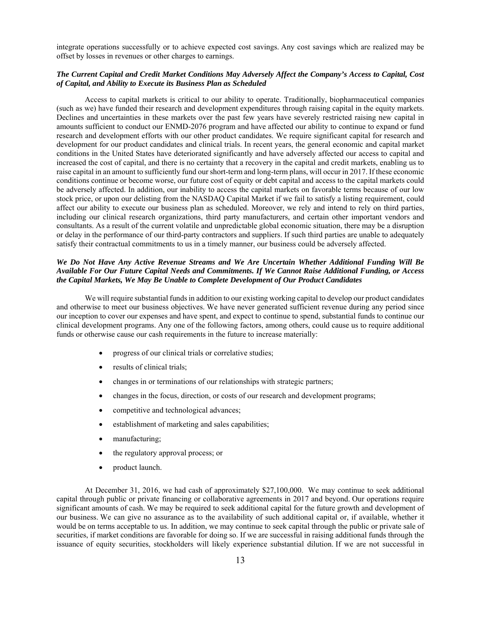integrate operations successfully or to achieve expected cost savings. Any cost savings which are realized may be offset by losses in revenues or other charges to earnings.

# *The Current Capital and Credit Market Conditions May Adversely Affect the Company's Access to Capital, Cost of Capital, and Ability to Execute its Business Plan as Scheduled*

Access to capital markets is critical to our ability to operate. Traditionally, biopharmaceutical companies (such as we) have funded their research and development expenditures through raising capital in the equity markets. Declines and uncertainties in these markets over the past few years have severely restricted raising new capital in amounts sufficient to conduct our ENMD-2076 program and have affected our ability to continue to expand or fund research and development efforts with our other product candidates. We require significant capital for research and development for our product candidates and clinical trials. In recent years, the general economic and capital market conditions in the United States have deteriorated significantly and have adversely affected our access to capital and increased the cost of capital, and there is no certainty that a recovery in the capital and credit markets, enabling us to raise capital in an amount to sufficiently fund our short-term and long-term plans, will occur in 2017. If these economic conditions continue or become worse, our future cost of equity or debt capital and access to the capital markets could be adversely affected. In addition, our inability to access the capital markets on favorable terms because of our low stock price, or upon our delisting from the NASDAQ Capital Market if we fail to satisfy a listing requirement, could affect our ability to execute our business plan as scheduled. Moreover, we rely and intend to rely on third parties, including our clinical research organizations, third party manufacturers, and certain other important vendors and consultants. As a result of the current volatile and unpredictable global economic situation, there may be a disruption or delay in the performance of our third-party contractors and suppliers. If such third parties are unable to adequately satisfy their contractual commitments to us in a timely manner, our business could be adversely affected.

# *We Do Not Have Any Active Revenue Streams and We Are Uncertain Whether Additional Funding Will Be Available For Our Future Capital Needs and Commitments. If We Cannot Raise Additional Funding, or Access the Capital Markets, We May Be Unable to Complete Development of Our Product Candidates*

We will require substantial funds in addition to our existing working capital to develop our product candidates and otherwise to meet our business objectives. We have never generated sufficient revenue during any period since our inception to cover our expenses and have spent, and expect to continue to spend, substantial funds to continue our clinical development programs. Any one of the following factors, among others, could cause us to require additional funds or otherwise cause our cash requirements in the future to increase materially:

- progress of our clinical trials or correlative studies;
- results of clinical trials;
- changes in or terminations of our relationships with strategic partners;
- changes in the focus, direction, or costs of our research and development programs;
- competitive and technological advances;
- establishment of marketing and sales capabilities;
- manufacturing;
- the regulatory approval process; or
- product launch.

At December 31, 2016, we had cash of approximately \$27,100,000. We may continue to seek additional capital through public or private financing or collaborative agreements in 2017 and beyond. Our operations require significant amounts of cash. We may be required to seek additional capital for the future growth and development of our business. We can give no assurance as to the availability of such additional capital or, if available, whether it would be on terms acceptable to us. In addition, we may continue to seek capital through the public or private sale of securities, if market conditions are favorable for doing so. If we are successful in raising additional funds through the issuance of equity securities, stockholders will likely experience substantial dilution. If we are not successful in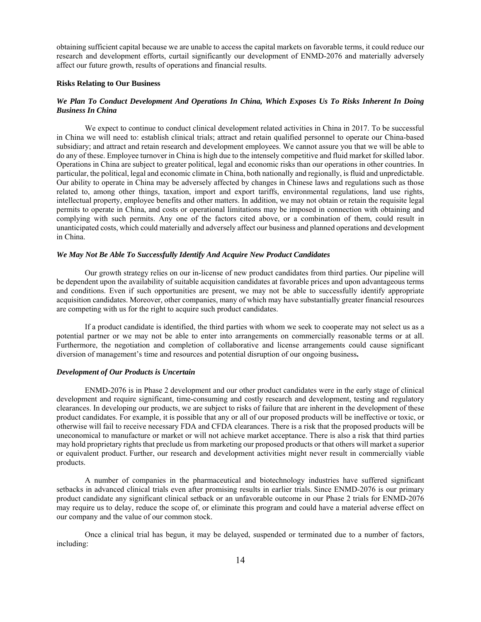obtaining sufficient capital because we are unable to access the capital markets on favorable terms, it could reduce our research and development efforts, curtail significantly our development of ENMD-2076 and materially adversely affect our future growth, results of operations and financial results.

# **Risks Relating to Our Business**

# *We Plan To Conduct Development And Operations In China, Which Exposes Us To Risks Inherent In Doing Business In China*

We expect to continue to conduct clinical development related activities in China in 2017. To be successful in China we will need to: establish clinical trials; attract and retain qualified personnel to operate our China-based subsidiary; and attract and retain research and development employees. We cannot assure you that we will be able to do any of these. Employee turnover in China is high due to the intensely competitive and fluid market for skilled labor. Operations in China are subject to greater political, legal and economic risks than our operations in other countries. In particular, the political, legal and economic climate in China, both nationally and regionally, is fluid and unpredictable. Our ability to operate in China may be adversely affected by changes in Chinese laws and regulations such as those related to, among other things, taxation, import and export tariffs, environmental regulations, land use rights, intellectual property, employee benefits and other matters. In addition, we may not obtain or retain the requisite legal permits to operate in China, and costs or operational limitations may be imposed in connection with obtaining and complying with such permits. Any one of the factors cited above, or a combination of them, could result in unanticipated costs, which could materially and adversely affect our business and planned operations and development in China.

## *We May Not Be Able To Successfully Identify And Acquire New Product Candidates*

Our growth strategy relies on our in-license of new product candidates from third parties. Our pipeline will be dependent upon the availability of suitable acquisition candidates at favorable prices and upon advantageous terms and conditions. Even if such opportunities are present, we may not be able to successfully identify appropriate acquisition candidates. Moreover, other companies, many of which may have substantially greater financial resources are competing with us for the right to acquire such product candidates.

If a product candidate is identified, the third parties with whom we seek to cooperate may not select us as a potential partner or we may not be able to enter into arrangements on commercially reasonable terms or at all. Furthermore, the negotiation and completion of collaborative and license arrangements could cause significant diversion of management's time and resources and potential disruption of our ongoing business**.** 

### *Development of Our Products is Uncertain*

ENMD-2076 is in Phase 2 development and our other product candidates were in the early stage of clinical development and require significant, time-consuming and costly research and development, testing and regulatory clearances. In developing our products, we are subject to risks of failure that are inherent in the development of these product candidates. For example, it is possible that any or all of our proposed products will be ineffective or toxic, or otherwise will fail to receive necessary FDA and CFDA clearances. There is a risk that the proposed products will be uneconomical to manufacture or market or will not achieve market acceptance. There is also a risk that third parties may hold proprietary rights that preclude us from marketing our proposed products or that others will market a superior or equivalent product. Further, our research and development activities might never result in commercially viable products.

A number of companies in the pharmaceutical and biotechnology industries have suffered significant setbacks in advanced clinical trials even after promising results in earlier trials. Since ENMD-2076 is our primary product candidate any significant clinical setback or an unfavorable outcome in our Phase 2 trials for ENMD-2076 may require us to delay, reduce the scope of, or eliminate this program and could have a material adverse effect on our company and the value of our common stock.

Once a clinical trial has begun, it may be delayed, suspended or terminated due to a number of factors, including: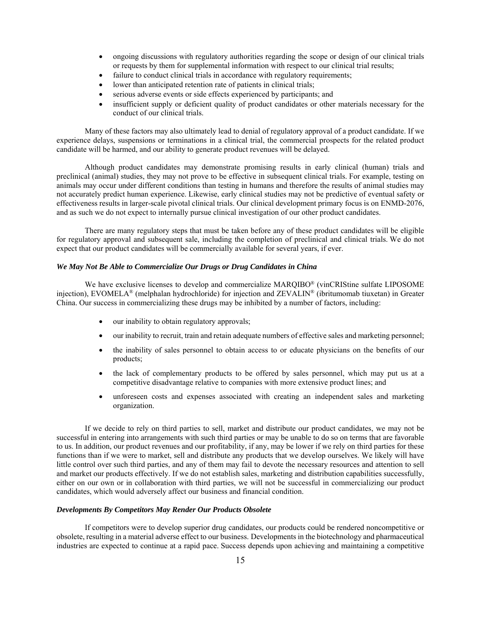- ongoing discussions with regulatory authorities regarding the scope or design of our clinical trials or requests by them for supplemental information with respect to our clinical trial results;
- failure to conduct clinical trials in accordance with regulatory requirements;
- lower than anticipated retention rate of patients in clinical trials;
- serious adverse events or side effects experienced by participants; and
- insufficient supply or deficient quality of product candidates or other materials necessary for the conduct of our clinical trials.

Many of these factors may also ultimately lead to denial of regulatory approval of a product candidate. If we experience delays, suspensions or terminations in a clinical trial, the commercial prospects for the related product candidate will be harmed, and our ability to generate product revenues will be delayed.

Although product candidates may demonstrate promising results in early clinical (human) trials and preclinical (animal) studies, they may not prove to be effective in subsequent clinical trials. For example, testing on animals may occur under different conditions than testing in humans and therefore the results of animal studies may not accurately predict human experience. Likewise, early clinical studies may not be predictive of eventual safety or effectiveness results in larger-scale pivotal clinical trials. Our clinical development primary focus is on ENMD-2076, and as such we do not expect to internally pursue clinical investigation of our other product candidates.

There are many regulatory steps that must be taken before any of these product candidates will be eligible for regulatory approval and subsequent sale, including the completion of preclinical and clinical trials. We do not expect that our product candidates will be commercially available for several years, if ever.

#### *We May Not Be Able to Commercialize Our Drugs or Drug Candidates in China*

We have exclusive licenses to develop and commercialize MARQIBO® (vinCRIStine sulfate LIPOSOME injection), EVOMELA® (melphalan hydrochloride) for injection and ZEVALIN® (ibritumomab tiuxetan) in Greater China. Our success in commercializing these drugs may be inhibited by a number of factors, including:

- our inability to obtain regulatory approvals;
- our inability to recruit, train and retain adequate numbers of effective sales and marketing personnel;
- the inability of sales personnel to obtain access to or educate physicians on the benefits of our products;
- the lack of complementary products to be offered by sales personnel, which may put us at a competitive disadvantage relative to companies with more extensive product lines; and
- unforeseen costs and expenses associated with creating an independent sales and marketing organization.

If we decide to rely on third parties to sell, market and distribute our product candidates, we may not be successful in entering into arrangements with such third parties or may be unable to do so on terms that are favorable to us. In addition, our product revenues and our profitability, if any, may be lower if we rely on third parties for these functions than if we were to market, sell and distribute any products that we develop ourselves. We likely will have little control over such third parties, and any of them may fail to devote the necessary resources and attention to sell and market our products effectively. If we do not establish sales, marketing and distribution capabilities successfully, either on our own or in collaboration with third parties, we will not be successful in commercializing our product candidates, which would adversely affect our business and financial condition.

# *Developments By Competitors May Render Our Products Obsolete*

If competitors were to develop superior drug candidates, our products could be rendered noncompetitive or obsolete, resulting in a material adverse effect to our business. Developments in the biotechnology and pharmaceutical industries are expected to continue at a rapid pace. Success depends upon achieving and maintaining a competitive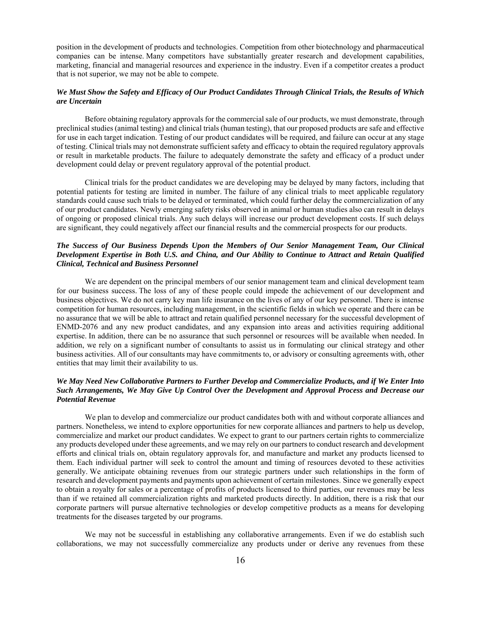position in the development of products and technologies. Competition from other biotechnology and pharmaceutical companies can be intense. Many competitors have substantially greater research and development capabilities, marketing, financial and managerial resources and experience in the industry. Even if a competitor creates a product that is not superior, we may not be able to compete.

# *We Must Show the Safety and Efficacy of Our Product Candidates Through Clinical Trials, the Results of Which are Uncertain*

Before obtaining regulatory approvals for the commercial sale of our products, we must demonstrate, through preclinical studies (animal testing) and clinical trials (human testing), that our proposed products are safe and effective for use in each target indication. Testing of our product candidates will be required, and failure can occur at any stage of testing. Clinical trials may not demonstrate sufficient safety and efficacy to obtain the required regulatory approvals or result in marketable products. The failure to adequately demonstrate the safety and efficacy of a product under development could delay or prevent regulatory approval of the potential product.

Clinical trials for the product candidates we are developing may be delayed by many factors, including that potential patients for testing are limited in number. The failure of any clinical trials to meet applicable regulatory standards could cause such trials to be delayed or terminated, which could further delay the commercialization of any of our product candidates. Newly emerging safety risks observed in animal or human studies also can result in delays of ongoing or proposed clinical trials. Any such delays will increase our product development costs. If such delays are significant, they could negatively affect our financial results and the commercial prospects for our products.

# *The Success of Our Business Depends Upon the Members of Our Senior Management Team, Our Clinical Development Expertise in Both U.S. and China, and Our Ability to Continue to Attract and Retain Qualified Clinical, Technical and Business Personnel*

We are dependent on the principal members of our senior management team and clinical development team for our business success. The loss of any of these people could impede the achievement of our development and business objectives. We do not carry key man life insurance on the lives of any of our key personnel. There is intense competition for human resources, including management, in the scientific fields in which we operate and there can be no assurance that we will be able to attract and retain qualified personnel necessary for the successful development of ENMD-2076 and any new product candidates, and any expansion into areas and activities requiring additional expertise. In addition, there can be no assurance that such personnel or resources will be available when needed. In addition, we rely on a significant number of consultants to assist us in formulating our clinical strategy and other business activities. All of our consultants may have commitments to, or advisory or consulting agreements with, other entities that may limit their availability to us.

# *We May Need New Collaborative Partners to Further Develop and Commercialize Products, and if We Enter Into Such Arrangements, We May Give Up Control Over the Development and Approval Process and Decrease our Potential Revenue*

We plan to develop and commercialize our product candidates both with and without corporate alliances and partners. Nonetheless, we intend to explore opportunities for new corporate alliances and partners to help us develop, commercialize and market our product candidates. We expect to grant to our partners certain rights to commercialize any products developed under these agreements, and we may rely on our partners to conduct research and development efforts and clinical trials on, obtain regulatory approvals for, and manufacture and market any products licensed to them. Each individual partner will seek to control the amount and timing of resources devoted to these activities generally. We anticipate obtaining revenues from our strategic partners under such relationships in the form of research and development payments and payments upon achievement of certain milestones. Since we generally expect to obtain a royalty for sales or a percentage of profits of products licensed to third parties, our revenues may be less than if we retained all commercialization rights and marketed products directly. In addition, there is a risk that our corporate partners will pursue alternative technologies or develop competitive products as a means for developing treatments for the diseases targeted by our programs.

We may not be successful in establishing any collaborative arrangements. Even if we do establish such collaborations, we may not successfully commercialize any products under or derive any revenues from these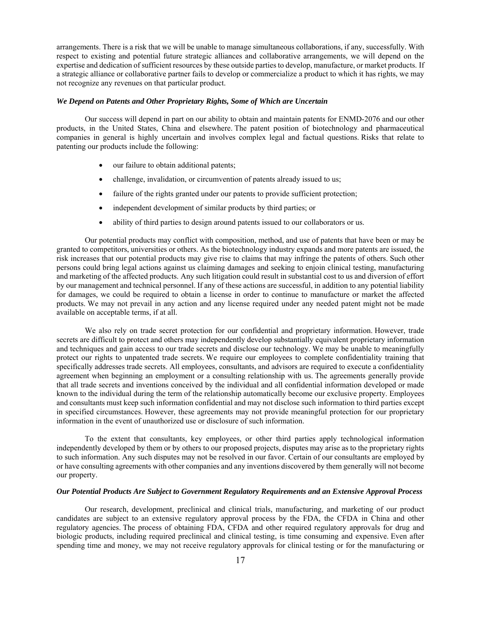arrangements. There is a risk that we will be unable to manage simultaneous collaborations, if any, successfully. With respect to existing and potential future strategic alliances and collaborative arrangements, we will depend on the expertise and dedication of sufficient resources by these outside parties to develop, manufacture, or market products. If a strategic alliance or collaborative partner fails to develop or commercialize a product to which it has rights, we may not recognize any revenues on that particular product.

# *We Depend on Patents and Other Proprietary Rights, Some of Which are Uncertain*

Our success will depend in part on our ability to obtain and maintain patents for ENMD-2076 and our other products, in the United States, China and elsewhere. The patent position of biotechnology and pharmaceutical companies in general is highly uncertain and involves complex legal and factual questions. Risks that relate to patenting our products include the following:

- our failure to obtain additional patents;
- challenge, invalidation, or circumvention of patents already issued to us;
- failure of the rights granted under our patents to provide sufficient protection;
- independent development of similar products by third parties; or
- ability of third parties to design around patents issued to our collaborators or us.

Our potential products may conflict with composition, method, and use of patents that have been or may be granted to competitors, universities or others. As the biotechnology industry expands and more patents are issued, the risk increases that our potential products may give rise to claims that may infringe the patents of others. Such other persons could bring legal actions against us claiming damages and seeking to enjoin clinical testing, manufacturing and marketing of the affected products. Any such litigation could result in substantial cost to us and diversion of effort by our management and technical personnel. If any of these actions are successful, in addition to any potential liability for damages, we could be required to obtain a license in order to continue to manufacture or market the affected products. We may not prevail in any action and any license required under any needed patent might not be made available on acceptable terms, if at all.

We also rely on trade secret protection for our confidential and proprietary information. However, trade secrets are difficult to protect and others may independently develop substantially equivalent proprietary information and techniques and gain access to our trade secrets and disclose our technology. We may be unable to meaningfully protect our rights to unpatented trade secrets. We require our employees to complete confidentiality training that specifically addresses trade secrets. All employees, consultants, and advisors are required to execute a confidentiality agreement when beginning an employment or a consulting relationship with us. The agreements generally provide that all trade secrets and inventions conceived by the individual and all confidential information developed or made known to the individual during the term of the relationship automatically become our exclusive property. Employees and consultants must keep such information confidential and may not disclose such information to third parties except in specified circumstances. However, these agreements may not provide meaningful protection for our proprietary information in the event of unauthorized use or disclosure of such information.

To the extent that consultants, key employees, or other third parties apply technological information independently developed by them or by others to our proposed projects, disputes may arise as to the proprietary rights to such information. Any such disputes may not be resolved in our favor. Certain of our consultants are employed by or have consulting agreements with other companies and any inventions discovered by them generally will not become our property.

### *Our Potential Products Are Subject to Government Regulatory Requirements and an Extensive Approval Process*

Our research, development, preclinical and clinical trials, manufacturing, and marketing of our product candidates are subject to an extensive regulatory approval process by the FDA, the CFDA in China and other regulatory agencies. The process of obtaining FDA, CFDA and other required regulatory approvals for drug and biologic products, including required preclinical and clinical testing, is time consuming and expensive. Even after spending time and money, we may not receive regulatory approvals for clinical testing or for the manufacturing or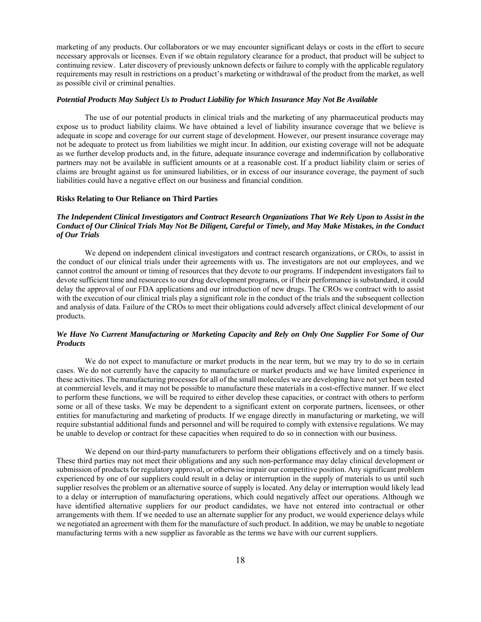marketing of any products. Our collaborators or we may encounter significant delays or costs in the effort to secure necessary approvals or licenses. Even if we obtain regulatory clearance for a product, that product will be subject to continuing review. Later discovery of previously unknown defects or failure to comply with the applicable regulatory requirements may result in restrictions on a product's marketing or withdrawal of the product from the market, as well as possible civil or criminal penalties.

### *Potential Products May Subject Us to Product Liability for Which Insurance May Not Be Available*

The use of our potential products in clinical trials and the marketing of any pharmaceutical products may expose us to product liability claims. We have obtained a level of liability insurance coverage that we believe is adequate in scope and coverage for our current stage of development. However, our present insurance coverage may not be adequate to protect us from liabilities we might incur. In addition, our existing coverage will not be adequate as we further develop products and, in the future, adequate insurance coverage and indemnification by collaborative partners may not be available in sufficient amounts or at a reasonable cost. If a product liability claim or series of claims are brought against us for uninsured liabilities, or in excess of our insurance coverage, the payment of such liabilities could have a negative effect on our business and financial condition.

### **Risks Relating to Our Reliance on Third Parties**

# *The Independent Clinical Investigators and Contract Research Organizations That We Rely Upon to Assist in the Conduct of Our Clinical Trials May Not Be Diligent, Careful or Timely, and May Make Mistakes, in the Conduct of Our Trials*

We depend on independent clinical investigators and contract research organizations, or CROs, to assist in the conduct of our clinical trials under their agreements with us. The investigators are not our employees, and we cannot control the amount or timing of resources that they devote to our programs. If independent investigators fail to devote sufficient time and resources to our drug development programs, or if their performance is substandard, it could delay the approval of our FDA applications and our introduction of new drugs. The CROs we contract with to assist with the execution of our clinical trials play a significant role in the conduct of the trials and the subsequent collection and analysis of data. Failure of the CROs to meet their obligations could adversely affect clinical development of our products.

# *We Have No Current Manufacturing or Marketing Capacity and Rely on Only One Supplier For Some of Our Products*

We do not expect to manufacture or market products in the near term, but we may try to do so in certain cases. We do not currently have the capacity to manufacture or market products and we have limited experience in these activities. The manufacturing processes for all of the small molecules we are developing have not yet been tested at commercial levels, and it may not be possible to manufacture these materials in a cost-effective manner. If we elect to perform these functions, we will be required to either develop these capacities, or contract with others to perform some or all of these tasks. We may be dependent to a significant extent on corporate partners, licensees, or other entities for manufacturing and marketing of products. If we engage directly in manufacturing or marketing, we will require substantial additional funds and personnel and will be required to comply with extensive regulations. We may be unable to develop or contract for these capacities when required to do so in connection with our business.

We depend on our third-party manufacturers to perform their obligations effectively and on a timely basis. These third parties may not meet their obligations and any such non-performance may delay clinical development or submission of products for regulatory approval, or otherwise impair our competitive position. Any significant problem experienced by one of our suppliers could result in a delay or interruption in the supply of materials to us until such supplier resolves the problem or an alternative source of supply is located. Any delay or interruption would likely lead to a delay or interruption of manufacturing operations, which could negatively affect our operations. Although we have identified alternative suppliers for our product candidates, we have not entered into contractual or other arrangements with them. If we needed to use an alternate supplier for any product, we would experience delays while we negotiated an agreement with them for the manufacture of such product. In addition, we may be unable to negotiate manufacturing terms with a new supplier as favorable as the terms we have with our current suppliers.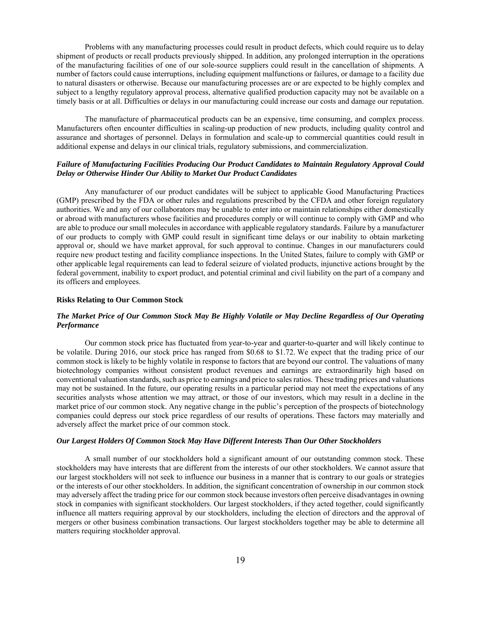Problems with any manufacturing processes could result in product defects, which could require us to delay shipment of products or recall products previously shipped. In addition, any prolonged interruption in the operations of the manufacturing facilities of one of our sole-source suppliers could result in the cancellation of shipments. A number of factors could cause interruptions, including equipment malfunctions or failures, or damage to a facility due to natural disasters or otherwise. Because our manufacturing processes are or are expected to be highly complex and subject to a lengthy regulatory approval process, alternative qualified production capacity may not be available on a timely basis or at all. Difficulties or delays in our manufacturing could increase our costs and damage our reputation.

The manufacture of pharmaceutical products can be an expensive, time consuming, and complex process. Manufacturers often encounter difficulties in scaling-up production of new products, including quality control and assurance and shortages of personnel. Delays in formulation and scale-up to commercial quantities could result in additional expense and delays in our clinical trials, regulatory submissions, and commercialization.

# *Failure of Manufacturing Facilities Producing Our Product Candidates to Maintain Regulatory Approval Could Delay or Otherwise Hinder Our Ability to Market Our Product Candidates*

Any manufacturer of our product candidates will be subject to applicable Good Manufacturing Practices (GMP) prescribed by the FDA or other rules and regulations prescribed by the CFDA and other foreign regulatory authorities. We and any of our collaborators may be unable to enter into or maintain relationships either domestically or abroad with manufacturers whose facilities and procedures comply or will continue to comply with GMP and who are able to produce our small molecules in accordance with applicable regulatory standards. Failure by a manufacturer of our products to comply with GMP could result in significant time delays or our inability to obtain marketing approval or, should we have market approval, for such approval to continue. Changes in our manufacturers could require new product testing and facility compliance inspections. In the United States, failure to comply with GMP or other applicable legal requirements can lead to federal seizure of violated products, injunctive actions brought by the federal government, inability to export product, and potential criminal and civil liability on the part of a company and its officers and employees.

#### **Risks Relating to Our Common Stock**

# *The Market Price of Our Common Stock May Be Highly Volatile or May Decline Regardless of Our Operating Performance*

Our common stock price has fluctuated from year-to-year and quarter-to-quarter and will likely continue to be volatile. During 2016, our stock price has ranged from \$0.68 to \$1.72. We expect that the trading price of our common stock is likely to be highly volatile in response to factors that are beyond our control. The valuations of many biotechnology companies without consistent product revenues and earnings are extraordinarily high based on conventional valuation standards, such as price to earnings and price to sales ratios. These trading prices and valuations may not be sustained. In the future, our operating results in a particular period may not meet the expectations of any securities analysts whose attention we may attract, or those of our investors, which may result in a decline in the market price of our common stock. Any negative change in the public's perception of the prospects of biotechnology companies could depress our stock price regardless of our results of operations. These factors may materially and adversely affect the market price of our common stock.

# *Our Largest Holders Of Common Stock May Have Different Interests Than Our Other Stockholders*

A small number of our stockholders hold a significant amount of our outstanding common stock. These stockholders may have interests that are different from the interests of our other stockholders. We cannot assure that our largest stockholders will not seek to influence our business in a manner that is contrary to our goals or strategies or the interests of our other stockholders. In addition, the significant concentration of ownership in our common stock may adversely affect the trading price for our common stock because investors often perceive disadvantages in owning stock in companies with significant stockholders. Our largest stockholders, if they acted together, could significantly influence all matters requiring approval by our stockholders, including the election of directors and the approval of mergers or other business combination transactions. Our largest stockholders together may be able to determine all matters requiring stockholder approval.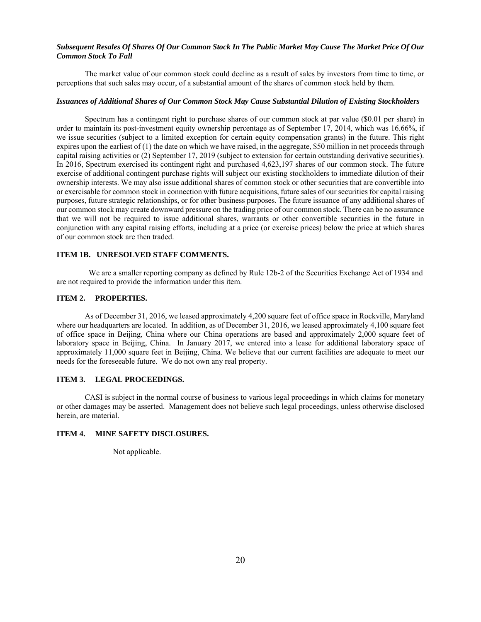# *Subsequent Resales Of Shares Of Our Common Stock In The Public Market May Cause The Market Price Of Our Common Stock To Fall*

The market value of our common stock could decline as a result of sales by investors from time to time, or perceptions that such sales may occur, of a substantial amount of the shares of common stock held by them.

### *Issuances of Additional Shares of Our Common Stock May Cause Substantial Dilution of Existing Stockholders*

Spectrum has a contingent right to purchase shares of our common stock at par value (\$0.01 per share) in order to maintain its post-investment equity ownership percentage as of September 17, 2014, which was 16.66%, if we issue securities (subject to a limited exception for certain equity compensation grants) in the future. This right expires upon the earliest of (1) the date on which we have raised, in the aggregate, \$50 million in net proceeds through capital raising activities or (2) September 17, 2019 (subject to extension for certain outstanding derivative securities). In 2016, Spectrum exercised its contingent right and purchased 4,623,197 shares of our common stock. The future exercise of additional contingent purchase rights will subject our existing stockholders to immediate dilution of their ownership interests. We may also issue additional shares of common stock or other securities that are convertible into or exercisable for common stock in connection with future acquisitions, future sales of our securities for capital raising purposes, future strategic relationships, or for other business purposes. The future issuance of any additional shares of our common stock may create downward pressure on the trading price of our common stock. There can be no assurance that we will not be required to issue additional shares, warrants or other convertible securities in the future in conjunction with any capital raising efforts, including at a price (or exercise prices) below the price at which shares of our common stock are then traded.

## **ITEM 1B. UNRESOLVED STAFF COMMENTS.**

 We are a smaller reporting company as defined by Rule 12b-2 of the Securities Exchange Act of 1934 and are not required to provide the information under this item.

# **ITEM 2. PROPERTIES.**

As of December 31, 2016, we leased approximately 4,200 square feet of office space in Rockville, Maryland where our headquarters are located. In addition, as of December 31, 2016, we leased approximately 4,100 square feet of office space in Beijing, China where our China operations are based and approximately 2,000 square feet of laboratory space in Beijing, China. In January 2017, we entered into a lease for additional laboratory space of approximately 11,000 square feet in Beijing, China. We believe that our current facilities are adequate to meet our needs for the foreseeable future. We do not own any real property.

### **ITEM 3. LEGAL PROCEEDINGS.**

CASI is subject in the normal course of business to various legal proceedings in which claims for monetary or other damages may be asserted. Management does not believe such legal proceedings, unless otherwise disclosed herein, are material.

## **ITEM 4. MINE SAFETY DISCLOSURES.**

Not applicable.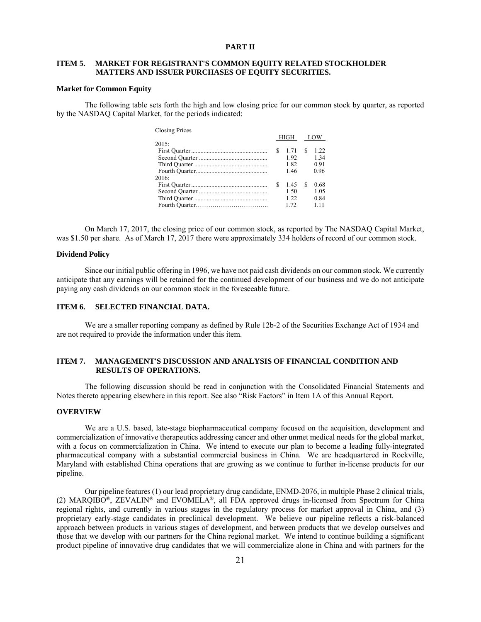### **PART II**

# **ITEM 5. MARKET FOR REGISTRANT'S COMMON EQUITY RELATED STOCKHOLDER MATTERS AND ISSUER PURCHASES OF EQUITY SECURITIES.**

 $\alpha$  Prices Prices

#### **Market for Common Equity**

The following table sets forth the high and low closing price for our common stock by quarter, as reported by the NASDAQ Capital Market, for the periods indicated:

| Closing Prices |   |          |   |       |
|----------------|---|----------|---|-------|
|                |   | HIGH LOW |   |       |
| 2015:          |   |          |   |       |
|                | S | 1.71     | S | 1.22  |
|                |   | 1.92     |   | 1.34  |
|                |   | 1.82     |   | 0.91  |
|                |   | 1.46     |   | 0.96  |
| 2016:          |   |          |   |       |
|                | S | 145      | S | 0.68  |
|                |   | 1.50     |   | 1.05  |
|                |   | 122      |   | 0.84  |
|                |   | 1.72     |   | 1 1 1 |
|                |   |          |   |       |

On March 17, 2017, the closing price of our common stock, as reported by The NASDAQ Capital Market, was \$1.50 per share. As of March 17, 2017 there were approximately 334 holders of record of our common stock.

## **Dividend Policy**

Since our initial public offering in 1996, we have not paid cash dividends on our common stock. We currently anticipate that any earnings will be retained for the continued development of our business and we do not anticipate paying any cash dividends on our common stock in the foreseeable future.

### **ITEM 6. SELECTED FINANCIAL DATA.**

We are a smaller reporting company as defined by Rule 12b-2 of the Securities Exchange Act of 1934 and are not required to provide the information under this item.

# **ITEM 7. MANAGEMENT'S DISCUSSION AND ANALYSIS OF FINANCIAL CONDITION AND RESULTS OF OPERATIONS.**

The following discussion should be read in conjunction with the Consolidated Financial Statements and Notes thereto appearing elsewhere in this report. See also "Risk Factors" in Item 1A of this Annual Report.

### **OVERVIEW**

We are a U.S. based, late-stage biopharmaceutical company focused on the acquisition, development and commercialization of innovative therapeutics addressing cancer and other unmet medical needs for the global market, with a focus on commercialization in China. We intend to execute our plan to become a leading fully-integrated pharmaceutical company with a substantial commercial business in China. We are headquartered in Rockville, Maryland with established China operations that are growing as we continue to further in-license products for our pipeline.

Our pipeline features (1) our lead proprietary drug candidate, ENMD-2076, in multiple Phase 2 clinical trials, (2) MARQIBO®, ZEVALIN® and EVOMELA®, all FDA approved drugs in-licensed from Spectrum for China regional rights, and currently in various stages in the regulatory process for market approval in China, and (3) proprietary early-stage candidates in preclinical development. We believe our pipeline reflects a risk-balanced approach between products in various stages of development, and between products that we develop ourselves and those that we develop with our partners for the China regional market. We intend to continue building a significant product pipeline of innovative drug candidates that we will commercialize alone in China and with partners for the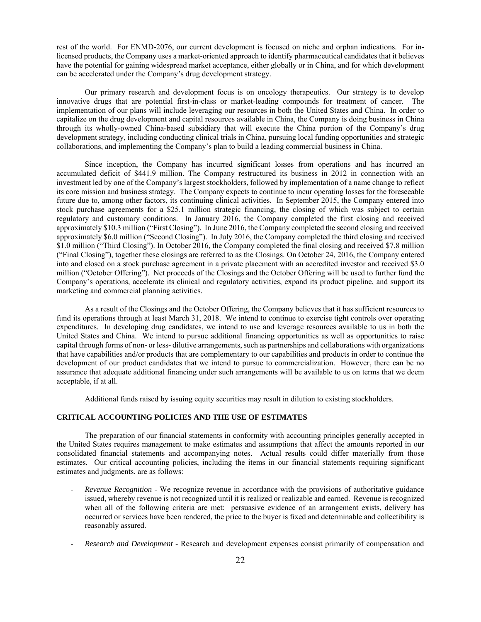rest of the world. For ENMD-2076, our current development is focused on niche and orphan indications. For inlicensed products, the Company uses a market-oriented approach to identify pharmaceutical candidates that it believes have the potential for gaining widespread market acceptance, either globally or in China, and for which development can be accelerated under the Company's drug development strategy.

Our primary research and development focus is on oncology therapeutics. Our strategy is to develop innovative drugs that are potential first-in-class or market-leading compounds for treatment of cancer. The implementation of our plans will include leveraging our resources in both the United States and China. In order to capitalize on the drug development and capital resources available in China, the Company is doing business in China through its wholly-owned China-based subsidiary that will execute the China portion of the Company's drug development strategy, including conducting clinical trials in China, pursuing local funding opportunities and strategic collaborations, and implementing the Company's plan to build a leading commercial business in China.

Since inception, the Company has incurred significant losses from operations and has incurred an accumulated deficit of \$441.9 million. The Company restructured its business in 2012 in connection with an investment led by one of the Company's largest stockholders, followed by implementation of a name change to reflect its core mission and business strategy. The Company expects to continue to incur operating losses for the foreseeable future due to, among other factors, its continuing clinical activities. In September 2015, the Company entered into stock purchase agreements for a \$25.1 million strategic financing, the closing of which was subject to certain regulatory and customary conditions. In January 2016, the Company completed the first closing and received approximately \$10.3 million ("First Closing"). In June 2016, the Company completed the second closing and received approximately \$6.0 million ("Second Closing"). In July 2016, the Company completed the third closing and received \$1.0 million ("Third Closing"). In October 2016, the Company completed the final closing and received \$7.8 million ("Final Closing"), together these closings are referred to as the Closings. On October 24, 2016, the Company entered into and closed on a stock purchase agreement in a private placement with an accredited investor and received \$3.0 million ("October Offering"). Net proceeds of the Closings and the October Offering will be used to further fund the Company's operations, accelerate its clinical and regulatory activities, expand its product pipeline, and support its marketing and commercial planning activities.

As a result of the Closings and the October Offering, the Company believes that it has sufficient resources to fund its operations through at least March 31, 2018. We intend to continue to exercise tight controls over operating expenditures. In developing drug candidates, we intend to use and leverage resources available to us in both the United States and China. We intend to pursue additional financing opportunities as well as opportunities to raise capital through forms of non- or less- dilutive arrangements, such as partnerships and collaborations with organizations that have capabilities and/or products that are complementary to our capabilities and products in order to continue the development of our product candidates that we intend to pursue to commercialization. However, there can be no assurance that adequate additional financing under such arrangements will be available to us on terms that we deem acceptable, if at all.

Additional funds raised by issuing equity securities may result in dilution to existing stockholders.

# **CRITICAL ACCOUNTING POLICIES AND THE USE OF ESTIMATES**

The preparation of our financial statements in conformity with accounting principles generally accepted in the United States requires management to make estimates and assumptions that affect the amounts reported in our consolidated financial statements and accompanying notes. Actual results could differ materially from those estimates. Our critical accounting policies, including the items in our financial statements requiring significant estimates and judgments, are as follows:

- *Revenue Recognition* We recognize revenue in accordance with the provisions of authoritative guidance issued, whereby revenue is not recognized until it is realized or realizable and earned. Revenue is recognized when all of the following criteria are met: persuasive evidence of an arrangement exists, delivery has occurred or services have been rendered, the price to the buyer is fixed and determinable and collectibility is reasonably assured.
- *Research and Development* Research and development expenses consist primarily of compensation and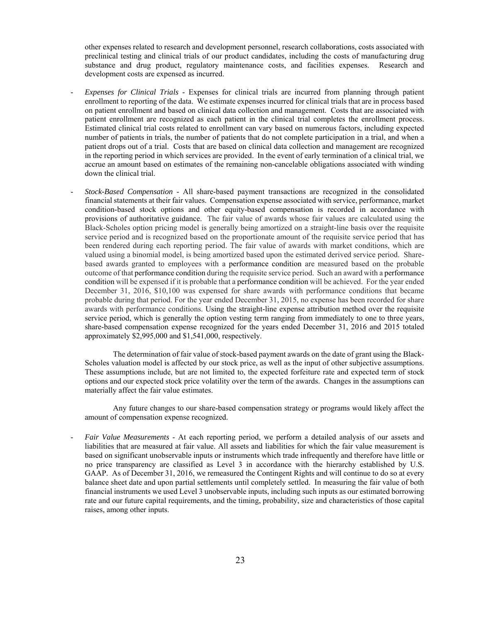other expenses related to research and development personnel, research collaborations, costs associated with preclinical testing and clinical trials of our product candidates, including the costs of manufacturing drug substance and drug product, regulatory maintenance costs, and facilities expenses. Research and development costs are expensed as incurred.

- *Expenses for Clinical Trials* Expenses for clinical trials are incurred from planning through patient enrollment to reporting of the data. We estimate expenses incurred for clinical trials that are in process based on patient enrollment and based on clinical data collection and management. Costs that are associated with patient enrollment are recognized as each patient in the clinical trial completes the enrollment process. Estimated clinical trial costs related to enrollment can vary based on numerous factors, including expected number of patients in trials, the number of patients that do not complete participation in a trial, and when a patient drops out of a trial. Costs that are based on clinical data collection and management are recognized in the reporting period in which services are provided. In the event of early termination of a clinical trial, we accrue an amount based on estimates of the remaining non-cancelable obligations associated with winding down the clinical trial.
- *Stock-Based Compensation* All share-based payment transactions are recognized in the consolidated financial statements at their fair values. Compensation expense associated with service, performance, market condition-based stock options and other equity-based compensation is recorded in accordance with provisions of authoritative guidance. The fair value of awards whose fair values are calculated using the Black-Scholes option pricing model is generally being amortized on a straight-line basis over the requisite service period and is recognized based on the proportionate amount of the requisite service period that has been rendered during each reporting period. The fair value of awards with market conditions, which are valued using a binomial model, is being amortized based upon the estimated derived service period. Sharebased awards granted to employees with a performance condition are measured based on the probable outcome of that performance condition during the requisite service period. Such an award with a performance condition will be expensed if it is probable that a performance condition will be achieved. For the year ended December 31, 2016, \$10,100 was expensed for share awards with performance conditions that became probable during that period. For the year ended December 31, 2015, no expense has been recorded for share awards with performance conditions. Using the straight-line expense attribution method over the requisite service period, which is generally the option vesting term ranging from immediately to one to three years, share-based compensation expense recognized for the years ended December 31, 2016 and 2015 totaled approximately \$2,995,000 and \$1,541,000, respectively.

The determination of fair value of stock-based payment awards on the date of grant using the Black-Scholes valuation model is affected by our stock price, as well as the input of other subjective assumptions. These assumptions include, but are not limited to, the expected forfeiture rate and expected term of stock options and our expected stock price volatility over the term of the awards. Changes in the assumptions can materially affect the fair value estimates.

Any future changes to our share-based compensation strategy or programs would likely affect the amount of compensation expense recognized.

- *Fair Value Measurements* - At each reporting period, we perform a detailed analysis of our assets and liabilities that are measured at fair value. All assets and liabilities for which the fair value measurement is based on significant unobservable inputs or instruments which trade infrequently and therefore have little or no price transparency are classified as Level 3 in accordance with the hierarchy established by U.S. GAAP. As of December 31, 2016, we remeasured the Contingent Rights and will continue to do so at every balance sheet date and upon partial settlements until completely settled. In measuring the fair value of both financial instruments we used Level 3 unobservable inputs, including such inputs as our estimated borrowing rate and our future capital requirements, and the timing, probability, size and characteristics of those capital raises, among other inputs.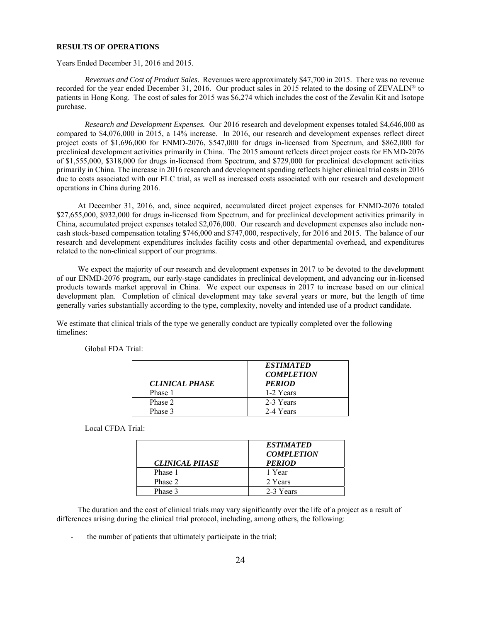### **RESULTS OF OPERATIONS**

Years Ended December 31, 2016 and 2015.

*Revenues and Cost of Product Sales*. Revenues were approximately \$47,700 in 2015. There was no revenue recorded for the year ended December 31, 2016. Our product sales in 2015 related to the dosing of ZEVALIN® to patients in Hong Kong. The cost of sales for 2015 was \$6,274 which includes the cost of the Zevalin Kit and Isotope purchase.

*Research and Development Expenses.* Our 2016 research and development expenses totaled \$4,646,000 as compared to \$4,076,000 in 2015, a 14% increase. In 2016, our research and development expenses reflect direct project costs of \$1,696,000 for ENMD-2076, \$547,000 for drugs in-licensed from Spectrum, and \$862,000 for preclinical development activities primarily in China. The 2015 amount reflects direct project costs for ENMD-2076 of \$1,555,000, \$318,000 for drugs in-licensed from Spectrum, and \$729,000 for preclinical development activities primarily in China. The increase in 2016 research and development spending reflects higher clinical trial costs in 2016 due to costs associated with our FLC trial, as well as increased costs associated with our research and development operations in China during 2016.

 At December 31, 2016, and, since acquired, accumulated direct project expenses for ENMD-2076 totaled \$27,655,000, \$932,000 for drugs in-licensed from Spectrum, and for preclinical development activities primarily in China, accumulated project expenses totaled \$2,076,000. Our research and development expenses also include noncash stock-based compensation totaling \$746,000 and \$747,000, respectively, for 2016 and 2015. The balance of our research and development expenditures includes facility costs and other departmental overhead, and expenditures related to the non-clinical support of our programs.

We expect the majority of our research and development expenses in 2017 to be devoted to the development of our ENMD-2076 program, our early-stage candidates in preclinical development, and advancing our in-licensed products towards market approval in China. We expect our expenses in 2017 to increase based on our clinical development plan. Completion of clinical development may take several years or more, but the length of time generally varies substantially according to the type, complexity, novelty and intended use of a product candidate.

We estimate that clinical trials of the type we generally conduct are typically completed over the following timelines:

|                       | <b>ESTIMATED</b><br><b>COMPLETION</b> |
|-----------------------|---------------------------------------|
| <b>CLINICAL PHASE</b> | <b>PERIOD</b>                         |
| Phase 1               | 1-2 Years                             |
| Phase 2               | 2-3 Years                             |
| Phase 3               | 2-4 Years                             |

Global FDA Trial:

Local CFDA Trial:

| <b>CLINICAL PHASE</b> | <b>ESTIMATED</b><br><b>COMPLETION</b><br><b>PERIOD</b> |
|-----------------------|--------------------------------------------------------|
| Phase 1               | 1 Year                                                 |
| Phase 2               | 2 Years                                                |
| Phase 3               | 2-3 Years                                              |

 The duration and the cost of clinical trials may vary significantly over the life of a project as a result of differences arising during the clinical trial protocol, including, among others, the following:

the number of patients that ultimately participate in the trial;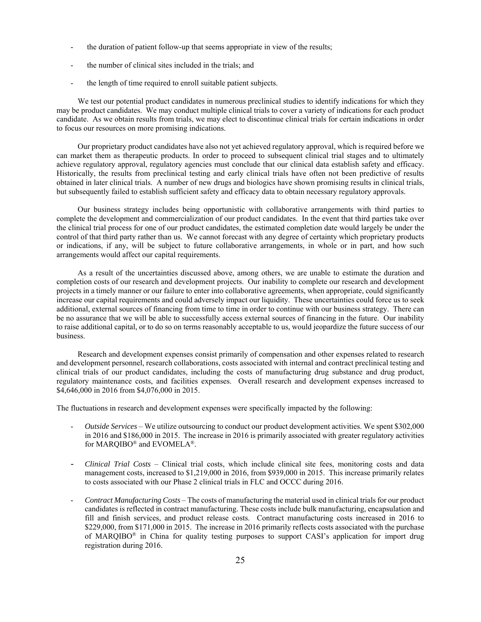- the duration of patient follow-up that seems appropriate in view of the results;
- the number of clinical sites included in the trials; and
- the length of time required to enroll suitable patient subjects.

We test our potential product candidates in numerous preclinical studies to identify indications for which they may be product candidates. We may conduct multiple clinical trials to cover a variety of indications for each product candidate. As we obtain results from trials, we may elect to discontinue clinical trials for certain indications in order to focus our resources on more promising indications.

 Our proprietary product candidates have also not yet achieved regulatory approval, which is required before we can market them as therapeutic products. In order to proceed to subsequent clinical trial stages and to ultimately achieve regulatory approval, regulatory agencies must conclude that our clinical data establish safety and efficacy. Historically, the results from preclinical testing and early clinical trials have often not been predictive of results obtained in later clinical trials. A number of new drugs and biologics have shown promising results in clinical trials, but subsequently failed to establish sufficient safety and efficacy data to obtain necessary regulatory approvals.

 Our business strategy includes being opportunistic with collaborative arrangements with third parties to complete the development and commercialization of our product candidates. In the event that third parties take over the clinical trial process for one of our product candidates, the estimated completion date would largely be under the control of that third party rather than us. We cannot forecast with any degree of certainty which proprietary products or indications, if any, will be subject to future collaborative arrangements, in whole or in part, and how such arrangements would affect our capital requirements.

 As a result of the uncertainties discussed above, among others, we are unable to estimate the duration and completion costs of our research and development projects. Our inability to complete our research and development projects in a timely manner or our failure to enter into collaborative agreements, when appropriate, could significantly increase our capital requirements and could adversely impact our liquidity. These uncertainties could force us to seek additional, external sources of financing from time to time in order to continue with our business strategy. There can be no assurance that we will be able to successfully access external sources of financing in the future. Our inability to raise additional capital, or to do so on terms reasonably acceptable to us, would jeopardize the future success of our business.

 Research and development expenses consist primarily of compensation and other expenses related to research and development personnel, research collaborations, costs associated with internal and contract preclinical testing and clinical trials of our product candidates, including the costs of manufacturing drug substance and drug product, regulatory maintenance costs, and facilities expenses. Overall research and development expenses increased to \$4,646,000 in 2016 from \$4,076,000 in 2015.

The fluctuations in research and development expenses were specifically impacted by the following:

- *Outside Services* We utilize outsourcing to conduct our product development activities. We spent \$302,000 in 2016 and \$186,000 in 2015. The increase in 2016 is primarily associated with greater regulatory activities for MARQIBO® and EVOMELA®.
- *Clinical Trial Costs* Clinical trial costs, which include clinical site fees, monitoring costs and data management costs, increased to \$1,219,000 in 2016, from \$939,000 in 2015. This increase primarily relates to costs associated with our Phase 2 clinical trials in FLC and OCCC during 2016.
- *Contract Manufacturing Costs* The costs of manufacturing the material used in clinical trials for our product candidates is reflected in contract manufacturing. These costs include bulk manufacturing, encapsulation and fill and finish services, and product release costs. Contract manufacturing costs increased in 2016 to \$229,000, from \$171,000 in 2015. The increase in 2016 primarily reflects costs associated with the purchase of MARQIBO® in China for quality testing purposes to support CASI's application for import drug registration during 2016.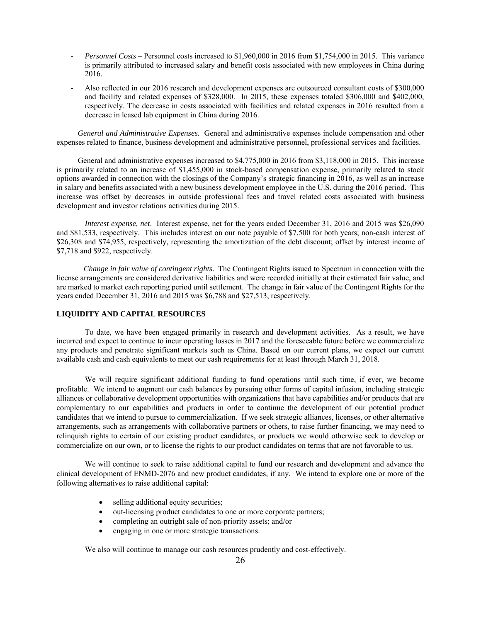- *Personnel Costs* Personnel costs increased to \$1,960,000 in 2016 from \$1,754,000 in 2015. This variance is primarily attributed to increased salary and benefit costs associated with new employees in China during 2016.
- Also reflected in our 2016 research and development expenses are outsourced consultant costs of \$300,000 and facility and related expenses of \$328,000. In 2015, these expenses totaled \$306,000 and \$402,000, respectively. The decrease in costs associated with facilities and related expenses in 2016 resulted from a decrease in leased lab equipment in China during 2016.

 *General and Administrative Expenses.* General and administrative expenses include compensation and other expenses related to finance, business development and administrative personnel, professional services and facilities.

General and administrative expenses increased to \$4,775,000 in 2016 from \$3,118,000 in 2015. This increase is primarily related to an increase of \$1,455,000 in stock-based compensation expense, primarily related to stock options awarded in connection with the closings of the Company's strategic financing in 2016, as well as an increase in salary and benefits associated with a new business development employee in the U.S. during the 2016 period. This increase was offset by decreases in outside professional fees and travel related costs associated with business development and investor relations activities during 2015.

*Interest expense, net*. Interest expense, net for the years ended December 31, 2016 and 2015 was \$26,090 and \$81,533, respectively. This includes interest on our note payable of \$7,500 for both years; non-cash interest of \$26,308 and \$74,955, respectively, representing the amortization of the debt discount; offset by interest income of \$7,718 and \$922, respectively.

 *Change in fair value of contingent rights*. The Contingent Rights issued to Spectrum in connection with the license arrangements are considered derivative liabilities and were recorded initially at their estimated fair value, and are marked to market each reporting period until settlement. The change in fair value of the Contingent Rights for the years ended December 31, 2016 and 2015 was \$6,788 and \$27,513, respectively.

# **LIQUIDITY AND CAPITAL RESOURCES**

 To date, we have been engaged primarily in research and development activities. As a result, we have incurred and expect to continue to incur operating losses in 2017 and the foreseeable future before we commercialize any products and penetrate significant markets such as China. Based on our current plans, we expect our current available cash and cash equivalents to meet our cash requirements for at least through March 31, 2018.

We will require significant additional funding to fund operations until such time, if ever, we become profitable. We intend to augment our cash balances by pursuing other forms of capital infusion, including strategic alliances or collaborative development opportunities with organizations that have capabilities and/or products that are complementary to our capabilities and products in order to continue the development of our potential product candidates that we intend to pursue to commercialization. If we seek strategic alliances, licenses, or other alternative arrangements, such as arrangements with collaborative partners or others, to raise further financing, we may need to relinquish rights to certain of our existing product candidates, or products we would otherwise seek to develop or commercialize on our own, or to license the rights to our product candidates on terms that are not favorable to us.

We will continue to seek to raise additional capital to fund our research and development and advance the clinical development of ENMD-2076 and new product candidates, if any. We intend to explore one or more of the following alternatives to raise additional capital:

- selling additional equity securities;
- out-licensing product candidates to one or more corporate partners;
- completing an outright sale of non-priority assets; and/or
- engaging in one or more strategic transactions.

We also will continue to manage our cash resources prudently and cost-effectively.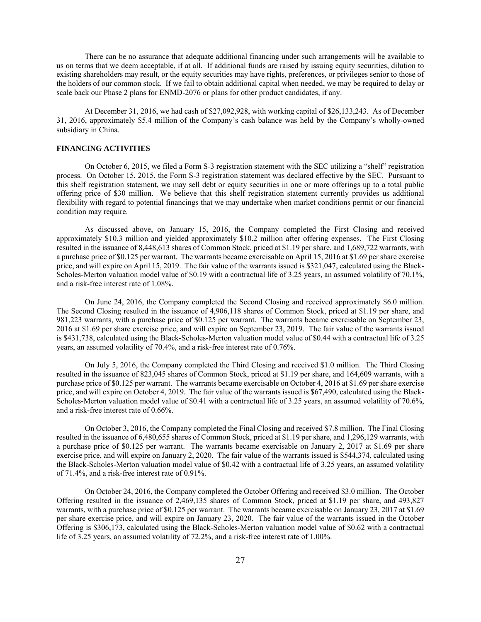There can be no assurance that adequate additional financing under such arrangements will be available to us on terms that we deem acceptable, if at all. If additional funds are raised by issuing equity securities, dilution to existing shareholders may result, or the equity securities may have rights, preferences, or privileges senior to those of the holders of our common stock. If we fail to obtain additional capital when needed, we may be required to delay or scale back our Phase 2 plans for ENMD-2076 or plans for other product candidates, if any.

At December 31, 2016, we had cash of \$27,092,928, with working capital of \$26,133,243. As of December 31, 2016, approximately \$5.4 million of the Company's cash balance was held by the Company's wholly-owned subsidiary in China.

### **FINANCING ACTIVITIES**

On October 6, 2015, we filed a Form S-3 registration statement with the SEC utilizing a "shelf" registration process. On October 15, 2015, the Form S-3 registration statement was declared effective by the SEC. Pursuant to this shelf registration statement, we may sell debt or equity securities in one or more offerings up to a total public offering price of \$30 million. We believe that this shelf registration statement currently provides us additional flexibility with regard to potential financings that we may undertake when market conditions permit or our financial condition may require.

As discussed above, on January 15, 2016, the Company completed the First Closing and received approximately \$10.3 million and yielded approximately \$10.2 million after offering expenses. The First Closing resulted in the issuance of 8,448,613 shares of Common Stock, priced at \$1.19 per share, and 1,689,722 warrants, with a purchase price of \$0.125 per warrant. The warrants became exercisable on April 15, 2016 at \$1.69 per share exercise price, and will expire on April 15, 2019. The fair value of the warrants issued is \$321,047, calculated using the Black-Scholes-Merton valuation model value of \$0.19 with a contractual life of 3.25 years, an assumed volatility of 70.1%, and a risk-free interest rate of 1.08%.

On June 24, 2016, the Company completed the Second Closing and received approximately \$6.0 million. The Second Closing resulted in the issuance of 4,906,118 shares of Common Stock, priced at \$1.19 per share, and 981,223 warrants, with a purchase price of \$0.125 per warrant. The warrants became exercisable on September 23, 2016 at \$1.69 per share exercise price, and will expire on September 23, 2019. The fair value of the warrants issued is \$431,738, calculated using the Black-Scholes-Merton valuation model value of \$0.44 with a contractual life of 3.25 years, an assumed volatility of 70.4%, and a risk-free interest rate of 0.76%.

On July 5, 2016, the Company completed the Third Closing and received \$1.0 million. The Third Closing resulted in the issuance of 823,045 shares of Common Stock, priced at \$1.19 per share, and 164,609 warrants, with a purchase price of \$0.125 per warrant. The warrants became exercisable on October 4, 2016 at \$1.69 per share exercise price, and will expire on October 4, 2019. The fair value of the warrants issued is \$67,490, calculated using the Black-Scholes-Merton valuation model value of \$0.41 with a contractual life of 3.25 years, an assumed volatility of 70.6%, and a risk-free interest rate of 0.66%.

On October 3, 2016, the Company completed the Final Closing and received \$7.8 million. The Final Closing resulted in the issuance of 6,480,655 shares of Common Stock, priced at \$1.19 per share, and 1,296,129 warrants, with a purchase price of \$0.125 per warrant. The warrants became exercisable on January 2, 2017 at \$1.69 per share exercise price, and will expire on January 2, 2020. The fair value of the warrants issued is \$544,374, calculated using the Black-Scholes-Merton valuation model value of \$0.42 with a contractual life of 3.25 years, an assumed volatility of 71.4%, and a risk-free interest rate of 0.91%.

On October 24, 2016, the Company completed the October Offering and received \$3.0 million. The October Offering resulted in the issuance of 2,469,135 shares of Common Stock, priced at \$1.19 per share, and 493,827 warrants, with a purchase price of \$0.125 per warrant. The warrants became exercisable on January 23, 2017 at \$1.69 per share exercise price, and will expire on January 23, 2020. The fair value of the warrants issued in the October Offering is \$306,173, calculated using the Black-Scholes-Merton valuation model value of \$0.62 with a contractual life of 3.25 years, an assumed volatility of 72.2%, and a risk-free interest rate of 1.00%.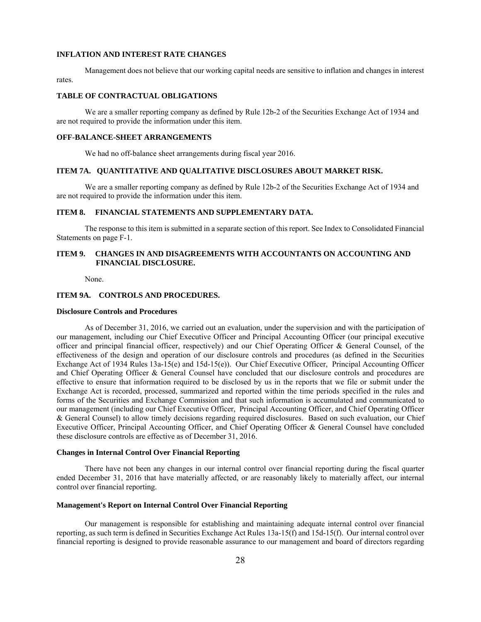#### **INFLATION AND INTEREST RATE CHANGES**

Management does not believe that our working capital needs are sensitive to inflation and changes in interest rates.

### **TABLE OF CONTRACTUAL OBLIGATIONS**

We are a smaller reporting company as defined by Rule 12b-2 of the Securities Exchange Act of 1934 and are not required to provide the information under this item.

#### **OFF-BALANCE-SHEET ARRANGEMENTS**

We had no off-balance sheet arrangements during fiscal year 2016.

### **ITEM 7A. QUANTITATIVE AND QUALITATIVE DISCLOSURES ABOUT MARKET RISK.**

We are a smaller reporting company as defined by Rule 12b-2 of the Securities Exchange Act of 1934 and are not required to provide the information under this item.

# **ITEM 8. FINANCIAL STATEMENTS AND SUPPLEMENTARY DATA.**

The response to this item is submitted in a separate section of this report. See Index to Consolidated Financial Statements on page F-1.

# **ITEM 9. CHANGES IN AND DISAGREEMENTS WITH ACCOUNTANTS ON ACCOUNTING AND FINANCIAL DISCLOSURE.**

None.

# **ITEM 9A. CONTROLS AND PROCEDURES.**

# **Disclosure Controls and Procedures**

As of December 31, 2016, we carried out an evaluation, under the supervision and with the participation of our management, including our Chief Executive Officer and Principal Accounting Officer (our principal executive officer and principal financial officer, respectively) and our Chief Operating Officer & General Counsel, of the effectiveness of the design and operation of our disclosure controls and procedures (as defined in the Securities Exchange Act of 1934 Rules 13a-15(e) and 15d-15(e)). Our Chief Executive Officer, Principal Accounting Officer and Chief Operating Officer & General Counsel have concluded that our disclosure controls and procedures are effective to ensure that information required to be disclosed by us in the reports that we file or submit under the Exchange Act is recorded, processed, summarized and reported within the time periods specified in the rules and forms of the Securities and Exchange Commission and that such information is accumulated and communicated to our management (including our Chief Executive Officer, Principal Accounting Officer, and Chief Operating Officer & General Counsel) to allow timely decisions regarding required disclosures. Based on such evaluation, our Chief Executive Officer, Principal Accounting Officer, and Chief Operating Officer & General Counsel have concluded these disclosure controls are effective as of December 31, 2016.

### **Changes in Internal Control Over Financial Reporting**

There have not been any changes in our internal control over financial reporting during the fiscal quarter ended December 31, 2016 that have materially affected, or are reasonably likely to materially affect, our internal control over financial reporting.

# **Management's Report on Internal Control Over Financial Reporting**

Our management is responsible for establishing and maintaining adequate internal control over financial reporting, as such term is defined in Securities Exchange Act Rules 13a-15(f) and 15d-15(f). Our internal control over financial reporting is designed to provide reasonable assurance to our management and board of directors regarding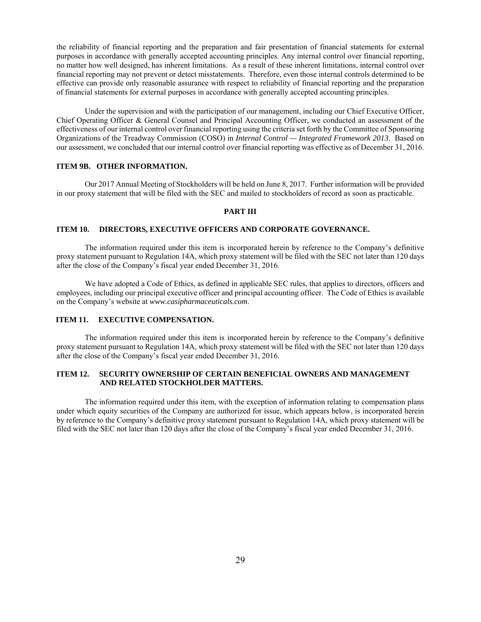the reliability of financial reporting and the preparation and fair presentation of financial statements for external purposes in accordance with generally accepted accounting principles. Any internal control over financial reporting, no matter how well designed, has inherent limitations. As a result of these inherent limitations, internal control over financial reporting may not prevent or detect misstatements. Therefore, even those internal controls determined to be effective can provide only reasonable assurance with respect to reliability of financial reporting and the preparation of financial statements for external purposes in accordance with generally accepted accounting principles.

Under the supervision and with the participation of our management, including our Chief Executive Officer, Chief Operating Officer & General Counsel and Principal Accounting Officer, we conducted an assessment of the effectiveness of our internal control over financial reporting using the criteria set forth by the Committee of Sponsoring Organizations of the Treadway Commission (COSO) in *Internal Control — Integrated Framework 2013*. Based on our assessment, we concluded that our internal control over financial reporting was effective as of December 31, 2016.

# **ITEM 9B. OTHER INFORMATION.**

 Our 2017 Annual Meeting of Stockholders will be held on June 8, 2017. Further information will be provided in our proxy statement that will be filed with the SEC and mailed to stockholders of record as soon as practicable.

# **PART III**

### **ITEM 10. DIRECTORS, EXECUTIVE OFFICERS AND CORPORATE GOVERNANCE.**

 The information required under this item is incorporated herein by reference to the Company's definitive proxy statement pursuant to Regulation 14A, which proxy statement will be filed with the SEC not later than 120 days after the close of the Company's fiscal year ended December 31, 2016.

 We have adopted a Code of Ethics, as defined in applicable SEC rules, that applies to directors, officers and employees, including our principal executive officer and principal accounting officer. The Code of Ethics is available on the Company's website at *www.casipharmaceuticals.com*.

# **ITEM 11. EXECUTIVE COMPENSATION.**

 The information required under this item is incorporated herein by reference to the Company's definitive proxy statement pursuant to Regulation 14A, which proxy statement will be filed with the SEC not later than 120 days after the close of the Company's fiscal year ended December 31, 2016.

# **ITEM 12. SECURITY OWNERSHIP OF CERTAIN BENEFICIAL OWNERS AND MANAGEMENT AND RELATED STOCKHOLDER MATTERS.**

The information required under this item, with the exception of information relating to compensation plans under which equity securities of the Company are authorized for issue, which appears below, is incorporated herein by reference to the Company's definitive proxy statement pursuant to Regulation 14A, which proxy statement will be filed with the SEC not later than 120 days after the close of the Company's fiscal year ended December 31, 2016.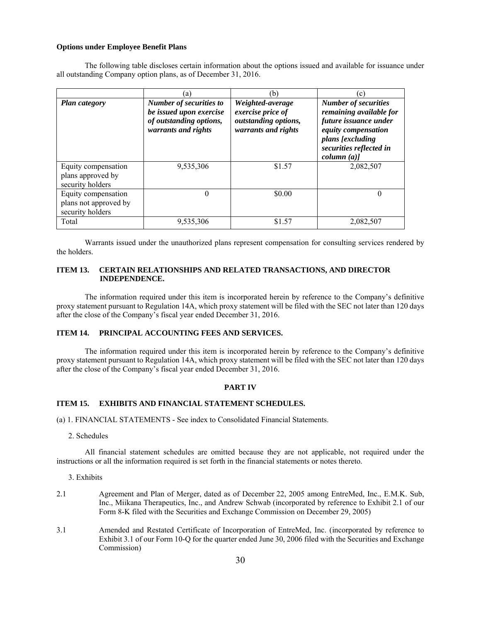### **Options under Employee Benefit Plans**

The following table discloses certain information about the options issued and available for issuance under all outstanding Company option plans, as of December 31, 2016.

|                                                                  | (a)                                                                                                         | (b)                                                                                  | (c)                                                                                                                                                                 |
|------------------------------------------------------------------|-------------------------------------------------------------------------------------------------------------|--------------------------------------------------------------------------------------|---------------------------------------------------------------------------------------------------------------------------------------------------------------------|
| <b>Plan category</b>                                             | <b>Number of securities to</b><br>be issued upon exercise<br>of outstanding options,<br>warrants and rights | Weighted-average<br>exercise price of<br>outstanding options,<br>warrants and rights | <b>Number of securities</b><br>remaining available for<br>future issuance under<br>equity compensation<br>plans [excluding<br>securities reflected in<br>column (a) |
| Equity compensation<br>plans approved by<br>security holders     | 9,535,306                                                                                                   | \$1.57                                                                               | 2,082,507                                                                                                                                                           |
| Equity compensation<br>plans not approved by<br>security holders | $\theta$                                                                                                    | \$0.00                                                                               | $\Omega$                                                                                                                                                            |
| Total                                                            | 9,535,306                                                                                                   | \$1.57                                                                               | 2,082,507                                                                                                                                                           |

Warrants issued under the unauthorized plans represent compensation for consulting services rendered by the holders.

# **ITEM 13. CERTAIN RELATIONSHIPS AND RELATED TRANSACTIONS, AND DIRECTOR INDEPENDENCE.**

The information required under this item is incorporated herein by reference to the Company's definitive proxy statement pursuant to Regulation 14A, which proxy statement will be filed with the SEC not later than 120 days after the close of the Company's fiscal year ended December 31, 2016.

# **ITEM 14. PRINCIPAL ACCOUNTING FEES AND SERVICES.**

The information required under this item is incorporated herein by reference to the Company's definitive proxy statement pursuant to Regulation 14A, which proxy statement will be filed with the SEC not later than 120 days after the close of the Company's fiscal year ended December 31, 2016.

#### **PART IV**

# **ITEM 15. EXHIBITS AND FINANCIAL STATEMENT SCHEDULES.**

(a) 1. FINANCIAL STATEMENTS - See index to Consolidated Financial Statements.

2. Schedules

All financial statement schedules are omitted because they are not applicable, not required under the instructions or all the information required is set forth in the financial statements or notes thereto.

#### 3. Exhibits

- 2.1 Agreement and Plan of Merger, dated as of December 22, 2005 among EntreMed, Inc., E.M.K. Sub, Inc., Miikana Therapeutics, Inc., and Andrew Schwab (incorporated by reference to Exhibit 2.1 of our Form 8-K filed with the Securities and Exchange Commission on December 29, 2005)
- 3.1 Amended and Restated Certificate of Incorporation of EntreMed, Inc. (incorporated by reference to Exhibit 3.1 of our Form 10-Q for the quarter ended June 30, 2006 filed with the Securities and Exchange Commission)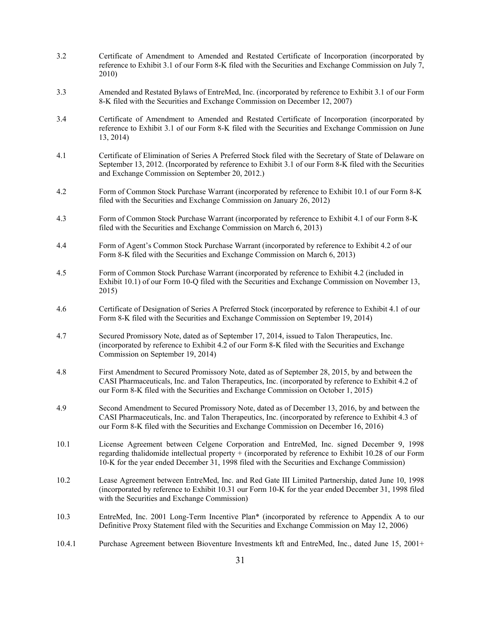- 3.2 Certificate of Amendment to Amended and Restated Certificate of Incorporation (incorporated by reference to Exhibit 3.1 of our Form 8-K filed with the Securities and Exchange Commission on July 7, 2010)
- 3.3 Amended and Restated Bylaws of EntreMed, Inc. (incorporated by reference to Exhibit 3.1 of our Form 8-K filed with the Securities and Exchange Commission on December 12, 2007)
- 3.4 Certificate of Amendment to Amended and Restated Certificate of Incorporation (incorporated by reference to Exhibit 3.1 of our Form 8-K filed with the Securities and Exchange Commission on June 13, 2014)
- 4.1 Certificate of Elimination of Series A Preferred Stock filed with the Secretary of State of Delaware on September 13, 2012. (Incorporated by reference to Exhibit 3.1 of our Form 8-K filed with the Securities and Exchange Commission on September 20, 2012.)
- 4.2 Form of Common Stock Purchase Warrant (incorporated by reference to Exhibit 10.1 of our Form 8-K filed with the Securities and Exchange Commission on January 26, 2012)
- 4.3 Form of Common Stock Purchase Warrant (incorporated by reference to Exhibit 4.1 of our Form 8-K filed with the Securities and Exchange Commission on March 6, 2013)
- 4.4 Form of Agent's Common Stock Purchase Warrant (incorporated by reference to Exhibit 4.2 of our Form 8-K filed with the Securities and Exchange Commission on March 6, 2013)
- 4.5 Form of Common Stock Purchase Warrant (incorporated by reference to Exhibit 4.2 (included in Exhibit 10.1) of our Form 10-Q filed with the Securities and Exchange Commission on November 13, 2015)
- 4.6 Certificate of Designation of Series A Preferred Stock (incorporated by reference to Exhibit 4.1 of our Form 8-K filed with the Securities and Exchange Commission on September 19, 2014)
- 4.7 Secured Promissory Note, dated as of September 17, 2014, issued to Talon Therapeutics, Inc. (incorporated by reference to Exhibit 4.2 of our Form 8-K filed with the Securities and Exchange Commission on September 19, 2014)
- 4.8 First Amendment to Secured Promissory Note, dated as of September 28, 2015, by and between the CASI Pharmaceuticals, Inc. and Talon Therapeutics, Inc. (incorporated by reference to Exhibit 4.2 of our Form 8-K filed with the Securities and Exchange Commission on October 1, 2015)
- 4.9 Second Amendment to Secured Promissory Note, dated as of December 13, 2016, by and between the CASI Pharmaceuticals, Inc. and Talon Therapeutics, Inc. (incorporated by reference to Exhibit 4.3 of our Form 8-K filed with the Securities and Exchange Commission on December 16, 2016)
- 10.1 License Agreement between Celgene Corporation and EntreMed, Inc. signed December 9, 1998 regarding thalidomide intellectual property + (incorporated by reference to Exhibit 10.28 of our Form 10-K for the year ended December 31, 1998 filed with the Securities and Exchange Commission)
- 10.2 Lease Agreement between EntreMed, Inc. and Red Gate III Limited Partnership, dated June 10, 1998 (incorporated by reference to Exhibit 10.31 our Form 10-K for the year ended December 31, 1998 filed with the Securities and Exchange Commission)
- 10.3 EntreMed, Inc. 2001 Long-Term Incentive Plan\* (incorporated by reference to Appendix A to our Definitive Proxy Statement filed with the Securities and Exchange Commission on May 12, 2006)
- 10.4.1 Purchase Agreement between Bioventure Investments kft and EntreMed, Inc., dated June 15, 2001+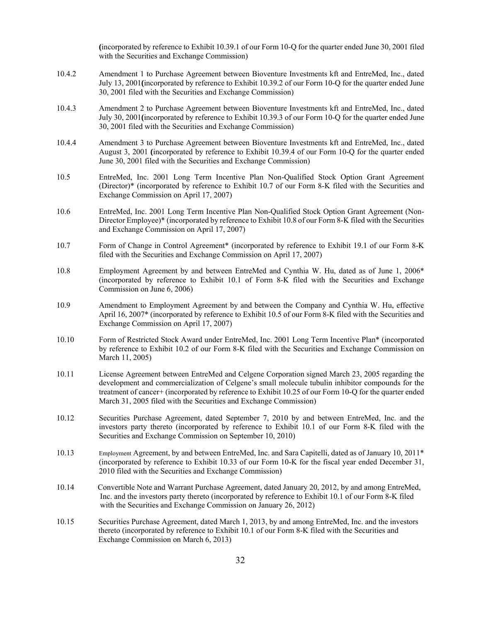**(**incorporated by reference to Exhibit 10.39.1 of our Form 10-Q for the quarter ended June 30, 2001 filed with the Securities and Exchange Commission)

- 10.4.2 Amendment 1 to Purchase Agreement between Bioventure Investments kft and EntreMed, Inc., dated July 13, 2001**(**incorporated by reference to Exhibit 10.39.2 of our Form 10-Q for the quarter ended June 30, 2001 filed with the Securities and Exchange Commission)
- 10.4.3 Amendment 2 to Purchase Agreement between Bioventure Investments kft and EntreMed, Inc., dated July 30, 2001**(**incorporated by reference to Exhibit 10.39.3 of our Form 10-Q for the quarter ended June 30, 2001 filed with the Securities and Exchange Commission)
- 10.4.4 Amendment 3 to Purchase Agreement between Bioventure Investments kft and EntreMed, Inc., dated August 3, 2001 **(**incorporated by reference to Exhibit 10.39.4 of our Form 10-Q for the quarter ended June 30, 2001 filed with the Securities and Exchange Commission)
- 10.5 EntreMed, Inc. 2001 Long Term Incentive Plan Non-Qualified Stock Option Grant Agreement (Director)\* (incorporated by reference to Exhibit 10.7 of our Form 8-K filed with the Securities and Exchange Commission on April 17, 2007)
- 10.6 EntreMed, Inc. 2001 Long Term Incentive Plan Non-Qualified Stock Option Grant Agreement (Non-Director Employee)\* (incorporated by reference to Exhibit 10.8 of our Form 8-K filed with the Securities and Exchange Commission on April 17, 2007)
- 10.7 Form of Change in Control Agreement\* (incorporated by reference to Exhibit 19.1 of our Form 8-K filed with the Securities and Exchange Commission on April 17, 2007)
- 10.8 Employment Agreement by and between EntreMed and Cynthia W. Hu, dated as of June 1, 2006\* (incorporated by reference to Exhibit 10.1 of Form 8-K filed with the Securities and Exchange Commission on June 6, 2006)
- 10.9 Amendment to Employment Agreement by and between the Company and Cynthia W. Hu, effective April 16, 2007\* (incorporated by reference to Exhibit 10.5 of our Form 8-K filed with the Securities and Exchange Commission on April 17, 2007)
- 10.10 Form of Restricted Stock Award under EntreMed, Inc. 2001 Long Term Incentive Plan\* (incorporated by reference to Exhibit 10.2 of our Form 8-K filed with the Securities and Exchange Commission on March 11, 2005)
- 10.11 License Agreement between EntreMed and Celgene Corporation signed March 23, 2005 regarding the development and commercialization of Celgene's small molecule tubulin inhibitor compounds for the treatment of cancer+ (incorporated by reference to Exhibit 10.25 of our Form 10-Q for the quarter ended March 31, 2005 filed with the Securities and Exchange Commission)
- 10.12 Securities Purchase Agreement, dated September 7, 2010 by and between EntreMed, Inc. and the investors party thereto (incorporated by reference to Exhibit 10.1 of our Form 8-K filed with the Securities and Exchange Commission on September 10, 2010)
- 10.13 Employment Agreement, by and between EntreMed, Inc. and Sara Capitelli, dated as of January 10, 2011\* (incorporated by reference to Exhibit 10.33 of our Form 10-K for the fiscal year ended December 31, 2010 filed with the Securities and Exchange Commission)
- 10.14 Convertible Note and Warrant Purchase Agreement, dated January 20, 2012, by and among EntreMed, Inc. and the investors party thereto (incorporated by reference to Exhibit 10.1 of our Form 8-K filed with the Securities and Exchange Commission on January 26, 2012)
- 10.15 Securities Purchase Agreement, dated March 1, 2013, by and among EntreMed, Inc. and the investors thereto (incorporated by reference to Exhibit 10.1 of our Form 8-K filed with the Securities and Exchange Commission on March 6, 2013)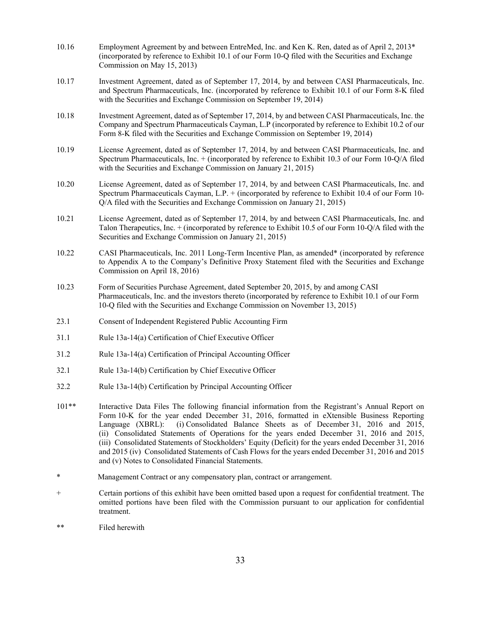- 10.16 Employment Agreement by and between EntreMed, Inc. and Ken K. Ren, dated as of April 2, 2013\* (incorporated by reference to Exhibit 10.1 of our Form 10-Q filed with the Securities and Exchange Commission on May 15, 2013)
- 10.17 Investment Agreement, dated as of September 17, 2014, by and between CASI Pharmaceuticals, Inc. and Spectrum Pharmaceuticals, Inc. (incorporated by reference to Exhibit 10.1 of our Form 8-K filed with the Securities and Exchange Commission on September 19, 2014)
- 10.18 Investment Agreement, dated as of September 17, 2014, by and between CASI Pharmaceuticals, Inc. the Company and Spectrum Pharmaceuticals Cayman, L.P (incorporated by reference to Exhibit 10.2 of our Form 8-K filed with the Securities and Exchange Commission on September 19, 2014)
- 10.19 License Agreement, dated as of September 17, 2014, by and between CASI Pharmaceuticals, Inc. and Spectrum Pharmaceuticals, Inc. + (incorporated by reference to Exhibit 10.3 of our Form 10-Q/A filed with the Securities and Exchange Commission on January 21, 2015)
- 10.20 License Agreement, dated as of September 17, 2014, by and between CASI Pharmaceuticals, Inc. and Spectrum Pharmaceuticals Cayman, L.P. + (incorporated by reference to Exhibit 10.4 of our Form 10- Q/A filed with the Securities and Exchange Commission on January 21, 2015)
- 10.21 License Agreement, dated as of September 17, 2014, by and between CASI Pharmaceuticals, Inc. and Talon Therapeutics, Inc. + (incorporated by reference to Exhibit 10.5 of our Form 10-Q/A filed with the Securities and Exchange Commission on January 21, 2015)
- 10.22 CASI Pharmaceuticals, Inc. 2011 Long-Term Incentive Plan, as amended\* (incorporated by reference to Appendix A to the Company's Definitive Proxy Statement filed with the Securities and Exchange Commission on April 18, 2016)
- 10.23 Form of Securities Purchase Agreement, dated September 20, 2015, by and among CASI Pharmaceuticals, Inc. and the investors thereto (incorporated by reference to Exhibit 10.1 of our Form 10-Q filed with the Securities and Exchange Commission on November 13, 2015)
- 23.1 Consent of Independent Registered Public Accounting Firm
- 31.1 Rule 13a-14(a) Certification of Chief Executive Officer
- 31.2 Rule 13a-14(a) Certification of Principal Accounting Officer
- 32.1 Rule 13a-14(b) Certification by Chief Executive Officer
- 32.2 Rule 13a-14(b) Certification by Principal Accounting Officer
- 101\*\* Interactive Data Files The following financial information from the Registrant's Annual Report on Form 10-K for the year ended December 31, 2016, formatted in eXtensible Business Reporting Language (XBRL): (i) Consolidated Balance Sheets as of December 31, 2016 and 2015, (ii) Consolidated Statements of Operations for the years ended December 31, 2016 and 2015, (iii) Consolidated Statements of Stockholders' Equity (Deficit) for the years ended December 31, 2016 and 2015 (iv) Consolidated Statements of Cash Flows for the years ended December 31, 2016 and 2015 and (v) Notes to Consolidated Financial Statements.
- \* Management Contract or any compensatory plan, contract or arrangement.
- + Certain portions of this exhibit have been omitted based upon a request for confidential treatment. The omitted portions have been filed with the Commission pursuant to our application for confidential treatment.
- \*\* Filed herewith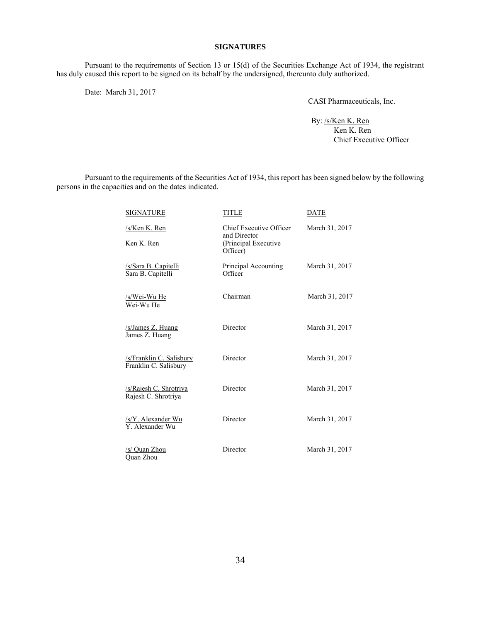### **SIGNATURES**

Pursuant to the requirements of Section 13 or 15(d) of the Securities Exchange Act of 1934, the registrant has duly caused this report to be signed on its behalf by the undersigned, thereunto duly authorized.

Date: March 31, 2017

CASI Pharmaceuticals, Inc.

By: /s/Ken K. Ren Ken K. Ren Chief Executive Officer

Pursuant to the requirements of the Securities Act of 1934, this report has been signed below by the following persons in the capacities and on the dates indicated.

| <b>SIGNATURE</b>                                  | <b>TITLE</b>                                                                       | DATE           |
|---------------------------------------------------|------------------------------------------------------------------------------------|----------------|
| /s/Ken K. Ren<br>Ken K. Ren                       | <b>Chief Executive Officer</b><br>and Director<br>(Principal Executive<br>Officer) | March 31, 2017 |
| <u>/s/Sara B. Capitelli</u><br>Sara B. Capitelli  | Principal Accounting<br>Officer                                                    | March 31, 2017 |
| /s/Wei-Wu He<br>Wei-Wu He                         | Chairman                                                                           | March 31, 2017 |
| /s/James Z. Huang<br>James Z. Huang               | Director                                                                           | March 31, 2017 |
| /s/Franklin C. Salisbury<br>Franklin C. Salisbury | Director                                                                           | March 31, 2017 |
| /s/Rajesh C. Shrotriya<br>Rajesh C. Shrotriya     | Director                                                                           | March 31, 2017 |
| /s/Y. Alexander Wu<br>Y. Alexander Wu             | Director                                                                           | March 31, 2017 |
| /s/ Quan Zhou<br>Ouan Zhou                        | Director                                                                           | March 31, 2017 |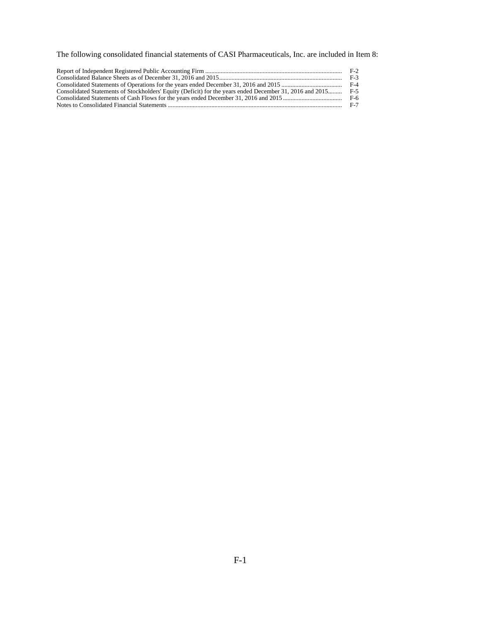The following consolidated financial statements of CASI Pharmaceuticals, Inc. are included in Item 8:

|                                                                                                          | $F-2$ |
|----------------------------------------------------------------------------------------------------------|-------|
|                                                                                                          | F-3   |
|                                                                                                          |       |
| Consolidated Statements of Stockholders' Equity (Deficit) for the years ended December 31, 2016 and 2015 | F-5   |
|                                                                                                          | F-6   |
|                                                                                                          | F-7   |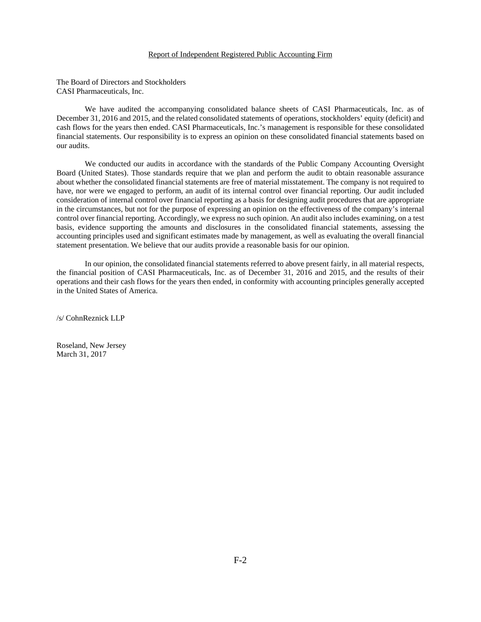#### Report of Independent Registered Public Accounting Firm

The Board of Directors and Stockholders CASI Pharmaceuticals, Inc.

We have audited the accompanying consolidated balance sheets of CASI Pharmaceuticals, Inc. as of December 31, 2016 and 2015, and the related consolidated statements of operations, stockholders' equity (deficit) and cash flows for the years then ended. CASI Pharmaceuticals, Inc.'s management is responsible for these consolidated financial statements. Our responsibility is to express an opinion on these consolidated financial statements based on our audits.

We conducted our audits in accordance with the standards of the Public Company Accounting Oversight Board (United States). Those standards require that we plan and perform the audit to obtain reasonable assurance about whether the consolidated financial statements are free of material misstatement. The company is not required to have, nor were we engaged to perform, an audit of its internal control over financial reporting. Our audit included consideration of internal control over financial reporting as a basis for designing audit procedures that are appropriate in the circumstances, but not for the purpose of expressing an opinion on the effectiveness of the company's internal control over financial reporting. Accordingly, we express no such opinion. An audit also includes examining, on a test basis, evidence supporting the amounts and disclosures in the consolidated financial statements, assessing the accounting principles used and significant estimates made by management, as well as evaluating the overall financial statement presentation. We believe that our audits provide a reasonable basis for our opinion.

In our opinion, the consolidated financial statements referred to above present fairly, in all material respects, the financial position of CASI Pharmaceuticals, Inc. as of December 31, 2016 and 2015, and the results of their operations and their cash flows for the years then ended, in conformity with accounting principles generally accepted in the United States of America.

/s/ CohnReznick LLP

Roseland, New Jersey March 31, 2017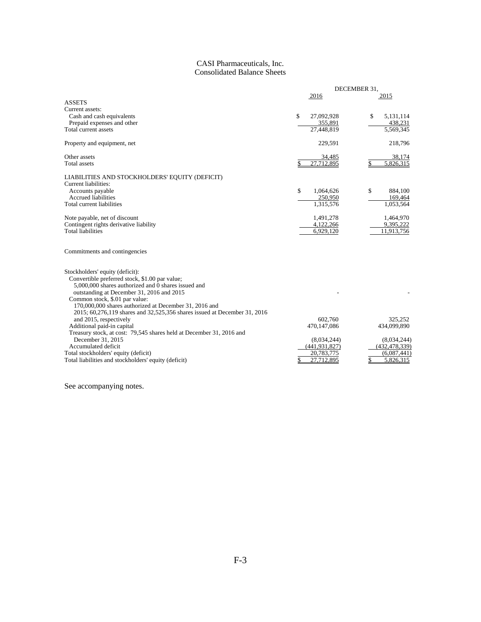# CASI Pharmaceuticals, Inc. Consolidated Balance Sheets

|                                                                                                                                                                                      | DECEMBER 31,                 |                                |
|--------------------------------------------------------------------------------------------------------------------------------------------------------------------------------------|------------------------------|--------------------------------|
|                                                                                                                                                                                      | 2016                         | 2015                           |
| <b>ASSETS</b>                                                                                                                                                                        |                              |                                |
| Current assets:                                                                                                                                                                      |                              |                                |
| Cash and cash equivalents                                                                                                                                                            | \$<br>27,092,928             | \$<br>5,131,114                |
| Prepaid expenses and other                                                                                                                                                           | 355,891                      | 438,231                        |
| Total current assets                                                                                                                                                                 | 27,448,819                   | 5,569,345                      |
| Property and equipment, net                                                                                                                                                          | 229,591                      | 218,796                        |
| Other assets                                                                                                                                                                         | 34,485                       | 38,174                         |
| Total assets                                                                                                                                                                         | 27,712,895<br>\$             | 5,826,315                      |
| LIABILITIES AND STOCKHOLDERS' EQUITY (DEFICIT)                                                                                                                                       |                              |                                |
| Current liabilities:                                                                                                                                                                 |                              |                                |
| Accounts payable                                                                                                                                                                     | \$<br>1,064,626              | \$<br>884,100                  |
| <b>Accrued liabilities</b>                                                                                                                                                           | 250,950                      | 169,464                        |
| Total current liabilities                                                                                                                                                            | 1,315,576                    | 1,053,564                      |
| Note payable, net of discount                                                                                                                                                        | 1,491,278                    | 1,464,970                      |
| Contingent rights derivative liability                                                                                                                                               | 4,122,266                    | 9,395,222                      |
| <b>Total liabilities</b>                                                                                                                                                             | 6,929,120                    | 11,913,756                     |
| Commitments and contingencies                                                                                                                                                        |                              |                                |
| Stockholders' equity (deficit):                                                                                                                                                      |                              |                                |
| Convertible preferred stock, \$1.00 par value;<br>5,000,000 shares authorized and 0 shares issued and<br>outstanding at December 31, 2016 and 2015<br>Common stock, \$.01 par value: |                              |                                |
| 170,000,000 shares authorized at December 31, 2016 and                                                                                                                               |                              |                                |
| 2015; 60,276,119 shares and 32,525,356 shares issued at December 31, 2016                                                                                                            |                              |                                |
| and 2015, respectively                                                                                                                                                               | 602.760                      | 325,252                        |
| Additional paid-in capital                                                                                                                                                           | 470,147,086                  | 434,099,890                    |
| Treasury stock, at cost: 79,545 shares held at December 31, 2016 and<br>December 31, 2015                                                                                            |                              |                                |
| Accumulated deficit                                                                                                                                                                  | (8,034,244)<br>(441.931.827) | (8,034,244)<br>(432, 478, 339) |
| Total stockholders' equity (deficit)                                                                                                                                                 | 20,783,775                   | (6,087,441)                    |
| Total liabilities and stockholders' equity (deficit)                                                                                                                                 | 27,712,895                   | 5,826,315                      |
|                                                                                                                                                                                      |                              |                                |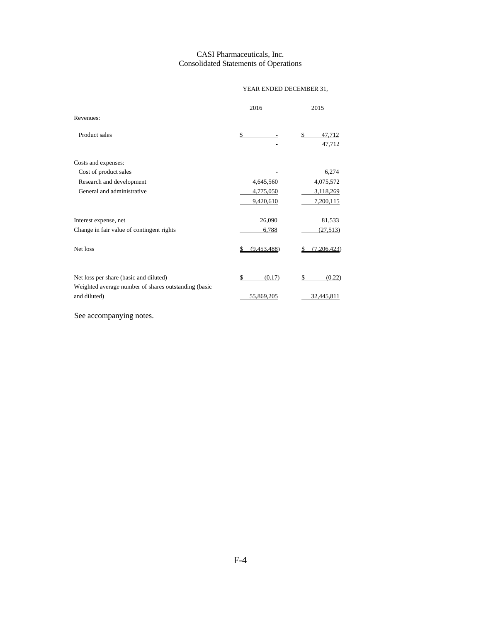# CASI Pharmaceuticals, Inc. Consolidated Statements of Operations

# YEAR ENDED DECEMBER 31,

|                                                      | 2016        | 2015                   |
|------------------------------------------------------|-------------|------------------------|
| Revenues:                                            |             |                        |
| Product sales                                        | \$          | \$<br>47,712<br>47,712 |
| Costs and expenses:                                  |             |                        |
| Cost of product sales                                |             | 6,274                  |
| Research and development                             | 4,645,560   | 4,075,572              |
| General and administrative                           | 4,775,050   | 3,118,269              |
|                                                      | 9,420,610   | 7,200,115              |
| Interest expense, net                                | 26,090      | 81,533                 |
| Change in fair value of contingent rights            | 6,788       | (27, 513)              |
| Net loss                                             | (9,453,488) | (7,206,423)            |
| Net loss per share (basic and diluted)               | (0.17)      | (0.22)                 |
| Weighted average number of shares outstanding (basic |             |                        |
| and diluted)                                         | 55,869,205  | 32,445,811             |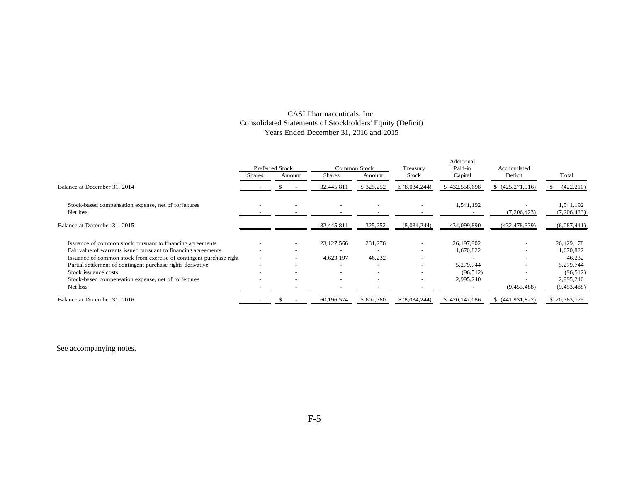# CASI Pharmaceuticals, Inc. Consolidated Statements of Stockholders' Equity (Deficit) Years Ended December 31, 2016 and 2015

|                                                                     | <b>Preferred Stock</b> |                          | <b>Common Stock</b> |                          | Treasury                 | Additional<br>Paid-in | Accumulated      |               |
|---------------------------------------------------------------------|------------------------|--------------------------|---------------------|--------------------------|--------------------------|-----------------------|------------------|---------------|
|                                                                     | Shares                 | Amount                   | <b>Shares</b>       | Amount                   | Stock                    | Capital               | Deficit          | Total         |
| Balance at December 31, 2014                                        |                        |                          | 32,445,811          | \$325,252                | \$(8,034,244)            | \$432,558,698         | (425, 271, 916)  | (422, 210)    |
| Stock-based compensation expense, net of forfeitures                |                        |                          |                     |                          | ٠                        | 1,541,192             |                  | 1,541,192     |
| Net loss                                                            |                        |                          |                     |                          |                          |                       | (7,206,423)      | (7, 206, 423) |
| Balance at December 31, 2015                                        |                        |                          | 32,445,811          | 325,252                  | (8,034,244)              | 434,099,890           | (432, 478, 339)  | (6,087,441)   |
| Issuance of common stock pursuant to financing agreements           |                        | $\overline{\phantom{a}}$ | 23, 127, 566        | 231,276                  | $\overline{\phantom{a}}$ | 26, 197, 902          | -                | 26,429,178    |
| Fair value of warrants issued pursuant to financing agreements      |                        | $\overline{\phantom{a}}$ |                     |                          | $\overline{\phantom{m}}$ | 1,670,822             |                  | 1,670,822     |
| Issuance of common stock from exercise of contingent purchase right |                        | $\overline{\phantom{a}}$ | 4,623,197           | 46,232                   | $\overline{\phantom{0}}$ |                       |                  | 46,232        |
| Partial settlement of contingent purchase rights derivative         |                        | $\overline{\phantom{a}}$ |                     | $\overline{\phantom{0}}$ | $\overline{\phantom{0}}$ | 5,279,744             | -                | 5,279,744     |
| Stock issuance costs                                                |                        | $\overline{\phantom{a}}$ |                     | $\overline{\phantom{0}}$ | $\overline{\phantom{0}}$ | (96, 512)             |                  | (96, 512)     |
| Stock-based compensation expense, net of forfeitures                |                        |                          |                     |                          | $\overline{\phantom{0}}$ | 2,995,240             |                  | 2,995,240     |
| Net loss                                                            |                        |                          |                     |                          |                          |                       | (9,453,488)      | (9,453,488)   |
| Balance at December 31, 2016                                        |                        |                          | 60,196,574          | \$602,760                | \$ (8,034,244)           | \$470,147,086         | \$ (441,931,827) | \$20,783,775  |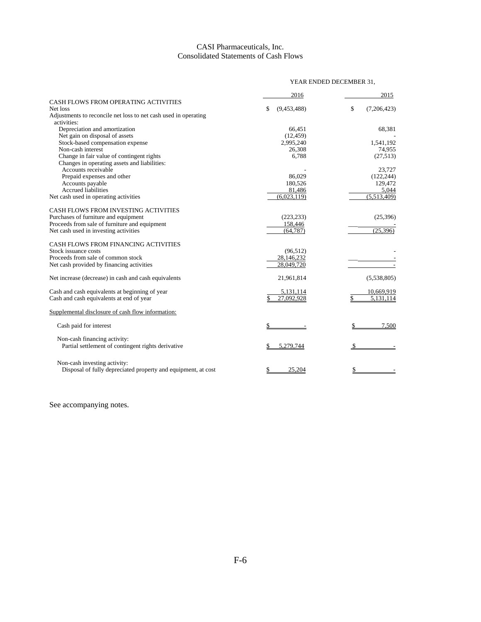# CASI Pharmaceuticals, Inc. Consolidated Statements of Cash Flows

|                                                                 | YEAR ENDED DECEMBER 31, |                   |  |
|-----------------------------------------------------------------|-------------------------|-------------------|--|
|                                                                 | 2016                    | 2015              |  |
| CASH FLOWS FROM OPERATING ACTIVITIES                            |                         |                   |  |
| Net loss                                                        | \$<br>(9,453,488)       | \$<br>(7,206,423) |  |
| Adjustments to reconcile net loss to net cash used in operating |                         |                   |  |
| activities:                                                     |                         |                   |  |
| Depreciation and amortization                                   | 66,451                  | 68,381            |  |
| Net gain on disposal of assets                                  | (12, 459)               |                   |  |
| Stock-based compensation expense                                | 2,995,240               | 1,541,192         |  |
| Non-cash interest                                               | 26,308                  | 74,955            |  |
| Change in fair value of contingent rights                       | 6,788                   | (27,513)          |  |
| Changes in operating assets and liabilities:                    |                         |                   |  |
| Accounts receivable                                             |                         | 23,727            |  |
| Prepaid expenses and other                                      | 86,029                  | (122, 244)        |  |
| Accounts payable                                                | 180,526                 | 129,472           |  |
| <b>Accrued liabilities</b>                                      | 81,486                  | 5,044             |  |
| Net cash used in operating activities                           | (6,023,119)             | (5,513,409)       |  |
| CASH FLOWS FROM INVESTING ACTIVITIES                            |                         |                   |  |
| Purchases of furniture and equipment                            | (223, 233)              | (25,396)          |  |
| Proceeds from sale of furniture and equipment                   | 158,446                 |                   |  |
| Net cash used in investing activities                           | (64, 787)               | (25, 396)         |  |
| CASH FLOWS FROM FINANCING ACTIVITIES                            |                         |                   |  |
| Stock issuance costs                                            | (96, 512)               |                   |  |
| Proceeds from sale of common stock                              | 28,146,232              |                   |  |
| Net cash provided by financing activities                       | 28,049,720              |                   |  |
| Net increase (decrease) in cash and cash equivalents            | 21,961,814              | (5,538,805)       |  |
| Cash and cash equivalents at beginning of year                  | 5,131,114               | 10,669,919        |  |
| Cash and cash equivalents at end of year                        | 27.092.928              | 5.131.114         |  |
| Supplemental disclosure of cash flow information:               |                         |                   |  |
| Cash paid for interest                                          |                         | 7.500             |  |
| Non-cash financing activity:                                    |                         |                   |  |
| Partial settlement of contingent rights derivative              | 5.279.744               |                   |  |
| Non-cash investing activity:                                    |                         |                   |  |
| Disposal of fully depreciated property and equipment, at cost   | 25.204<br>S             | S                 |  |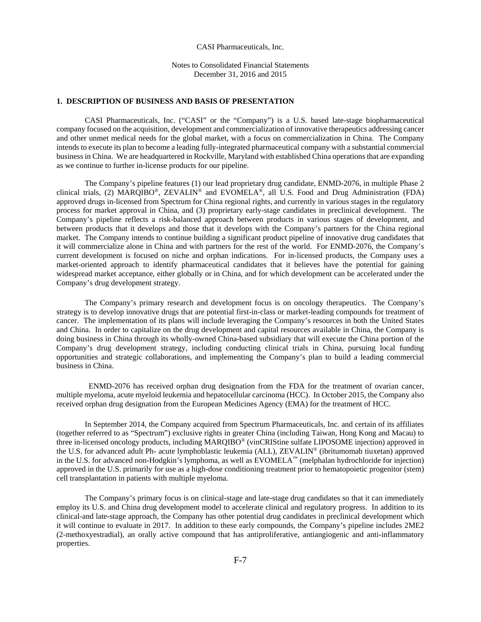#### CASI Pharmaceuticals, Inc.

Notes to Consolidated Financial Statements December 31, 2016 and 2015

### **1. DESCRIPTION OF BUSINESS AND BASIS OF PRESENTATION**

CASI Pharmaceuticals, Inc. ("CASI" or the "Company") is a U.S. based late-stage biopharmaceutical company focused on the acquisition, development and commercialization of innovative therapeutics addressing cancer and other unmet medical needs for the global market, with a focus on commercialization in China. The Company intends to execute its plan to become a leading fully-integrated pharmaceutical company with a substantial commercial business in China. We are headquartered in Rockville, Maryland with established China operations that are expanding as we continue to further in-license products for our pipeline.

The Company's pipeline features (1) our lead proprietary drug candidate, ENMD-2076, in multiple Phase 2 clinical trials, (2) MARQIBO®, ZEVALIN® and EVOMELA<sup>®</sup>, all U.S. Food and Drug Administration (FDA) approved drugs in-licensed from Spectrum for China regional rights, and currently in various stages in the regulatory process for market approval in China, and (3) proprietary early-stage candidates in preclinical development. The Company's pipeline reflects a risk-balanced approach between products in various stages of development, and between products that it develops and those that it develops with the Company's partners for the China regional market. The Company intends to continue building a significant product pipeline of innovative drug candidates that it will commercialize alone in China and with partners for the rest of the world. For ENMD-2076, the Company's current development is focused on niche and orphan indications. For in-licensed products, the Company uses a market-oriented approach to identify pharmaceutical candidates that it believes have the potential for gaining widespread market acceptance, either globally or in China, and for which development can be accelerated under the Company's drug development strategy.

The Company's primary research and development focus is on oncology therapeutics. The Company's strategy is to develop innovative drugs that are potential first-in-class or market-leading compounds for treatment of cancer. The implementation of its plans will include leveraging the Company's resources in both the United States and China. In order to capitalize on the drug development and capital resources available in China, the Company is doing business in China through its wholly-owned China-based subsidiary that will execute the China portion of the Company's drug development strategy, including conducting clinical trials in China, pursuing local funding opportunities and strategic collaborations, and implementing the Company's plan to build a leading commercial business in China.

 ENMD-2076 has received orphan drug designation from the FDA for the treatment of ovarian cancer, multiple myeloma, acute myeloid leukemia and hepatocellular carcinoma (HCC). In October 2015, the Company also received orphan drug designation from the European Medicines Agency (EMA) for the treatment of HCC.

In September 2014, the Company acquired from Spectrum Pharmaceuticals, Inc. and certain of its affiliates (together referred to as "Spectrum") exclusive rights in greater China (including Taiwan, Hong Kong and Macau) to three in-licensed oncology products, including MARQIBO® (vinCRIStine sulfate LIPOSOME injection) approved in the U.S. for advanced adult Ph- acute lymphoblastic leukemia (ALL), ZEVALIN® (ibritumomab tiuxetan) approved in the U.S. for advanced non-Hodgkin's lymphoma, as well as EVOMELA™ (melphalan hydrochloride for injection) approved in the U.S. primarily for use as a high-dose conditioning treatment prior to hematopoietic progenitor (stem) cell transplantation in patients with multiple myeloma.

The Company's primary focus is on clinical-stage and late-stage drug candidates so that it can immediately employ its U.S. and China drug development model to accelerate clinical and regulatory progress. In addition to its clinical-and late-stage approach, the Company has other potential drug candidates in preclinical development which it will continue to evaluate in 2017. In addition to these early compounds, the Company's pipeline includes 2ME2 (2-methoxyestradial), an orally active compound that has antiproliferative, antiangiogenic and anti-inflammatory properties.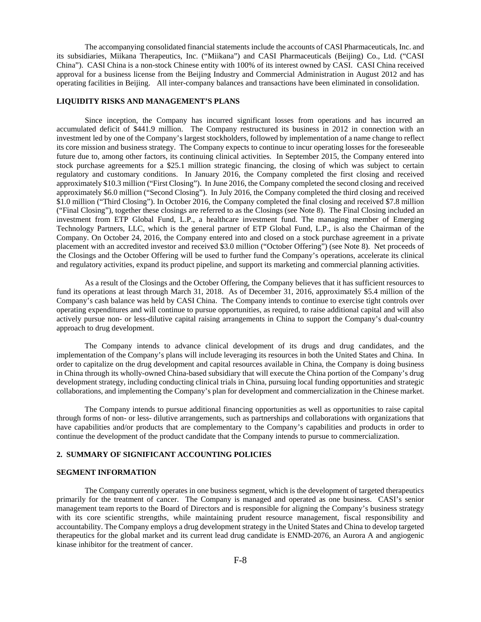The accompanying consolidated financial statements include the accounts of CASI Pharmaceuticals, Inc. and its subsidiaries, Miikana Therapeutics, Inc. ("Miikana") and CASI Pharmaceuticals (Beijing) Co., Ltd. ("CASI China"). CASI China is a non-stock Chinese entity with 100% of its interest owned by CASI. CASI China received approval for a business license from the Beijing Industry and Commercial Administration in August 2012 and has operating facilities in Beijing. All inter-company balances and transactions have been eliminated in consolidation.

# **LIQUIDITY RISKS AND MANAGEMENT'S PLANS**

Since inception, the Company has incurred significant losses from operations and has incurred an accumulated deficit of \$441.9 million. The Company restructured its business in 2012 in connection with an investment led by one of the Company's largest stockholders, followed by implementation of a name change to reflect its core mission and business strategy. The Company expects to continue to incur operating losses for the foreseeable future due to, among other factors, its continuing clinical activities. In September 2015, the Company entered into stock purchase agreements for a \$25.1 million strategic financing, the closing of which was subject to certain regulatory and customary conditions. In January 2016, the Company completed the first closing and received approximately \$10.3 million ("First Closing"). In June 2016, the Company completed the second closing and received approximately \$6.0 million ("Second Closing"). In July 2016, the Company completed the third closing and received \$1.0 million ("Third Closing"). In October 2016, the Company completed the final closing and received \$7.8 million ("Final Closing"), together these closings are referred to as the Closings (see Note 8). The Final Closing included an investment from ETP Global Fund, L.P., a healthcare investment fund. The managing member of Emerging Technology Partners, LLC, which is the general partner of ETP Global Fund, L.P., is also the Chairman of the Company. On October 24, 2016, the Company entered into and closed on a stock purchase agreement in a private placement with an accredited investor and received \$3.0 million ("October Offering") (see Note 8). Net proceeds of the Closings and the October Offering will be used to further fund the Company's operations, accelerate its clinical and regulatory activities, expand its product pipeline, and support its marketing and commercial planning activities.

As a result of the Closings and the October Offering, the Company believes that it has sufficient resources to fund its operations at least through March 31, 2018. As of December 31, 2016, approximately \$5.4 million of the Company's cash balance was held by CASI China. The Company intends to continue to exercise tight controls over operating expenditures and will continue to pursue opportunities, as required, to raise additional capital and will also actively pursue non- or less-dilutive capital raising arrangements in China to support the Company's dual-country approach to drug development.

The Company intends to advance clinical development of its drugs and drug candidates, and the implementation of the Company's plans will include leveraging its resources in both the United States and China. In order to capitalize on the drug development and capital resources available in China, the Company is doing business in China through its wholly-owned China-based subsidiary that will execute the China portion of the Company's drug development strategy, including conducting clinical trials in China, pursuing local funding opportunities and strategic collaborations, and implementing the Company's plan for development and commercialization in the Chinese market.

The Company intends to pursue additional financing opportunities as well as opportunities to raise capital through forms of non- or less- dilutive arrangements, such as partnerships and collaborations with organizations that have capabilities and/or products that are complementary to the Company's capabilities and products in order to continue the development of the product candidate that the Company intends to pursue to commercialization.

# **2. SUMMARY OF SIGNIFICANT ACCOUNTING POLICIES**

#### **SEGMENT INFORMATION**

The Company currently operates in one business segment, which is the development of targeted therapeutics primarily for the treatment of cancer. The Company is managed and operated as one business. CASI's senior management team reports to the Board of Directors and is responsible for aligning the Company's business strategy with its core scientific strengths, while maintaining prudent resource management, fiscal responsibility and accountability. The Company employs a drug development strategy in the United States and China to develop targeted therapeutics for the global market and its current lead drug candidate is ENMD-2076, an Aurora A and angiogenic kinase inhibitor for the treatment of cancer.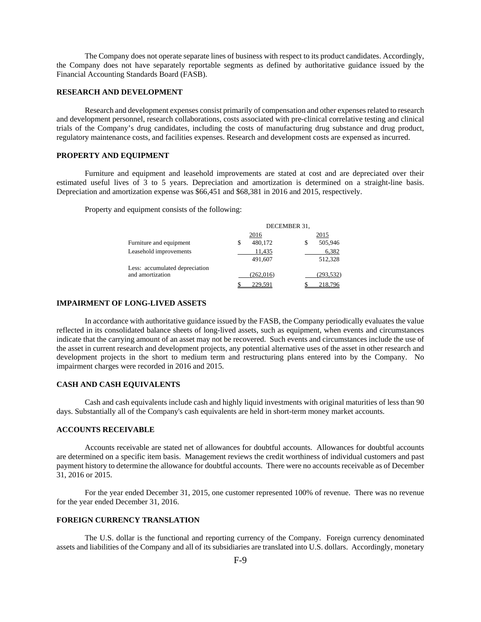The Company does not operate separate lines of business with respect to its product candidates. Accordingly, the Company does not have separately reportable segments as defined by authoritative guidance issued by the Financial Accounting Standards Board (FASB).

### **RESEARCH AND DEVELOPMENT**

Research and development expenses consist primarily of compensation and other expenses related to research and development personnel, research collaborations, costs associated with pre-clinical correlative testing and clinical trials of the Company's drug candidates, including the costs of manufacturing drug substance and drug product, regulatory maintenance costs, and facilities expenses. Research and development costs are expensed as incurred.

# **PROPERTY AND EQUIPMENT**

Furniture and equipment and leasehold improvements are stated at cost and are depreciated over their estimated useful lives of 3 to 5 years. Depreciation and amortization is determined on a straight-line basis. Depreciation and amortization expense was \$66,451 and \$68,381 in 2016 and 2015, respectively.

Property and equipment consists of the following:

|                                | DECEMBER 31. |               |  |  |  |
|--------------------------------|--------------|---------------|--|--|--|
|                                | 2016         | 2015          |  |  |  |
| Furniture and equipment        | 480,172<br>S | 505,946<br>\$ |  |  |  |
| Leasehold improvements         | 11,435       | 6,382         |  |  |  |
|                                | 491,607      | 512,328       |  |  |  |
| Less: accumulated depreciation |              |               |  |  |  |
| and amortization               | (262, 016)   | (293, 532)    |  |  |  |
|                                | 229.591      | 218,796       |  |  |  |

### **IMPAIRMENT OF LONG-LIVED ASSETS**

In accordance with authoritative guidance issued by the FASB, the Company periodically evaluates the value reflected in its consolidated balance sheets of long-lived assets, such as equipment, when events and circumstances indicate that the carrying amount of an asset may not be recovered. Such events and circumstances include the use of the asset in current research and development projects, any potential alternative uses of the asset in other research and development projects in the short to medium term and restructuring plans entered into by the Company. No impairment charges were recorded in 2016 and 2015.

### **CASH AND CASH EQUIVALENTS**

Cash and cash equivalents include cash and highly liquid investments with original maturities of less than 90 days. Substantially all of the Company's cash equivalents are held in short-term money market accounts.

# **ACCOUNTS RECEIVABLE**

Accounts receivable are stated net of allowances for doubtful accounts. Allowances for doubtful accounts are determined on a specific item basis. Management reviews the credit worthiness of individual customers and past payment history to determine the allowance for doubtful accounts. There were no accounts receivable as of December 31, 2016 or 2015.

For the year ended December 31, 2015, one customer represented 100% of revenue. There was no revenue for the year ended December 31, 2016.

# **FOREIGN CURRENCY TRANSLATION**

The U.S. dollar is the functional and reporting currency of the Company. Foreign currency denominated assets and liabilities of the Company and all of its subsidiaries are translated into U.S. dollars. Accordingly, monetary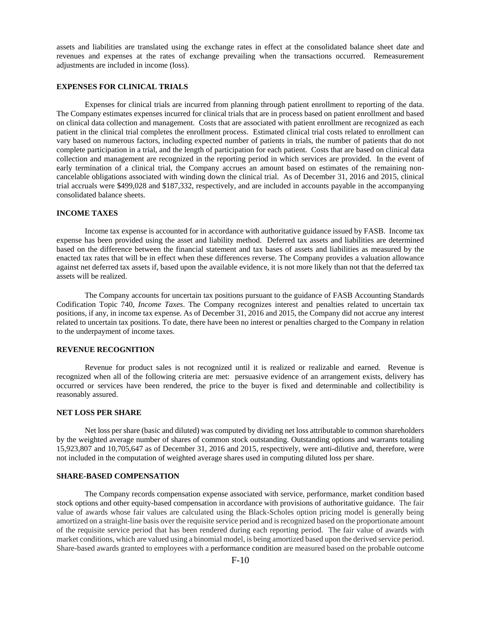assets and liabilities are translated using the exchange rates in effect at the consolidated balance sheet date and revenues and expenses at the rates of exchange prevailing when the transactions occurred. Remeasurement adjustments are included in income (loss).

# **EXPENSES FOR CLINICAL TRIALS**

Expenses for clinical trials are incurred from planning through patient enrollment to reporting of the data. The Company estimates expenses incurred for clinical trials that are in process based on patient enrollment and based on clinical data collection and management. Costs that are associated with patient enrollment are recognized as each patient in the clinical trial completes the enrollment process. Estimated clinical trial costs related to enrollment can vary based on numerous factors, including expected number of patients in trials, the number of patients that do not complete participation in a trial, and the length of participation for each patient. Costs that are based on clinical data collection and management are recognized in the reporting period in which services are provided. In the event of early termination of a clinical trial, the Company accrues an amount based on estimates of the remaining noncancelable obligations associated with winding down the clinical trial. As of December 31, 2016 and 2015, clinical trial accruals were \$499,028 and \$187,332, respectively, and are included in accounts payable in the accompanying consolidated balance sheets.

### **INCOME TAXES**

Income tax expense is accounted for in accordance with authoritative guidance issued by FASB. Income tax expense has been provided using the asset and liability method. Deferred tax assets and liabilities are determined based on the difference between the financial statement and tax bases of assets and liabilities as measured by the enacted tax rates that will be in effect when these differences reverse. The Company provides a valuation allowance against net deferred tax assets if, based upon the available evidence, it is not more likely than not that the deferred tax assets will be realized.

The Company accounts for uncertain tax positions pursuant to the guidance of FASB Accounting Standards Codification Topic 740, *Income Taxes*. The Company recognizes interest and penalties related to uncertain tax positions, if any, in income tax expense. As of December 31, 2016 and 2015, the Company did not accrue any interest related to uncertain tax positions. To date, there have been no interest or penalties charged to the Company in relation to the underpayment of income taxes.

# **REVENUE RECOGNITION**

Revenue for product sales is not recognized until it is realized or realizable and earned. Revenue is recognized when all of the following criteria are met: persuasive evidence of an arrangement exists, delivery has occurred or services have been rendered, the price to the buyer is fixed and determinable and collectibility is reasonably assured.

### **NET LOSS PER SHARE**

Net loss per share (basic and diluted) was computed by dividing net loss attributable to common shareholders by the weighted average number of shares of common stock outstanding. Outstanding options and warrants totaling 15,923,807 and 10,705,647 as of December 31, 2016 and 2015, respectively, were anti-dilutive and, therefore, were not included in the computation of weighted average shares used in computing diluted loss per share.

#### **SHARE-BASED COMPENSATION**

The Company records compensation expense associated with service, performance, market condition based stock options and other equity-based compensation in accordance with provisions of authoritative guidance. The fair value of awards whose fair values are calculated using the Black-Scholes option pricing model is generally being amortized on a straight-line basis over the requisite service period and is recognized based on the proportionate amount of the requisite service period that has been rendered during each reporting period. The fair value of awards with market conditions, which are valued using a binomial model, is being amortized based upon the derived service period. Share-based awards granted to employees with a performance condition are measured based on the probable outcome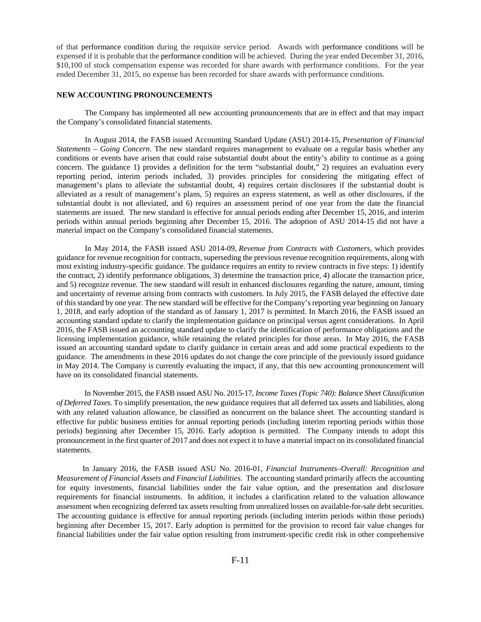of that performance condition during the requisite service period. Awards with performance conditions will be expensed if it is probable that the performance condition will be achieved. During the year ended December 31, 2016, \$10,100 of stock compensation expense was recorded for share awards with performance conditions. For the year ended December 31, 2015, no expense has been recorded for share awards with performance conditions.

# **NEW ACCOUNTING PRONOUNCEMENTS**

The Company has implemented all new accounting pronouncements that are in effect and that may impact the Company's consolidated financial statements.

In August 2014, the FASB issued Accounting Standard Update (ASU) 2014-15, *Presentation of Financial Statements – Going Concern*. The new standard requires management to evaluate on a regular basis whether any conditions or events have arisen that could raise substantial doubt about the entity's ability to continue as a going concern. The guidance 1) provides a definition for the term "substantial doubt," 2) requires an evaluation every reporting period, interim periods included, 3) provides principles for considering the mitigating effect of management's plans to alleviate the substantial doubt, 4) requires certain disclosures if the substantial doubt is alleviated as a result of management's plans, 5) requires an express statement, as well as other disclosures, if the substantial doubt is not alleviated, and 6) requires an assessment period of one year from the date the financial statements are issued. The new standard is effective for annual periods ending after December 15, 2016, and interim periods within annual periods beginning after December 15, 2016. The adoption of ASU 2014-15 did not have a material impact on the Company's consolidated financial statements.

In May 2014, the FASB issued ASU 2014-09, *Revenue from Contracts with Customers,* which provides guidance for revenue recognition for contracts, superseding the previous revenue recognition requirements, along with most existing industry-specific guidance. The guidance requires an entity to review contracts in five steps: 1) identify the contract, 2) identify performance obligations, 3) determine the transaction price, 4) allocate the transaction price, and 5) recognize revenue. The new standard will result in enhanced disclosures regarding the nature, amount, timing and uncertainty of revenue arising from contracts with customers. In July 2015, the FASB delayed the effective date of this standard by one year. The new standard will be effective for the Company's reporting year beginning on January 1, 2018, and early adoption of the standard as of January 1, 2017 is permitted. In March 2016, the FASB issued an accounting standard update to clarify the implementation guidance on principal versus agent considerations. In April 2016, the FASB issued an accounting standard update to clarify the identification of performance obligations and the licensing implementation guidance, while retaining the related principles for those areas. In May 2016, the FASB issued an accounting standard update to clarify guidance in certain areas and add some practical expedients to the guidance. The amendments in these 2016 updates do not change the core principle of the previously issued guidance in May 2014. The Company is currently evaluating the impact, if any, that this new accounting pronouncement will have on its consolidated financial statements.

 In November 2015, the FASB issued ASU No. 2015-17, *Income Taxes (Topic 740): Balance Sheet Classification of Deferred Taxes*. To simplify presentation, the new guidance requires that all deferred tax assets and liabilities, along with any related valuation allowance, be classified as noncurrent on the balance sheet. The accounting standard is effective for public business entities for annual reporting periods (including interim reporting periods within those periods) beginning after December 15, 2016. Early adoption is permitted. The Company intends to adopt this pronouncement in the first quarter of 2017 and does not expect it to have a material impact on its consolidated financial statements.

 In January 2016, the FASB issued ASU No. 2016-01, *Financial Instruments–Overall: Recognition and Measurement of Financial Assets and Financial Liabilities*. The accounting standard primarily affects the accounting for equity investments, financial liabilities under the fair value option, and the presentation and disclosure requirements for financial instruments. In addition, it includes a clarification related to the valuation allowance assessment when recognizing deferred tax assets resulting from unrealized losses on available-for-sale debt securities. The accounting guidance is effective for annual reporting periods (including interim periods within those periods) beginning after December 15, 2017. Early adoption is permitted for the provision to record fair value changes for financial liabilities under the fair value option resulting from instrument-specific credit risk in other comprehensive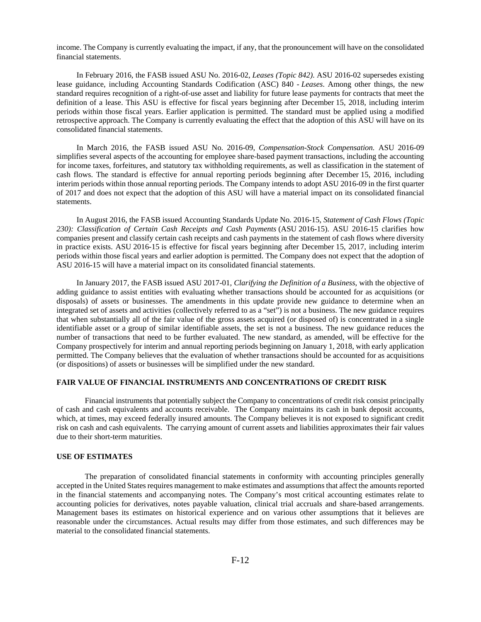income. The Company is currently evaluating the impact, if any, that the pronouncement will have on the consolidated financial statements.

In February 2016, the FASB issued ASU No. 2016-02, *Leases (Topic 842)*. ASU 2016-02 supersedes existing lease guidance, including Accounting Standards Codification (ASC) 840 - *Leases*. Among other things, the new standard requires recognition of a right-of-use asset and liability for future lease payments for contracts that meet the definition of a lease. This ASU is effective for fiscal years beginning after December 15, 2018, including interim periods within those fiscal years. Earlier application is permitted. The standard must be applied using a modified retrospective approach. The Company is currently evaluating the effect that the adoption of this ASU will have on its consolidated financial statements.

In March 2016, the FASB issued ASU No. 2016-09, *Compensation-Stock Compensation.* ASU 2016-09 simplifies several aspects of the accounting for employee share-based payment transactions, including the accounting for income taxes, forfeitures, and statutory tax withholding requirements, as well as classification in the statement of cash flows. The standard is effective for annual reporting periods beginning after December 15, 2016, including interim periods within those annual reporting periods. The Company intends to adopt ASU 2016-09 in the first quarter of 2017 and does not expect that the adoption of this ASU will have a material impact on its consolidated financial statements.

In August 2016, the FASB issued Accounting Standards Update No. 2016-15, *Statement of Cash Flows (Topic 230): Classification of Certain Cash Receipts and Cash Payments* (ASU 2016-15). ASU 2016-15 clarifies how companies present and classify certain cash receipts and cash payments in the statement of cash flows where diversity in practice exists. ASU 2016-15 is effective for fiscal years beginning after December 15, 2017, including interim periods within those fiscal years and earlier adoption is permitted. The Company does not expect that the adoption of ASU 2016-15 will have a material impact on its consolidated financial statements.

In January 2017, the FASB issued ASU 2017-01*, Clarifying the Definition of a Business*, with the objective of adding guidance to assist entities with evaluating whether transactions should be accounted for as acquisitions (or disposals) of assets or businesses. The amendments in this update provide new guidance to determine when an integrated set of assets and activities (collectively referred to as a "set") is not a business. The new guidance requires that when substantially all of the fair value of the gross assets acquired (or disposed of) is concentrated in a single identifiable asset or a group of similar identifiable assets, the set is not a business. The new guidance reduces the number of transactions that need to be further evaluated. The new standard, as amended, will be effective for the Company prospectively for interim and annual reporting periods beginning on January 1, 2018, with early application permitted. The Company believes that the evaluation of whether transactions should be accounted for as acquisitions (or dispositions) of assets or businesses will be simplified under the new standard.

### **FAIR VALUE OF FINANCIAL INSTRUMENTS AND CONCENTRATIONS OF CREDIT RISK**

Financial instruments that potentially subject the Company to concentrations of credit risk consist principally of cash and cash equivalents and accounts receivable. The Company maintains its cash in bank deposit accounts, which, at times, may exceed federally insured amounts. The Company believes it is not exposed to significant credit risk on cash and cash equivalents. The carrying amount of current assets and liabilities approximates their fair values due to their short-term maturities.

#### **USE OF ESTIMATES**

The preparation of consolidated financial statements in conformity with accounting principles generally accepted in the United States requires management to make estimates and assumptions that affect the amounts reported in the financial statements and accompanying notes. The Company's most critical accounting estimates relate to accounting policies for derivatives, notes payable valuation, clinical trial accruals and share-based arrangements. Management bases its estimates on historical experience and on various other assumptions that it believes are reasonable under the circumstances. Actual results may differ from those estimates, and such differences may be material to the consolidated financial statements.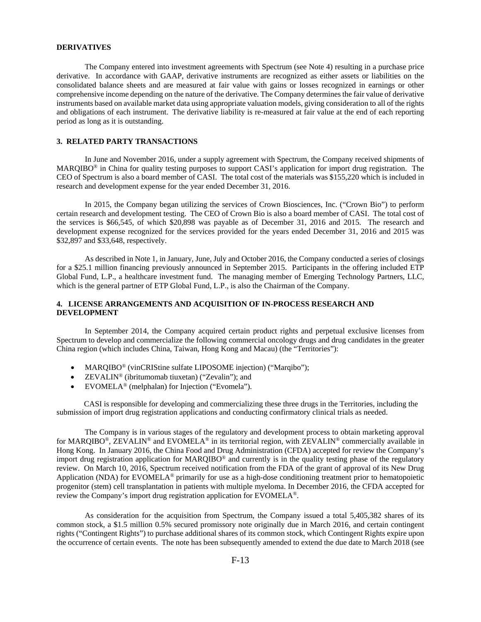### **DERIVATIVES**

The Company entered into investment agreements with Spectrum (see Note 4) resulting in a purchase price derivative. In accordance with GAAP, derivative instruments are recognized as either assets or liabilities on the consolidated balance sheets and are measured at fair value with gains or losses recognized in earnings or other comprehensive income depending on the nature of the derivative. The Company determines the fair value of derivative instruments based on available market data using appropriate valuation models, giving consideration to all of the rights and obligations of each instrument. The derivative liability is re-measured at fair value at the end of each reporting period as long as it is outstanding.

### **3. RELATED PARTY TRANSACTIONS**

In June and November 2016, under a supply agreement with Spectrum, the Company received shipments of MARQIBO® in China for quality testing purposes to support CASI's application for import drug registration. The CEO of Spectrum is also a board member of CASI. The total cost of the materials was \$155,220 which is included in research and development expense for the year ended December 31, 2016.

In 2015, the Company began utilizing the services of Crown Biosciences, Inc. ("Crown Bio") to perform certain research and development testing. The CEO of Crown Bio is also a board member of CASI. The total cost of the services is \$66,545, of which \$20,898 was payable as of December 31, 2016 and 2015. The research and development expense recognized for the services provided for the years ended December 31, 2016 and 2015 was \$32,897 and \$33,648, respectively.

As described in Note 1, in January, June, July and October 2016, the Company conducted a series of closings for a \$25.1 million financing previously announced in September 2015. Participants in the offering included ETP Global Fund, L.P., a healthcare investment fund. The managing member of Emerging Technology Partners, LLC, which is the general partner of ETP Global Fund, L.P., is also the Chairman of the Company.

# **4. LICENSE ARRANGEMENTS AND ACQUISITION OF IN-PROCESS RESEARCH AND DEVELOPMENT**

In September 2014, the Company acquired certain product rights and perpetual exclusive licenses from Spectrum to develop and commercialize the following commercial oncology drugs and drug candidates in the greater China region (which includes China, Taiwan, Hong Kong and Macau) (the "Territories"):

- MARQIBO® (vinCRIStine sulfate LIPOSOME injection) ("Marqibo");
- $ZEVALIN^@$  (ibritumomab tiuxetan) ("Zevalin"); and
- $EVOMELA<sup>®</sup>$  (melphalan) for Injection ("Evomela").

 CASI is responsible for developing and commercializing these three drugs in the Territories, including the submission of import drug registration applications and conducting confirmatory clinical trials as needed.

The Company is in various stages of the regulatory and development process to obtain marketing approval for MARQIBO®, ZEVALIN® and EVOMELA® in its territorial region, with ZEVALIN® commercially available in Hong Kong. In January 2016, the China Food and Drug Administration (CFDA) accepted for review the Company's import drug registration application for MARQIBO® and currently is in the quality testing phase of the regulatory review. On March 10, 2016, Spectrum received notification from the FDA of the grant of approval of its New Drug Application (NDA) for EVOMELA® primarily for use as a high-dose conditioning treatment prior to hematopoietic progenitor (stem) cell transplantation in patients with multiple myeloma. In December 2016, the CFDA accepted for review the Company's import drug registration application for EVOMELA®.

As consideration for the acquisition from Spectrum, the Company issued a total 5,405,382 shares of its common stock, a \$1.5 million 0.5% secured promissory note originally due in March 2016, and certain contingent rights ("Contingent Rights") to purchase additional shares of its common stock, which Contingent Rights expire upon the occurrence of certain events. The note has been subsequently amended to extend the due date to March 2018 (see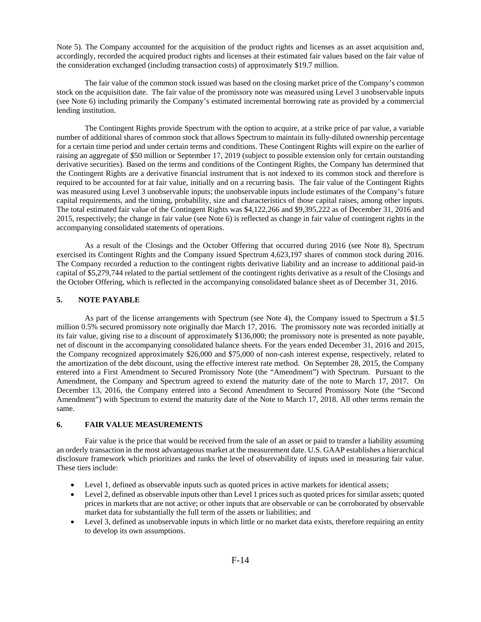Note 5). The Company accounted for the acquisition of the product rights and licenses as an asset acquisition and, accordingly, recorded the acquired product rights and licenses at their estimated fair values based on the fair value of the consideration exchanged (including transaction costs) of approximately \$19.7 million.

The fair value of the common stock issued was based on the closing market price of the Company's common stock on the acquisition date. The fair value of the promissory note was measured using Level 3 unobservable inputs (see Note 6) including primarily the Company's estimated incremental borrowing rate as provided by a commercial lending institution.

The Contingent Rights provide Spectrum with the option to acquire, at a strike price of par value, a variable number of additional shares of common stock that allows Spectrum to maintain its fully-diluted ownership percentage for a certain time period and under certain terms and conditions. These Contingent Rights will expire on the earlier of raising an aggregate of \$50 million or September 17, 2019 (subject to possible extension only for certain outstanding derivative securities). Based on the terms and conditions of the Contingent Rights, the Company has determined that the Contingent Rights are a derivative financial instrument that is not indexed to its common stock and therefore is required to be accounted for at fair value, initially and on a recurring basis. The fair value of the Contingent Rights was measured using Level 3 unobservable inputs; the unobservable inputs include estimates of the Company's future capital requirements, and the timing, probability, size and characteristics of those capital raises, among other inputs. The total estimated fair value of the Contingent Rights was \$4,122,266 and \$9,395,222 as of December 31, 2016 and 2015, respectively; the change in fair value (see Note 6) is reflected as change in fair value of contingent rights in the accompanying consolidated statements of operations.

As a result of the Closings and the October Offering that occurred during 2016 (see Note 8), Spectrum exercised its Contingent Rights and the Company issued Spectrum 4,623,197 shares of common stock during 2016. The Company recorded a reduction to the contingent rights derivative liability and an increase to additional paid-in capital of \$5,279,744 related to the partial settlement of the contingent rights derivative as a result of the Closings and the October Offering, which is reflected in the accompanying consolidated balance sheet as of December 31, 2016.

### **5. NOTE PAYABLE**

As part of the license arrangements with Spectrum (see Note 4), the Company issued to Spectrum a \$1.5 million 0.5% secured promissory note originally due March 17, 2016. The promissory note was recorded initially at its fair value, giving rise to a discount of approximately \$136,000; the promissory note is presented as note payable, net of discount in the accompanying consolidated balance sheets. For the years ended December 31, 2016 and 2015, the Company recognized approximately \$26,000 and \$75,000 of non-cash interest expense, respectively, related to the amortization of the debt discount, using the effective interest rate method. On September 28, 2015, the Company entered into a First Amendment to Secured Promissory Note (the "Amendment") with Spectrum. Pursuant to the Amendment, the Company and Spectrum agreed to extend the maturity date of the note to March 17, 2017. On December 13, 2016, the Company entered into a Second Amendment to Secured Promissory Note (the "Second Amendment") with Spectrum to extend the maturity date of the Note to March 17, 2018. All other terms remain the same.

#### **6. FAIR VALUE MEASUREMENTS**

Fair value is the price that would be received from the sale of an asset or paid to transfer a liability assuming an orderly transaction in the most advantageous market at the measurement date. U.S. GAAP establishes a hierarchical disclosure framework which prioritizes and ranks the level of observability of inputs used in measuring fair value. These tiers include:

- Level 1, defined as observable inputs such as quoted prices in active markets for identical assets;
- Level 2, defined as observable inputs other than Level 1 prices such as quoted prices for similar assets; quoted prices in markets that are not active; or other inputs that are observable or can be corroborated by observable market data for substantially the full term of the assets or liabilities; and
- Level 3, defined as unobservable inputs in which little or no market data exists, therefore requiring an entity to develop its own assumptions.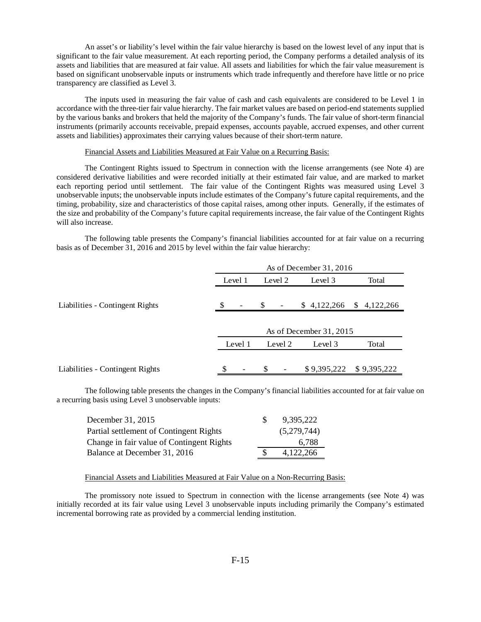An asset's or liability's level within the fair value hierarchy is based on the lowest level of any input that is significant to the fair value measurement. At each reporting period, the Company performs a detailed analysis of its assets and liabilities that are measured at fair value. All assets and liabilities for which the fair value measurement is based on significant unobservable inputs or instruments which trade infrequently and therefore have little or no price transparency are classified as Level 3.

The inputs used in measuring the fair value of cash and cash equivalents are considered to be Level 1 in accordance with the three-tier fair value hierarchy. The fair market values are based on period-end statements supplied by the various banks and brokers that held the majority of the Company's funds. The fair value of short-term financial instruments (primarily accounts receivable, prepaid expenses, accounts payable, accrued expenses, and other current assets and liabilities) approximates their carrying values because of their short-term nature.

### Financial Assets and Liabilities Measured at Fair Value on a Recurring Basis:

The Contingent Rights issued to Spectrum in connection with the license arrangements (see Note 4) are considered derivative liabilities and were recorded initially at their estimated fair value, and are marked to market each reporting period until settlement. The fair value of the Contingent Rights was measured using Level 3 unobservable inputs; the unobservable inputs include estimates of the Company's future capital requirements, and the timing, probability, size and characteristics of those capital raises, among other inputs. Generally, if the estimates of the size and probability of the Company's future capital requirements increase, the fair value of the Contingent Rights will also increase.

The following table presents the Company's financial liabilities accounted for at fair value on a recurring basis as of December 31, 2016 and 2015 by level within the fair value hierarchy:

|                                 | As of December 31, 2016 |         |               |         |  |                         |   |             |
|---------------------------------|-------------------------|---------|---------------|---------|--|-------------------------|---|-------------|
|                                 | Level 1                 |         |               | Level 2 |  | Level 3                 |   | Total       |
| Liabilities - Contingent Rights | S                       | -       | \$            | -       |  | \$4,122,266             | S | 4,122,266   |
|                                 |                         |         |               |         |  | As of December 31, 2015 |   |             |
|                                 |                         | Level 1 |               | Level 2 |  | Level 3                 |   | Total       |
|                                 |                         |         |               |         |  |                         |   |             |
| Liabilities - Contingent Rights |                         |         | <sup>\$</sup> |         |  | \$9,395,222             |   | \$9,395,222 |

The following table presents the changes in the Company's financial liabilities accounted for at fair value on a recurring basis using Level 3 unobservable inputs:

| December 31, 2015                         | 9,395,222   |
|-------------------------------------------|-------------|
| Partial settlement of Contingent Rights   | (5,279,744) |
| Change in fair value of Contingent Rights | 6.788       |
| Balance at December 31, 2016              | 4.122.266   |

# Financial Assets and Liabilities Measured at Fair Value on a Non-Recurring Basis:

The promissory note issued to Spectrum in connection with the license arrangements (see Note 4) was initially recorded at its fair value using Level 3 unobservable inputs including primarily the Company's estimated incremental borrowing rate as provided by a commercial lending institution.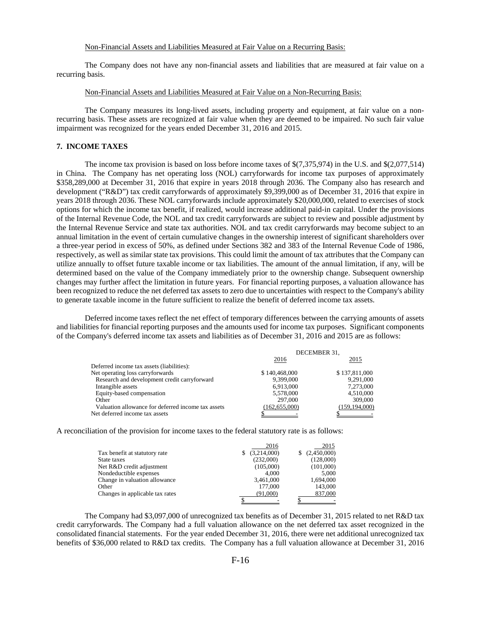# Non-Financial Assets and Liabilities Measured at Fair Value on a Recurring Basis:

The Company does not have any non-financial assets and liabilities that are measured at fair value on a recurring basis.

### Non-Financial Assets and Liabilities Measured at Fair Value on a Non-Recurring Basis:

The Company measures its long-lived assets, including property and equipment, at fair value on a nonrecurring basis. These assets are recognized at fair value when they are deemed to be impaired. No such fair value impairment was recognized for the years ended December 31, 2016 and 2015.

# **7. INCOME TAXES**

The income tax provision is based on loss before income taxes of \$(7,375,974) in the U.S. and \$(2,077,514) in China. The Company has net operating loss (NOL) carryforwards for income tax purposes of approximately \$358,289,000 at December 31, 2016 that expire in years 2018 through 2036. The Company also has research and development ("R&D") tax credit carryforwards of approximately \$9,399,000 as of December 31, 2016 that expire in years 2018 through 2036. These NOL carryforwards include approximately \$20,000,000, related to exercises of stock options for which the income tax benefit, if realized, would increase additional paid-in capital. Under the provisions of the Internal Revenue Code, the NOL and tax credit carryforwards are subject to review and possible adjustment by the Internal Revenue Service and state tax authorities. NOL and tax credit carryforwards may become subject to an annual limitation in the event of certain cumulative changes in the ownership interest of significant shareholders over a three-year period in excess of 50%, as defined under Sections 382 and 383 of the Internal Revenue Code of 1986, respectively, as well as similar state tax provisions. This could limit the amount of tax attributes that the Company can utilize annually to offset future taxable income or tax liabilities. The amount of the annual limitation, if any, will be determined based on the value of the Company immediately prior to the ownership change. Subsequent ownership changes may further affect the limitation in future years. For financial reporting purposes, a valuation allowance has been recognized to reduce the net deferred tax assets to zero due to uncertainties with respect to the Company's ability to generate taxable income in the future sufficient to realize the benefit of deferred income tax assets.

Deferred income taxes reflect the net effect of temporary differences between the carrying amounts of assets and liabilities for financial reporting purposes and the amounts used for income tax purposes. Significant components of the Company's deferred income tax assets and liabilities as of December 31, 2016 and 2015 are as follows:

|                                                    | DECEMBER 31.  |               |  |
|----------------------------------------------------|---------------|---------------|--|
|                                                    | 2016          | 2015          |  |
| Deferred income tax assets (liabilities):          |               |               |  |
| Net operating loss carryforwards                   | \$140,468,000 | \$137,811,000 |  |
| Research and development credit carryforward       | 9.399.000     | 9.291.000     |  |
| Intangible assets                                  | 6.913.000     | 7,273,000     |  |
| Equity-based compensation                          | 5,578,000     | 4,510,000     |  |
| Other                                              | 297,000       | 309,000       |  |
| Valuation allowance for deferred income tax assets | (162.655.000) | (159.194.000) |  |
| Net deferred income tax assets                     |               |               |  |

A reconciliation of the provision for income taxes to the federal statutory rate is as follows:

|                                 | 2016        | 2015             |
|---------------------------------|-------------|------------------|
| Tax benefit at statutory rate   | (3,214,000) | (2,450,000)<br>S |
| State taxes                     | (232,000)   | (128,000)        |
| Net R&D credit adjustment       | (105,000)   | (101,000)        |
| Nondeductible expenses          | 4.000       | 5.000            |
| Change in valuation allowance   | 3,461,000   | 1,694,000        |
| Other                           | 177,000     | 143,000          |
| Changes in applicable tax rates | (91.000)    | 837,000          |
|                                 |             |                  |

The Company had \$3,097,000 of unrecognized tax benefits as of December 31, 2015 related to net R&D tax credit carryforwards. The Company had a full valuation allowance on the net deferred tax asset recognized in the consolidated financial statements. For the year ended December 31, 2016, there were net additional unrecognized tax benefits of \$36,000 related to R&D tax credits. The Company has a full valuation allowance at December 31, 2016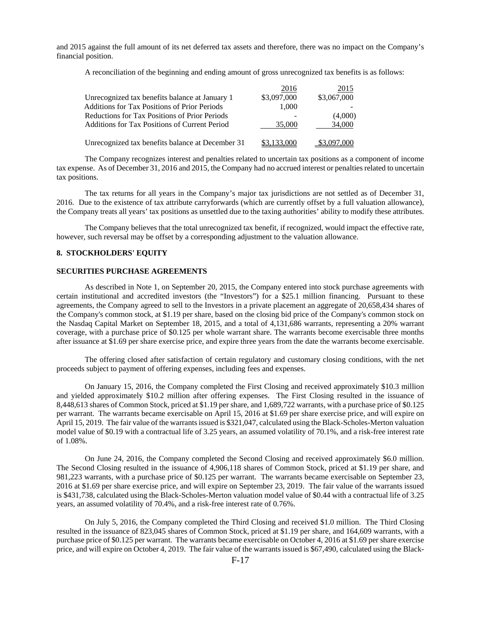and 2015 against the full amount of its net deferred tax assets and therefore, there was no impact on the Company's financial position.

A reconciliation of the beginning and ending amount of gross unrecognized tax benefits is as follows:

|                                                     | 2016        | 2015        |
|-----------------------------------------------------|-------------|-------------|
| Unrecognized tax benefits balance at January 1      | \$3,097,000 | \$3,067,000 |
| <b>Additions for Tax Positions of Prior Periods</b> | 1,000       |             |
| Reductions for Tax Positions of Prior Periods       |             | (4,000)     |
| Additions for Tax Positions of Current Period       | 35,000      | 34,000      |
| Unrecognized tax benefits balance at December 31    | \$3,133,000 | \$3,097,000 |

The Company recognizes interest and penalties related to uncertain tax positions as a component of income tax expense. As of December 31, 2016 and 2015, the Company had no accrued interest or penalties related to uncertain tax positions.

The tax returns for all years in the Company's major tax jurisdictions are not settled as of December 31, 2016. Due to the existence of tax attribute carryforwards (which are currently offset by a full valuation allowance), the Company treats all years' tax positions as unsettled due to the taxing authorities' ability to modify these attributes.

The Company believes that the total unrecognized tax benefit, if recognized, would impact the effective rate, however, such reversal may be offset by a corresponding adjustment to the valuation allowance.

# **8. STOCKHOLDERS' EQUITY**

### **SECURITIES PURCHASE AGREEMENTS**

As described in Note 1, on September 20, 2015, the Company entered into stock purchase agreements with certain institutional and accredited investors (the "Investors") for a \$25.1 million financing. Pursuant to these agreements, the Company agreed to sell to the Investors in a private placement an aggregate of 20,658,434 shares of the Company's common stock, at \$1.19 per share, based on the closing bid price of the Company's common stock on the Nasdaq Capital Market on September 18, 2015, and a total of 4,131,686 warrants, representing a 20% warrant coverage, with a purchase price of \$0.125 per whole warrant share. The warrants become exercisable three months after issuance at \$1.69 per share exercise price, and expire three years from the date the warrants become exercisable.

The offering closed after satisfaction of certain regulatory and customary closing conditions, with the net proceeds subject to payment of offering expenses, including fees and expenses.

On January 15, 2016, the Company completed the First Closing and received approximately \$10.3 million and yielded approximately \$10.2 million after offering expenses. The First Closing resulted in the issuance of 8,448,613 shares of Common Stock, priced at \$1.19 per share, and 1,689,722 warrants, with a purchase price of \$0.125 per warrant. The warrants became exercisable on April 15, 2016 at \$1.69 per share exercise price, and will expire on April 15, 2019. The fair value of the warrants issued is \$321,047, calculated using the Black-Scholes-Merton valuation model value of \$0.19 with a contractual life of 3.25 years, an assumed volatility of 70.1%, and a risk-free interest rate of 1.08%.

On June 24, 2016, the Company completed the Second Closing and received approximately \$6.0 million. The Second Closing resulted in the issuance of 4,906,118 shares of Common Stock, priced at \$1.19 per share, and 981,223 warrants, with a purchase price of \$0.125 per warrant. The warrants became exercisable on September 23, 2016 at \$1.69 per share exercise price, and will expire on September 23, 2019. The fair value of the warrants issued is \$431,738, calculated using the Black-Scholes-Merton valuation model value of \$0.44 with a contractual life of 3.25 years, an assumed volatility of 70.4%, and a risk-free interest rate of 0.76%.

On July 5, 2016, the Company completed the Third Closing and received \$1.0 million. The Third Closing resulted in the issuance of 823,045 shares of Common Stock, priced at \$1.19 per share, and 164,609 warrants, with a purchase price of \$0.125 per warrant. The warrants became exercisable on October 4, 2016 at \$1.69 per share exercise price, and will expire on October 4, 2019. The fair value of the warrants issued is \$67,490, calculated using the Black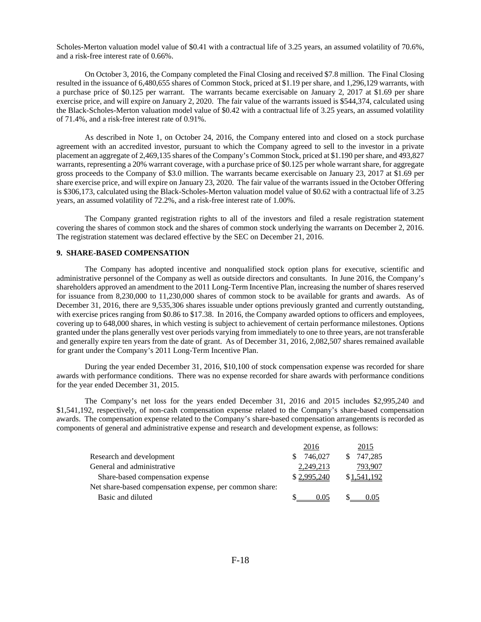Scholes-Merton valuation model value of \$0.41 with a contractual life of 3.25 years, an assumed volatility of 70.6%, and a risk-free interest rate of 0.66%.

On October 3, 2016, the Company completed the Final Closing and received \$7.8 million. The Final Closing resulted in the issuance of 6,480,655 shares of Common Stock, priced at \$1.19 per share, and 1,296,129 warrants, with a purchase price of \$0.125 per warrant. The warrants became exercisable on January 2, 2017 at \$1.69 per share exercise price, and will expire on January 2, 2020. The fair value of the warrants issued is \$544,374, calculated using the Black-Scholes-Merton valuation model value of \$0.42 with a contractual life of 3.25 years, an assumed volatility of 71.4%, and a risk-free interest rate of 0.91%.

As described in Note 1, on October 24, 2016, the Company entered into and closed on a stock purchase agreement with an accredited investor, pursuant to which the Company agreed to sell to the investor in a private placement an aggregate of 2,469,135 shares of the Company's Common Stock, priced at \$1.190 per share, and 493,827 warrants, representing a 20% warrant coverage, with a purchase price of \$0.125 per whole warrant share, for aggregate gross proceeds to the Company of \$3.0 million. The warrants became exercisable on January 23, 2017 at \$1.69 per share exercise price, and will expire on January 23, 2020. The fair value of the warrants issued in the October Offering is \$306,173, calculated using the Black-Scholes-Merton valuation model value of \$0.62 with a contractual life of 3.25 years, an assumed volatility of 72.2%, and a risk-free interest rate of 1.00%.

The Company granted registration rights to all of the investors and filed a resale registration statement covering the shares of common stock and the shares of common stock underlying the warrants on December 2, 2016. The registration statement was declared effective by the SEC on December 21, 2016.

### **9. SHARE-BASED COMPENSATION**

The Company has adopted incentive and nonqualified stock option plans for executive, scientific and administrative personnel of the Company as well as outside directors and consultants. In June 2016, the Company's shareholders approved an amendment to the 2011 Long-Term Incentive Plan, increasing the number of shares reserved for issuance from 8,230,000 to 11,230,000 shares of common stock to be available for grants and awards. As of December 31, 2016, there are 9,535,306 shares issuable under options previously granted and currently outstanding, with exercise prices ranging from \$0.86 to \$17.38. In 2016, the Company awarded options to officers and employees, covering up to 648,000 shares, in which vesting is subject to achievement of certain performance milestones. Options granted under the plans generally vest over periods varying from immediately to one to three years, are not transferable and generally expire ten years from the date of grant. As of December 31, 2016, 2,082,507 shares remained available for grant under the Company's 2011 Long-Term Incentive Plan.

During the year ended December 31, 2016, \$10,100 of stock compensation expense was recorded for share awards with performance conditions. There was no expense recorded for share awards with performance conditions for the year ended December 31, 2015.

The Company's net loss for the years ended December 31, 2016 and 2015 includes \$2,995,240 and \$1,541,192, respectively, of non-cash compensation expense related to the Company's share-based compensation awards. The compensation expense related to the Company's share-based compensation arrangements is recorded as components of general and administrative expense and research and development expense, as follows:

|                                                         | 2016        | 2015          |
|---------------------------------------------------------|-------------|---------------|
| Research and development                                | 746.027     | 747.285<br>S. |
| General and administrative                              | 2,249,213   | 793.907       |
| Share-based compensation expense                        | \$2,995,240 | \$1,541,192   |
| Net share-based compensation expense, per common share: |             |               |
| Basic and diluted                                       | 0.05        | 0.05          |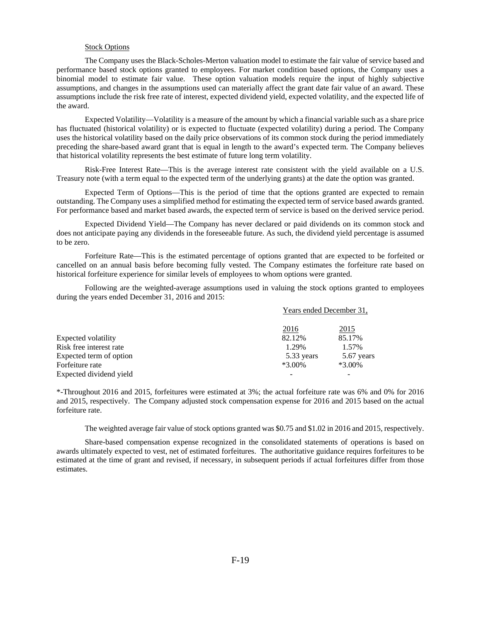# Stock Options

The Company uses the Black-Scholes-Merton valuation model to estimate the fair value of service based and performance based stock options granted to employees. For market condition based options, the Company uses a binomial model to estimate fair value. These option valuation models require the input of highly subjective assumptions, and changes in the assumptions used can materially affect the grant date fair value of an award. These assumptions include the risk free rate of interest, expected dividend yield, expected volatility, and the expected life of the award.

Expected Volatility—Volatility is a measure of the amount by which a financial variable such as a share price has fluctuated (historical volatility) or is expected to fluctuate (expected volatility) during a period. The Company uses the historical volatility based on the daily price observations of its common stock during the period immediately preceding the share-based award grant that is equal in length to the award's expected term. The Company believes that historical volatility represents the best estimate of future long term volatility.

Risk-Free Interest Rate—This is the average interest rate consistent with the yield available on a U.S. Treasury note (with a term equal to the expected term of the underlying grants) at the date the option was granted.

Expected Term of Options—This is the period of time that the options granted are expected to remain outstanding. The Company uses a simplified method for estimating the expected term of service based awards granted. For performance based and market based awards, the expected term of service is based on the derived service period.

Expected Dividend Yield—The Company has never declared or paid dividends on its common stock and does not anticipate paying any dividends in the foreseeable future. As such, the dividend yield percentage is assumed to be zero.

Forfeiture Rate—This is the estimated percentage of options granted that are expected to be forfeited or cancelled on an annual basis before becoming fully vested. The Company estimates the forfeiture rate based on historical forfeiture experience for similar levels of employees to whom options were granted.

Following are the weighted-average assumptions used in valuing the stock options granted to employees during the years ended December 31, 2016 and 2015:

|                         | Years ended December 31, |            |  |
|-------------------------|--------------------------|------------|--|
|                         | 2016                     | 2015       |  |
| Expected volatility     | 82.12%                   | 85.17%     |  |
| Risk free interest rate | 1.29%                    | 1.57%      |  |
| Expected term of option | 5.33 years               | 5.67 years |  |
| Forfeiture rate         | $*3.00\%$                | $*3.00\%$  |  |
| Expected dividend yield |                          |            |  |

\*-Throughout 2016 and 2015, forfeitures were estimated at 3%; the actual forfeiture rate was 6% and 0% for 2016 and 2015, respectively. The Company adjusted stock compensation expense for 2016 and 2015 based on the actual forfeiture rate.

The weighted average fair value of stock options granted was \$0.75 and \$1.02 in 2016 and 2015, respectively.

Share-based compensation expense recognized in the consolidated statements of operations is based on awards ultimately expected to vest, net of estimated forfeitures. The authoritative guidance requires forfeitures to be estimated at the time of grant and revised, if necessary, in subsequent periods if actual forfeitures differ from those estimates.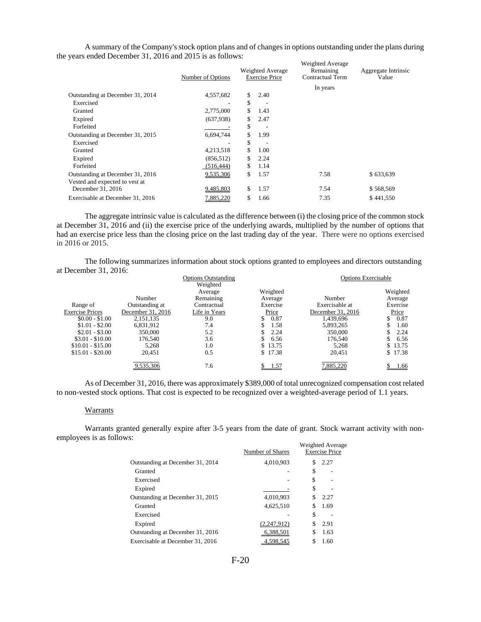|                                  | Number of Options |    | Weighted Average<br><b>Exercise Price</b> | <b>Weighted Average</b><br>Remaining<br>Contractual Term | Aggregate Intrinsic<br>Value |
|----------------------------------|-------------------|----|-------------------------------------------|----------------------------------------------------------|------------------------------|
|                                  |                   |    |                                           | In years                                                 |                              |
| Outstanding at December 31, 2014 | 4,557,682         | S  | 2.40                                      |                                                          |                              |
| Exercised                        |                   | \$ | $\overline{\phantom{a}}$                  |                                                          |                              |
| Granted                          | 2,775,000         | \$ | 1.43                                      |                                                          |                              |
| Expired                          | (637,938)         | S. | 2.47                                      |                                                          |                              |
| Forfeited                        |                   | \$ |                                           |                                                          |                              |
| Outstanding at December 31, 2015 | 6,694,744         | \$ | 1.99                                      |                                                          |                              |
| Exercised                        |                   | \$ |                                           |                                                          |                              |
| Granted                          | 4,213,518         | \$ | 1.00                                      |                                                          |                              |
| Expired                          | (856, 512)        | \$ | 2.24                                      |                                                          |                              |
| Forfeited                        | (516, 444)        | \$ | 1.14                                      |                                                          |                              |
| Outstanding at December 31, 2016 | 9,535,306         | \$ | 1.57                                      | 7.58                                                     | \$633,639                    |
| Vested and expected to vest at   |                   |    |                                           |                                                          |                              |
| December 31, 2016                | 9,485,803         | \$ | 1.57                                      | 7.54                                                     | \$568,569                    |
| Exercisable at December 31, 2016 | 7,885,220         | S  | 1.66                                      | 7.35                                                     | \$441,550                    |

A summary of the Company's stock option plans and of changes in options outstanding under the plans during the years ended December 31, 2016 and 2015 is as follows:

The aggregate intrinsic value is calculated as the difference between (i) the closing price of the common stock at December 31, 2016 and (ii) the exercise price of the underlying awards, multiplied by the number of options that had an exercise price less than the closing price on the last trading day of the year. There were no options exercised in 2016 or 2015.

The following summarizes information about stock options granted to employees and directors outstanding at December 31, 2016:

|                        |                   | <b>Options Outstanding</b> |            | <b>Options Exercisable</b> |            |
|------------------------|-------------------|----------------------------|------------|----------------------------|------------|
|                        |                   | Weighted                   |            |                            |            |
|                        |                   | Average                    | Weighted   |                            | Weighted   |
|                        | Number            | Remaining                  | Average    | Number                     | Average    |
| Range of               | Outstanding at    | Contractual                | Exercise   | Exercisable at             | Exercise   |
| <b>Exercise Prices</b> | December 31, 2016 | Life in Years              | Price      | December 31, 2016          | Price      |
| $$0.00 - $1.00$        | 2.151.135         | 9.0                        | 0.87<br>\$ | 1.439.696                  | 0.87<br>\$ |
| $$1.01 - $2.00$        | 6.831.912         | 7.4                        | 1.58       | 5,893,265                  | 1.60       |
| $$2.01 - $3.00$        | 350,000           | 5.2                        | 2.24       | 350,000                    | 2.24       |
| $$3.01 - $10.00$       | 176.540           | 3.6                        | 6.56       | 176.540                    | 6.56       |
| $$10.01 - $15.00$      | 5,268             | 1.0                        | \$13.75    | 5,268                      | \$13.75    |
| $$15.01 - $20.00$      | 20,451            | 0.5                        | \$17.38    | 20,451                     | \$17.38    |
|                        | 9,535,306         | 7.6                        | 1.57       | 7,885,220                  | 1.66       |

As of December 31, 2016, there was approximately \$389,000 of total unrecognized compensation cost related to non-vested stock options. That cost is expected to be recognized over a weighted-average period of 1.1 years.

### Warrants

Warrants granted generally expire after 3-5 years from the date of grant. Stock warrant activity with nonemployees is as follows:

|                                  | Number of Shares | Weighted Average<br><b>Exercise Price</b> |  |
|----------------------------------|------------------|-------------------------------------------|--|
| Outstanding at December 31, 2014 | 4,010,903        | 2.27                                      |  |
| Granted                          |                  | \$                                        |  |
| Exercised                        |                  | \$                                        |  |
| Expired                          |                  | S                                         |  |
| Outstanding at December 31, 2015 | 4.010.903        | 2.27<br>S                                 |  |
| Granted                          | 4,625,510        | 1.69                                      |  |
| Exercised                        |                  | \$                                        |  |
| Expired                          | (2,247,912)      | 2.91<br>S                                 |  |
| Outstanding at December 31, 2016 | 6.388.501        | 1.63<br>S                                 |  |
| Exercisable at December 31, 2016 | 4.598.545        | 1.60                                      |  |

F-20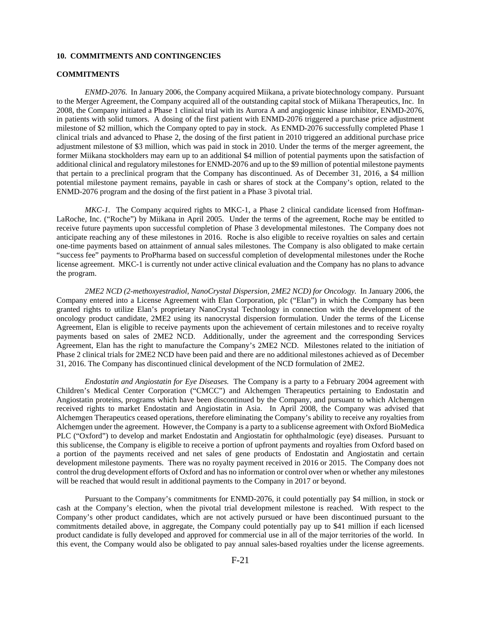# **10. COMMITMENTS AND CONTINGENCIES**

# **COMMITMENTS**

*ENMD-2076.* In January 2006, the Company acquired Miikana, a private biotechnology company. Pursuant to the Merger Agreement, the Company acquired all of the outstanding capital stock of Miikana Therapeutics, Inc. In 2008, the Company initiated a Phase 1 clinical trial with its Aurora A and angiogenic kinase inhibitor, ENMD-2076, in patients with solid tumors. A dosing of the first patient with ENMD-2076 triggered a purchase price adjustment milestone of \$2 million, which the Company opted to pay in stock. As ENMD-2076 successfully completed Phase 1 clinical trials and advanced to Phase 2, the dosing of the first patient in 2010 triggered an additional purchase price adjustment milestone of \$3 million, which was paid in stock in 2010. Under the terms of the merger agreement, the former Miikana stockholders may earn up to an additional \$4 million of potential payments upon the satisfaction of additional clinical and regulatory milestones for ENMD-2076 and up to the \$9 million of potential milestone payments that pertain to a preclinical program that the Company has discontinued. As of December 31, 2016, a \$4 million potential milestone payment remains, payable in cash or shares of stock at the Company's option, related to the ENMD-2076 program and the dosing of the first patient in a Phase 3 pivotal trial.

*MKC-1.* The Company acquired rights to MKC-1, a Phase 2 clinical candidate licensed from Hoffman-LaRoche, Inc. ("Roche") by Miikana in April 2005. Under the terms of the agreement, Roche may be entitled to receive future payments upon successful completion of Phase 3 developmental milestones. The Company does not anticipate reaching any of these milestones in 2016. Roche is also eligible to receive royalties on sales and certain one-time payments based on attainment of annual sales milestones. The Company is also obligated to make certain "success fee" payments to ProPharma based on successful completion of developmental milestones under the Roche license agreement. MKC-1 is currently not under active clinical evaluation and the Company has no plans to advance the program.

*2ME2 NCD (2-methoxyestradiol, NanoCrystal Dispersion, 2ME2 NCD) for Oncology.* In January 2006, the Company entered into a License Agreement with Elan Corporation, plc ("Elan") in which the Company has been granted rights to utilize Elan's proprietary NanoCrystal Technology in connection with the development of the oncology product candidate, 2ME2 using its nanocrystal dispersion formulation. Under the terms of the License Agreement, Elan is eligible to receive payments upon the achievement of certain milestones and to receive royalty payments based on sales of 2ME2 NCD. Additionally, under the agreement and the corresponding Services Agreement, Elan has the right to manufacture the Company's 2ME2 NCD. Milestones related to the initiation of Phase 2 clinical trials for 2ME2 NCD have been paid and there are no additional milestones achieved as of December 31, 2016. The Company has discontinued clinical development of the NCD formulation of 2ME2.

*Endostatin and Angiostatin for Eye Diseases.* The Company is a party to a February 2004 agreement with Children's Medical Center Corporation ("CMCC") and Alchemgen Therapeutics pertaining to Endostatin and Angiostatin proteins, programs which have been discontinued by the Company, and pursuant to which Alchemgen received rights to market Endostatin and Angiostatin in Asia. In April 2008, the Company was advised that Alchemgen Therapeutics ceased operations, therefore eliminating the Company's ability to receive any royalties from Alchemgen under the agreement. However, the Company is a party to a sublicense agreement with Oxford BioMedica PLC ("Oxford") to develop and market Endostatin and Angiostatin for ophthalmologic (eye) diseases. Pursuant to this sublicense, the Company is eligible to receive a portion of upfront payments and royalties from Oxford based on a portion of the payments received and net sales of gene products of Endostatin and Angiostatin and certain development milestone payments. There was no royalty payment received in 2016 or 2015. The Company does not control the drug development efforts of Oxford and has no information or control over when or whether any milestones will be reached that would result in additional payments to the Company in 2017 or beyond.

Pursuant to the Company's commitments for ENMD-2076, it could potentially pay \$4 million, in stock or cash at the Company's election, when the pivotal trial development milestone is reached. With respect to the Company's other product candidates, which are not actively pursued or have been discontinued pursuant to the commitments detailed above, in aggregate, the Company could potentially pay up to \$41 million if each licensed product candidate is fully developed and approved for commercial use in all of the major territories of the world. In this event, the Company would also be obligated to pay annual sales-based royalties under the license agreements.